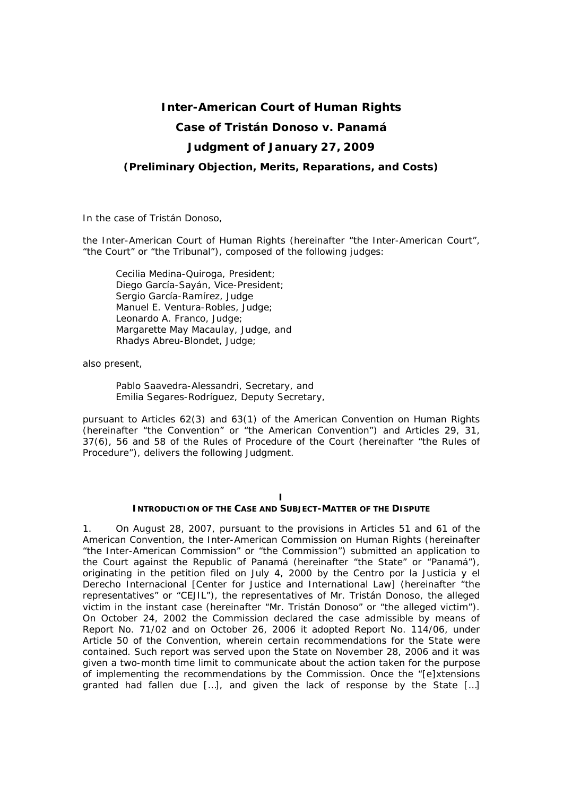# **Inter-American Court of Human Rights**

# **Case of Tristán Donoso** *v.* **Panamá**

# **Judgment of January 27, 2009**

## *(Preliminary Objection, Merits, Reparations, and Costs)*

In the case of *Tristán Donoso,*

the Inter-American Court of Human Rights (hereinafter "the Inter-American Court", "the Court" or "the Tribunal"), composed of the following judges:

 Cecilia Medina-Quiroga, President; Diego García-Sayán, Vice-President; Sergio García-Ramírez, Judge Manuel E. Ventura-Robles, Judge; Leonardo A. Franco, Judge; Margarette May Macaulay, Judge, and Rhadys Abreu-Blondet, Judge;

also present,

Pablo Saavedra-Alessandri, Secretary, and Emilia Segares-Rodríguez, Deputy Secretary,

pursuant to Articles 62(3) and 63(1) of the American Convention on Human Rights (hereinafter "the Convention" or "the American Convention") and Articles 29, 31, 37(6), 56 and 58 of the Rules of Procedure of the Court (hereinafter "the Rules of Procedure"), delivers the following Judgment.

# **I**

# **INTRODUCTION OF THE CASE AND SUBJECT-MATTER OF THE DISPUTE**

1. On August 28, 2007, pursuant to the provisions in Articles 51 and 61 of the American Convention, the Inter-American Commission on Human Rights (hereinafter "the Inter-American Commission" or "the Commission") submitted an application to the Court against the Republic of Panamá (hereinafter "the State" or "Panamá"), originating in the petition filed on July 4, 2000 by the *Centro por la Justicia y el Derecho Internacional* [Center for Justice and International Law] (hereinafter "the representatives" or "*CEJIL*"), the representatives of Mr. Tristán Donoso, the alleged victim in the instant case (hereinafter "Mr. Tristán Donoso" or "the alleged victim"). On October 24, 2002 the Commission declared the case admissible by means of Report No. 71/02 and on October 26, 2006 it adopted Report No. 114/06, under Article 50 of the Convention, wherein certain recommendations for the State were contained. Such report was served upon the State on November 28, 2006 and it was given a two-month time limit to communicate about the action taken for the purpose of implementing the recommendations by the Commission. Once the "[e]xtensions granted had fallen due […], and given the lack of response by the State […]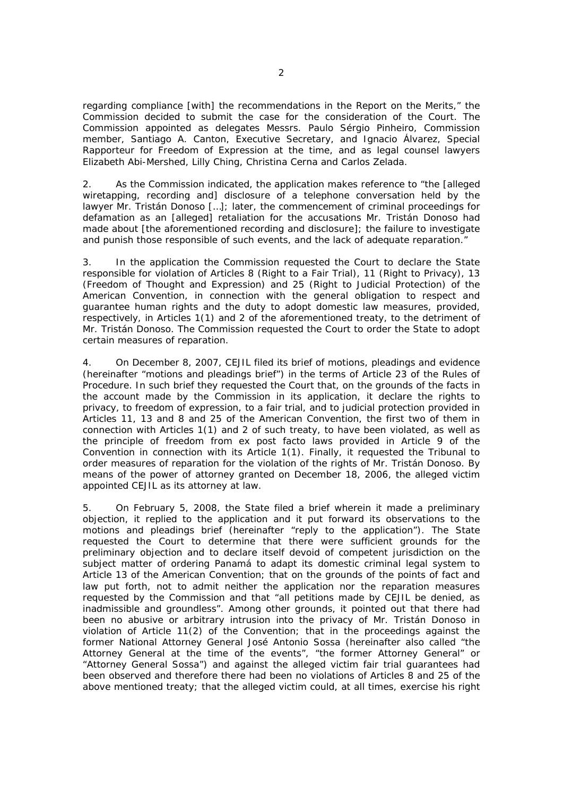regarding compliance [with] the recommendations in the Report on the Merits," the Commission decided to submit the case for the consideration of the Court. The Commission appointed as delegates Messrs. Paulo Sérgio Pinheiro, Commission member, Santiago A. Canton, Executive Secretary, and Ignacio Álvarez, Special Rapporteur for Freedom of Expression at the time, and as legal counsel lawyers Elizabeth Abi-Mershed, Lilly Ching, Christina Cerna and Carlos Zelada.

2. As the Commission indicated, the application makes reference to "the [alleged wiretapping, recording and] disclosure of a telephone conversation held by the lawyer Mr. Tristán Donoso […]; later, the commencement of criminal proceedings for defamation as an [alleged] retaliation for the accusations Mr. Tristán Donoso had made about [the aforementioned recording and disclosure]; the failure to investigate and punish those responsible of such events, and the lack of adequate reparation."

3. In the application the Commission requested the Court to declare the State responsible for violation of Articles 8 (Right to a Fair Trial), 11 (Right to Privacy), 13 (Freedom of Thought and Expression) and 25 (Right to Judicial Protection) of the American Convention, in connection with the general obligation to respect and guarantee human rights and the duty to adopt domestic law measures, provided, respectively, in Articles 1(1) and 2 of the aforementioned treaty, to the detriment of Mr. Tristán Donoso. The Commission requested the Court to order the State to adopt certain measures of reparation.

4. On December 8, 2007, *CEJIL* filed its brief of motions, pleadings and evidence (hereinafter "motions and pleadings brief") in the terms of Article 23 of the Rules of Procedure. In such brief they requested the Court that, on the grounds of the facts in the account made by the Commission in its application, it declare the rights to privacy, to freedom of expression, to a fair trial, and to judicial protection provided in Articles 11, 13 and 8 and 25 of the American Convention, the first two of them in connection with Articles 1(1) and 2 of such treaty, to have been violated, as well as the principle of freedom from *ex post facto* laws provided in Article 9 of the Convention in connection with its Article 1(1). Finally, it requested the Tribunal to order measures of reparation for the violation of the rights of Mr. Tristán Donoso. By means of the power of attorney granted on December 18, 2006, the alleged victim appointed *CEJIL* as its attorney at law.

5. On February 5, 2008, the State filed a brief wherein it made a preliminary objection, it replied to the application and it put forward its observations to the motions and pleadings brief (hereinafter "reply to the application"). The State requested the Court to determine that there were sufficient grounds for the preliminary objection and to declare itself devoid of competent jurisdiction on the subject matter of ordering Panamá to adapt its domestic criminal legal system to Article 13 of the American Convention; that on the grounds of the points of fact and law put forth, not to admit neither the application nor the reparation measures requested by the Commission and that "all petitions made by *CEJIL* be denied, as inadmissible and groundless". Among other grounds, it pointed out that there had been no abusive or arbitrary intrusion into the privacy of Mr. Tristán Donoso in violation of Article 11(2) of the Convention; that in the proceedings against the former National Attorney General José Antonio Sossa (hereinafter also called "the Attorney General at the time of the events", "the former Attorney General" or "Attorney General Sossa") and against the alleged victim fair trial guarantees had been observed and therefore there had been no violations of Articles 8 and 25 of the above mentioned treaty; that the alleged victim could, at all times, exercise his right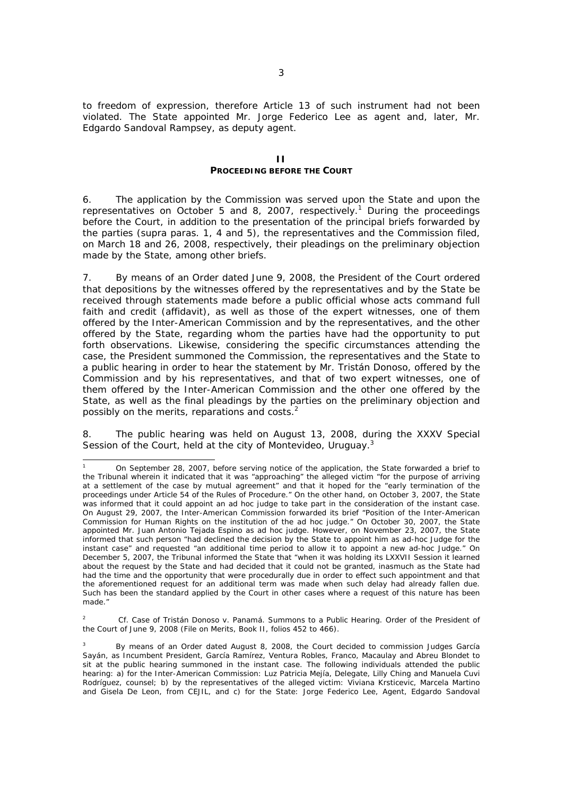to freedom of expression, therefore Article 13 of such instrument had not been violated. The State appointed Mr. Jorge Federico Lee as agent and, later, Mr. Edgardo Sandoval Rampsey, as deputy agent.

### **II PROCEEDING BEFORE THE COURT**

6. The application by the Commission was served upon the State and upon the representatives on October 5 and 8, 2007, respectively.<sup>1</sup> During the proceedings before the Court, in addition to the presentation of the principal briefs forwarded by the parties (*supra* paras. 1, 4 and 5), the representatives and the Commission filed, on March 18 and 26, 2008, respectively, their pleadings on the preliminary objection made by the State, among other briefs.

7. By means of an Order dated June 9, 2008, the President of the Court ordered that depositions by the witnesses offered by the representatives and by the State be received through statements made before a public official whose acts command full faith and credit (*affidavit*), as well as those of the expert witnesses, one of them offered by the Inter-American Commission and by the representatives, and the other offered by the State, regarding whom the parties have had the opportunity to put forth observations. Likewise, considering the specific circumstances attending the case, the President summoned the Commission, the representatives and the State to a public hearing in order to hear the statement by Mr. Tristán Donoso, offered by the Commission and by his representatives, and that of two expert witnesses, one of them offered by the Inter-American Commission and the other one offered by the State, as well as the final pleadings by the parties on the preliminary objection and possibly on the merits, reparations and costs.2

8. The public hearing was held on August 13, 2008, during the XXXV Special Session of the Court, held at the city of Montevideo, Uruguay.<sup>3</sup>

 $\overline{\phantom{0}}$ 

2 *Cf*. *Case of Tristán Donoso v. Panamá*. Summons to a Public Hearing. Order of the President of the Court of June 9, 2008 (File on Merits, Book II, folios 452 to 466).

<sup>1</sup> On September 28, 2007, before serving notice of the application, the State forwarded a brief to the Tribunal wherein it indicated that it was "approaching" the alleged victim "for the purpose of arriving at a settlement of the case by mutual agreement" and that it hoped for the "early termination of the proceedings under Article 54 of the Rules of Procedure." On the other hand, on October 3, 2007, the State was informed that it could appoint an *ad hoc* judge to take part in the consideration of the instant case. On August 29, 2007, the Inter-American Commission forwarded its brief "Position of the Inter-American Commission for Human Rights on the institution of the *ad hoc* judge*."* On October 30, 2007, the State appointed Mr. Juan Antonio Tejada Espino as *ad hoc* judge*.* However, on November 23, 2007, the State informed that such person "had declined the decision by the State to appoint him as *ad-hoc* Judge for the instant case" and requested "an additional time period to allow it to appoint a new *ad-hoc* Judge." On December 5, 2007, the Tribunal informed the State that "when it was holding its LXXVII Session it learned about the request by the State and had decided that it could not be granted, inasmuch as the State had had the time and the opportunity that were procedurally due in order to effect such appointment and that the aforementioned request for an additional term was made when such delay had already fallen due. Such has been the standard applied by the Court in other cases where a request of this nature has been made."

<sup>3</sup> By means of an Order dated August 8, 2008, the Court decided to commission Judges García Sayán, as Incumbent President, García Ramírez, Ventura Robles, Franco, Macaulay and Abreu Blondet to sit at the public hearing summoned in the instant case. The following individuals attended the public hearing: a) for the Inter-American Commission: Luz Patricia Mejía, Delegate, Lilly Ching and Manuela Cuvi Rodríguez, counsel; b) by the representatives of the alleged victim: Viviana Krsticevic, Marcela Martino and Gisela De Leon, from CEJIL, and c) for the State: Jorge Federico Lee, Agent, Edgardo Sandoval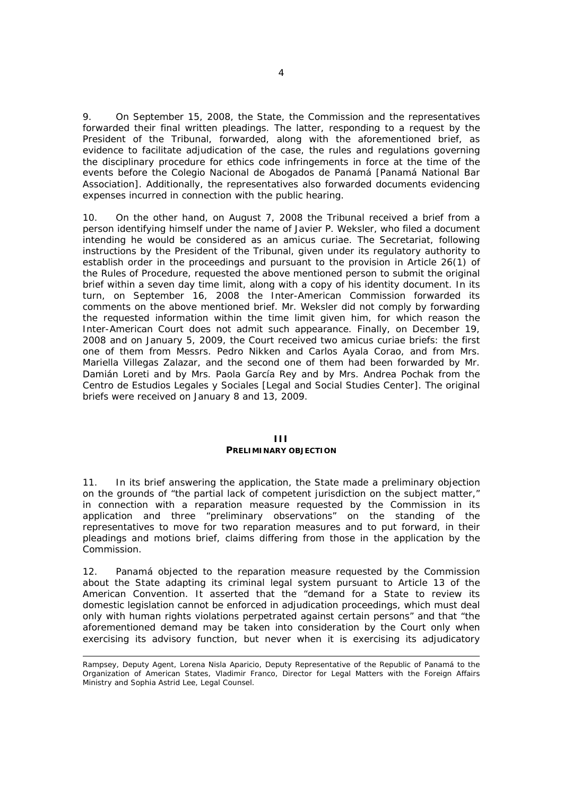9. On September 15, 2008, the State, the Commission and the representatives forwarded their final written pleadings. The latter, responding to a request by the President of the Tribunal, forwarded, along with the aforementioned brief, as evidence to facilitate adjudication of the case, the rules and regulations governing the disciplinary procedure for ethics code infringements in force at the time of the events before the *Colegio Nacional de Abogados de Panamá* [Panamá National Bar Association]. Additionally, the representatives also forwarded documents evidencing expenses incurred in connection with the public hearing.

10. On the other hand, on August 7, 2008 the Tribunal received a brief from a person identifying himself under the name of Javier P. Weksler, who filed a document intending he would be considered as an *amicus curiae*. The Secretariat, following instructions by the President of the Tribunal, given under its regulatory authority to establish order in the proceedings and pursuant to the provision in Article 26(1) of the Rules of Procedure, requested the above mentioned person to submit the original brief within a seven day time limit, along with a copy of his identity document. In its turn, on September 16, 2008 the Inter-American Commission forwarded its comments on the above mentioned brief. Mr. Weksler did not comply by forwarding the requested information within the time limit given him, for which reason the Inter-American Court does not admit such appearance. Finally, on December 19, 2008 and on January 5, 2009, the Court received two *amicus curiae* briefs: the first one of them from Messrs. Pedro Nikken and Carlos Ayala Corao, and from Mrs. Mariella Villegas Zalazar, and the second one of them had been forwarded by Mr. Damián Loreti and by Mrs. Paola García Rey and by Mrs. Andrea Pochak from the *Centro de Estudios Legales y Sociales* [Legal and Social Studies Center]. The original briefs were received on January 8 and 13, 2009.

## **III PRELIMINARY OBJECTION**

11. In its brief answering the application, the State made a preliminary objection on the grounds of "the partial lack of competent jurisdiction on the subject matter," in connection with a reparation measure requested by the Commission in its application and three "preliminary observations" on the standing of the representatives to move for two reparation measures and to put forward, in their pleadings and motions brief, claims differing from those in the application by the Commission.

12. Panamá objected to the reparation measure requested by the Commission about the State adapting its criminal legal system pursuant to Article 13 of the American Convention. It asserted that the "demand for a State to review its domestic legislation cannot be enforced in adjudication proceedings, which must deal only with human rights violations perpetrated against certain persons" and that "the aforementioned demand may be taken into consideration by the Court only when exercising its advisory function, but never when it is exercising its adjudicatory

 $\overline{\phantom{0}}$ 

Rampsey, Deputy Agent, Lorena Nisla Aparicio, Deputy Representative of the Republic of Panamá to the Organization of American States, Vladimir Franco, Director for Legal Matters with the Foreign Affairs Ministry and Sophia Astrid Lee, Legal Counsel.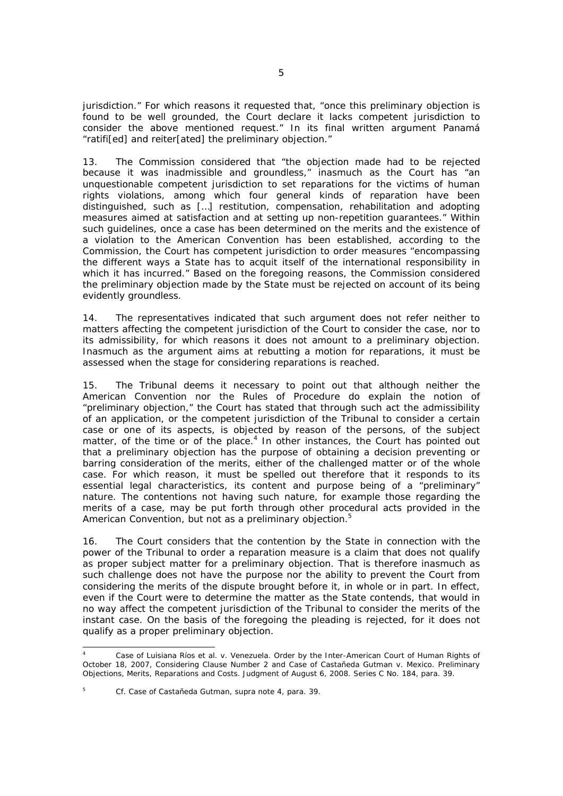jurisdiction." For which reasons it requested that, "once this preliminary objection is found to be well grounded, the Court declare it lacks competent jurisdiction to consider the above mentioned request." In its final written argument Panamá "ratifi[ed] and reiter[ated] the preliminary objection."

13. The Commission considered that "the objection made had to be rejected because it was inadmissible and groundless," inasmuch as the Court has "an unquestionable competent jurisdiction to set reparations for the victims of human rights violations, among which four general kinds of reparation have been distinguished, such as […] restitution, compensation, rehabilitation and adopting measures aimed at satisfaction and at setting up non-repetition guarantees." Within such guidelines, once a case has been determined on the merits and the existence of a violation to the American Convention has been established, according to the Commission, the Court has competent jurisdiction to order measures "encompassing the different ways a State has to acquit itself of the international responsibility in which it has incurred." Based on the foregoing reasons, the Commission considered the preliminary objection made by the State must be rejected on account of its being evidently groundless.

14. The representatives indicated that such argument does not refer neither to matters affecting the competent jurisdiction of the Court to consider the case, nor to its admissibility, for which reasons it does not amount to a preliminary objection. Inasmuch as the argument aims at rebutting a motion for reparations, it must be assessed when the stage for considering reparations is reached.

15. The Tribunal deems it necessary to point out that although neither the American Convention nor the Rules of Procedure do explain the notion of "preliminary objection," the Court has stated that through such act the admissibility of an application, or the competent jurisdiction of the Tribunal to consider a certain case or one of its aspects, is objected by reason of the persons, of the subject matter, of the time or of the place.<sup>4</sup> In other instances, the Court has pointed out that a preliminary objection has the purpose of obtaining a decision preventing or barring consideration of the merits, either of the challenged matter or of the whole case. For which reason, it must be spelled out therefore that it responds to its essential legal characteristics, its content and purpose being of a "preliminary" nature. The contentions not having such nature, for example those regarding the merits of a case, may be put forth through other procedural acts provided in the American Convention, but not as a preliminary objection.<sup>5</sup>

16. The Court considers that the contention by the State in connection with the power of the Tribunal to order a reparation measure is a claim that does not qualify as proper subject matter for a preliminary objection. That is therefore inasmuch as such challenge does not have the purpose nor the ability to prevent the Court from considering the merits of the dispute brought before it, in whole or in part. In effect, even if the Court were to determine the matter as the State contends, that would in no way affect the competent jurisdiction of the Tribunal to consider the merits of the instant case. On the basis of the foregoing the pleading is rejected, for it does not qualify as a proper preliminary objection.

ī

<sup>4</sup> *Case of Luisiana Ríos et al. v. Venezuela*. Order by the Inter-American Court of Human Rights of October 18, 2007, Considering Clause Number 2 and *Case of Castañeda Gutman v. Mexico*. *Preliminary Objections, Merits, Reparations and Costs.* Judgment of August 6, 2008. Series C No. 184, para. 39.

<sup>5</sup> *Cf. Case of Castañeda Gutman, supra* note 4, para. 39.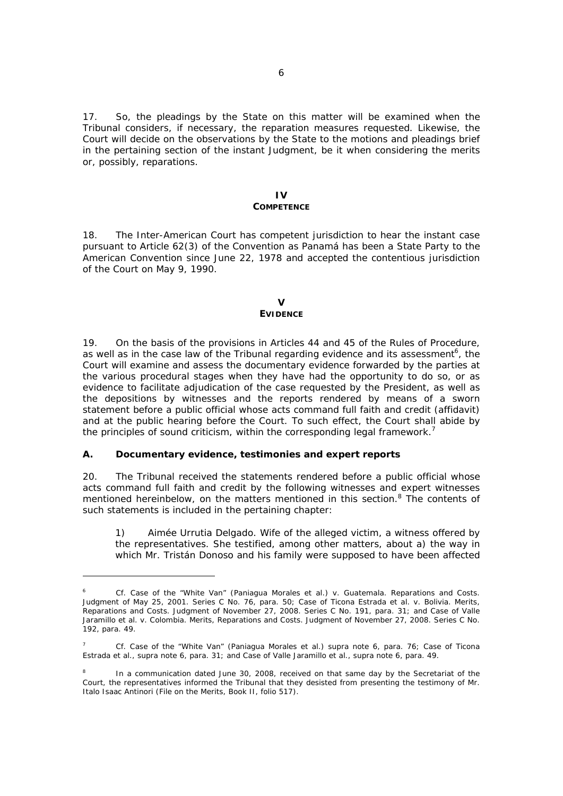17. So, the pleadings by the State on this matter will be examined when the Tribunal considers, if necessary, the reparation measures requested. Likewise, the Court will decide on the observations by the State to the motions and pleadings brief in the pertaining section of the instant Judgment, be it when considering the merits or, possibly, reparations.

### **IV COMPETENCE**

18. The Inter-American Court has competent jurisdiction to hear the instant case pursuant to Article 62(3) of the Convention as Panamá has been a State Party to the American Convention since June 22, 1978 and accepted the contentious jurisdiction of the Court on May 9, 1990.

### $\mathbf{v}$ **EVIDENCE**

19. On the basis of the provisions in Articles 44 and 45 of the Rules of Procedure, as well as in the case law of the Tribunal regarding evidence and its assessment<sup>6</sup>, the Court will examine and assess the documentary evidence forwarded by the parties at the various procedural stages when they have had the opportunity to do so, or as evidence to facilitate adjudication of the case requested by the President, as well as the depositions by witnesses and the reports rendered by means of a sworn statement before a public official whose acts command full faith and credit (*affidavit*) and at the public hearing before the Court. To such effect, the Court shall abide by the principles of sound criticism, within the corresponding legal framework.<sup>7</sup>

# *A. Documentary evidence, testimonies and expert reports*

 $\overline{\phantom{0}}$ 

20. The Tribunal received the statements rendered before a public official whose acts command full faith and credit by the following witnesses and expert witnesses mentioned hereinbelow, on the matters mentioned in this section.<sup>8</sup> The contents of such statements is included in the pertaining chapter:

1) *Aimée Urrutia Delgado*. Wife of the alleged victim, a witness offered by the representatives. She testified, among other matters, about a) the way in which Mr. Tristán Donoso and his family were supposed to have been affected

<sup>6</sup> *Cf. Case of the "White Van" (Paniagua Morales et al.) v. Guatemala. Reparations and Costs.*  Judgment of May 25, 2001. Series C No. 76, para. 50; *Case of Ticona Estrada et al. v. Bolivia*. *Merits, Reparations and Costs*. Judgment of November 27, 2008. Series C No. 191, para. 31; and *Case of Valle Jaramillo et al. v. Colombia. Merits, Reparations and Costs.* Judgment of November 27, 2008. Series C No. 192, para. 49.

<sup>7</sup> *Cf. Case of the "White Van" (Paniagua Morales et al.) supra* note *6*, para. 76; *Case of Ticona Estrada et al., supra* note 6, para. 31; and *Case of Valle Jaramillo et al., supra* note 6, para. 49.

<sup>8</sup> In a communication dated June 30, 2008, received on that same day by the Secretariat of the Court, the representatives informed the Tribunal that they desisted from presenting the testimony of Mr. Italo Isaac Antinori (File on the Merits, Book II, folio 517).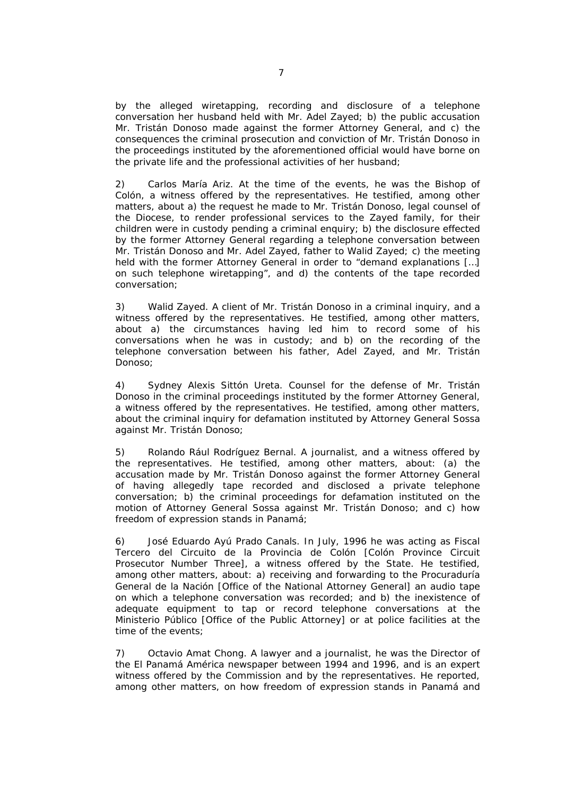by the alleged wiretapping, recording and disclosure of a telephone conversation her husband held with Mr. Adel Zayed; b) the public accusation Mr. Tristán Donoso made against the former Attorney General, and c) the consequences the criminal prosecution and conviction of Mr. Tristán Donoso in the proceedings instituted by the aforementioned official would have borne on the private life and the professional activities of her husband;

2) *Carlos María Ariz*. At the time of the events, he was the Bishop of Colón, a witness offered by the representatives. He testified, among other matters, about a) the request he made to Mr. Tristán Donoso, legal counsel of the Diocese, to render professional services to the Zayed family, for their children were in custody pending a criminal enquiry; b) the disclosure effected by the former Attorney General regarding a telephone conversation between Mr. Tristán Donoso and Mr. Adel Zayed, father to Walid Zayed; c) the meeting held with the former Attorney General in order to "demand explanations […] on such telephone wiretapping", and d) the contents of the tape recorded conversation;

3) *Walid Zayed*. A client of Mr. Tristán Donoso in a criminal inquiry, and a witness offered by the representatives. He testified, among other matters, about a) the circumstances having led him to record some of his conversations when he was in custody; and b) on the recording of the telephone conversation between his father, Adel Zayed, and Mr. Tristán Donoso;

4) *Sydney Alexis Sittón Ureta*. Counsel for the defense of Mr. Tristán Donoso in the criminal proceedings instituted by the former Attorney General, a witness offered by the representatives. He testified, among other matters, about the criminal inquiry for defamation instituted by Attorney General Sossa against Mr. Tristán Donoso;

5) *Rolando Rául Rodríguez Bernal*. A journalist, and a witness offered by the representatives. He testified, among other matters, about: (a) the accusation made by Mr. Tristán Donoso against the former Attorney General of having allegedly tape recorded and disclosed a private telephone conversation; b) the criminal proceedings for defamation instituted on the motion of Attorney General Sossa against Mr. Tristán Donoso; and c) how freedom of expression stands in Panamá;

6) *José Eduardo Ayú Prado Canals*. In July, 1996 he was acting as *Fiscal Tercero del Circuito de la Provincia de Colón* [Colón Province Circuit Prosecutor Number Three], a witness offered by the State. He testified, among other matters, about: a) receiving and forwarding to the *Procuraduría General de la Nación* [Office of the National Attorney General] an audio tape on which a telephone conversation was recorded; and b) the inexistence of adequate equipment to tap or record telephone conversations at the *Ministerio Público* [Office of the Public Attorney] or at police facilities at the time of the events;

7) *Octavio Amat Chong*. A lawyer and a journalist, he was the Director of the *El Panamá América* newspaper between 1994 and 1996, and is an expert witness offered by the Commission and by the representatives. He reported, among other matters, on how freedom of expression stands in Panamá and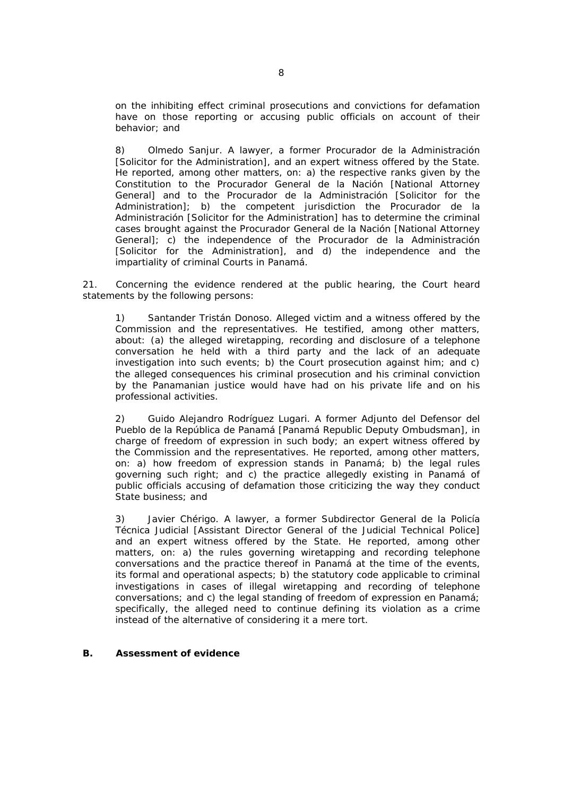on the inhibiting effect criminal prosecutions and convictions for defamation have on those reporting or accusing public officials on account of their behavior; and

8) *Olmedo Sanjur*. A lawyer, a former *Procurador de la Administración*  [Solicitor for the Administration], and an expert witness offered by the State. He reported, among other matters, on: a) the respective ranks given by the Constitution to the *Procurador General de la Nación* [National Attorney General] and to the *Procurador de la Administración* [Solicitor for the Administration]; b) the competent jurisdiction the *Procurador de la Administración* [Solicitor for the Administration] has to determine the criminal cases brought against the *Procurador General de la Nación* [National Attorney General]; c) the independence of the *Procurador de la Administración*  [Solicitor for the Administration], and d) the independence and the impartiality of criminal Courts in Panamá.

21. Concerning the evidence rendered at the public hearing, the Court heard statements by the following persons:

1) *Santander Tristán Donoso.* Alleged victim and a witness offered by the Commission and the representatives. He testified, among other matters, about: (a) the alleged wiretapping, recording and disclosure of a telephone conversation he held with a third party and the lack of an adequate investigation into such events; b) the Court prosecution against him; and c) the alleged consequences his criminal prosecution and his criminal conviction by the Panamanian justice would have had on his private life and on his professional activities.

2) *Guido Alejandro Rodríguez Lugari*. A former *Adjunto del Defensor del Pueblo de la República de Panamá* [Panamá Republic Deputy Ombudsman], in charge of freedom of expression in such body; an expert witness offered by the Commission and the representatives. He reported, among other matters, on: a) how freedom of expression stands in Panamá; b) the legal rules governing such right; and c) the practice allegedly existing in Panamá of public officials accusing of defamation those criticizing the way they conduct State business; and

3) *Javier Chérigo*. A lawyer, a former *Subdirector General de la Policía Técnica Judicial* [Assistant Director General of the Judicial Technical Police] and an expert witness offered by the State. He reported, among other matters, on: a) the rules governing wiretapping and recording telephone conversations and the practice thereof in Panamá at the time of the events, its formal and operational aspects; b) the statutory code applicable to criminal investigations in cases of illegal wiretapping and recording of telephone conversations; and c) the legal standing of freedom of expression en Panamá; specifically, the alleged need to continue defining its violation as a crime instead of the alternative of considering it a mere tort.

### *B. Assessment of evidence*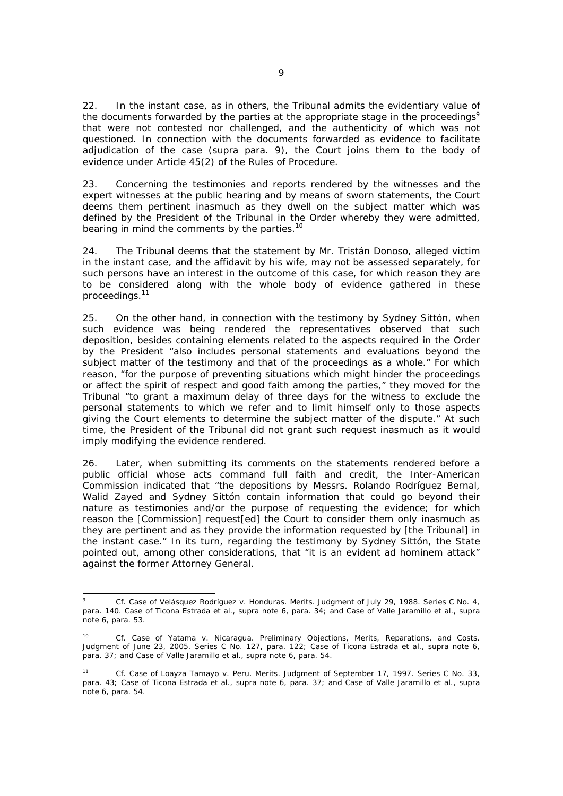22. In the instant case, as in others, the Tribunal admits the evidentiary value of the documents forwarded by the parties at the appropriate stage in the proceedings<sup>9</sup> that were not contested nor challenged, and the authenticity of which was not questioned. In connection with the documents forwarded as evidence to facilitate adjudication of the case (*supra* para. 9), the Court joins them to the body of evidence under Article 45(2) of the Rules of Procedure.

23. Concerning the testimonies and reports rendered by the witnesses and the expert witnesses at the public hearing and by means of sworn statements, the Court deems them pertinent inasmuch as they dwell on the subject matter which was defined by the President of the Tribunal in the Order whereby they were admitted, bearing in mind the comments by the parties.<sup>10</sup>

24. The Tribunal deems that the statement by Mr. Tristán Donoso, alleged victim in the instant case, and the affidavit by his wife, may not be assessed separately, for such persons have an interest in the outcome of this case, for which reason they are to be considered along with the whole body of evidence gathered in these proceedings.11

25. On the other hand, in connection with the testimony by Sydney Sittón, when such evidence was being rendered the representatives observed that such deposition, besides containing elements related to the aspects required in the Order by the President "also includes personal statements and evaluations beyond the subject matter of the testimony and that of the proceedings as a whole." For which reason, "for the purpose of preventing situations which might hinder the proceedings or affect the spirit of respect and good faith among the parties," they moved for the Tribunal "to grant a maximum delay of three days for the witness to exclude the personal statements to which we refer and to limit himself only to those aspects giving the Court elements to determine the subject matter of the dispute." At such time, the President of the Tribunal did not grant such request inasmuch as it would imply modifying the evidence rendered.

26. Later, when submitting its comments on the statements rendered before a public official whose acts command full faith and credit, the Inter-American Commission indicated that "the depositions by Messrs. Rolando Rodríguez Bernal, Walid Zayed and Sydney Sittón contain information that could go beyond their nature as testimonies and/or the purpose of requesting the evidence; for which reason the [Commission] request[ed] the Court to consider them only inasmuch as they are pertinent and as they provide the information requested by [the Tribunal] in the instant case." In its turn, regarding the testimony by Sydney Sittón, the State pointed out, among other considerations, that "it is an evident *ad hominem* attack" against the former Attorney General.

j 9 *Cf. Case of Velásquez Rodríguez v. Honduras. Merits.* Judgment of July 29, 1988. Series C No. 4, para. 140. *Case of Ticona Estrada et al., supra* note 6, para. 34; and *Case of Valle Jaramillo et al., supra* note 6, para. 53.

<sup>10</sup> *Cf. Case of Yatama v. Nicaragua. Preliminary Objections, Merits, Reparations, and Costs.* Judgment of June 23, 2005. Series C No. 127, para. 122; *Case of Ticona Estrada et al., supra* note 6, para. 37; and *Case of Valle Jaramillo et al., supra* note 6, para. 54.

<sup>11</sup> *Cf. Case of Loayza Tamayo v. Peru. Merits.* Judgment of September 17, 1997. Series C No. 33, para. 43; *Case of Ticona Estrada et al., supra* note 6, para. 37; and *Case of Valle Jaramillo et al., supra* note 6, para. 54.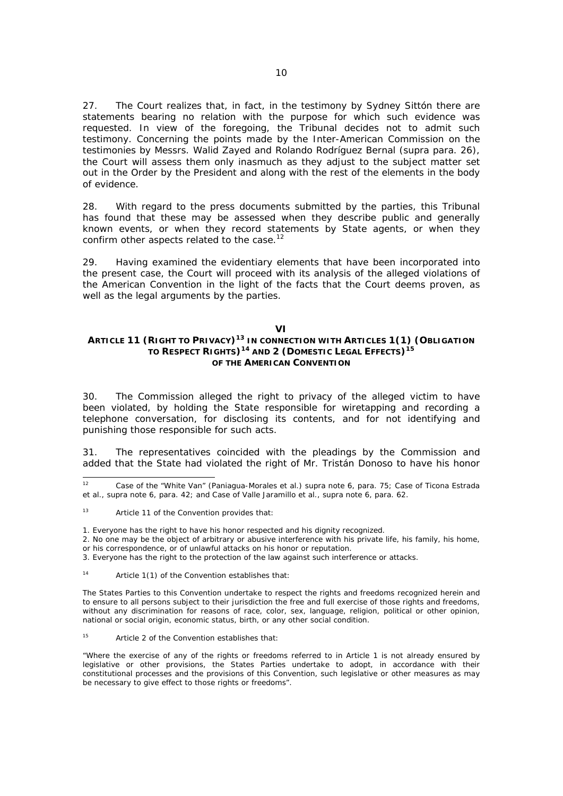27. The Court realizes that, in fact, in the testimony by Sydney Sittón there are statements bearing no relation with the purpose for which such evidence was requested. In view of the foregoing, the Tribunal decides not to admit such testimony. Concerning the points made by the Inter-American Commission on the testimonies by Messrs. Walid Zayed and Rolando Rodríguez Bernal (*supra* para. 26), the Court will assess them only inasmuch as they adjust to the subject matter set out in the Order by the President and along with the rest of the elements in the body of evidence.

28. With regard to the press documents submitted by the parties, this Tribunal has found that these may be assessed when they describe public and generally known events, or when they record statements by State agents, or when they confirm other aspects related to the case.<sup>12</sup>

29. Having examined the evidentiary elements that have been incorporated into the present case, the Court will proceed with its analysis of the alleged violations of the American Convention in the light of the facts that the Court deems proven, as well as the legal arguments by the parties.

#### **VI**

## **ARTICLE 11 (RIGHT TO PRIVACY)13 IN CONNECTION WITH ARTICLES 1(1) (OBLIGATION TO RESPECT RIGHTS)14 AND 2 (DOMESTIC LEGAL EFFECTS)<sup>15</sup> OF THE AMERICAN CONVENTION**

30. The Commission alleged the right to privacy of the alleged victim to have been violated, by holding the State responsible for wiretapping and recording a telephone conversation, for disclosing its contents, and for not identifying and punishing those responsible for such acts.

31. The representatives coincided with the pleadings by the Commission and added that the State had violated the right of Mr. Tristán Donoso to have his honor

1. Everyone has the right to have his honor respected and his dignity recognized.

- 2. No one may be the object of arbitrary or abusive interference with his private life, his family, his home, or his correspondence, or of unlawful attacks on his honor or reputation.
- 3. Everyone has the right to the protection of the law against such interference or attacks.

14 Article 1(1) of the Convention establishes that:

The States Parties to this Convention undertake to respect the rights and freedoms recognized herein and to ensure to all persons subject to their jurisdiction the free and full exercise of those rights and freedoms, without any discrimination for reasons of race, color, sex, language, religion, political or other opinion, national or social origin, economic status, birth, or any other social condition.

15 Article 2 of the Convention establishes that:

"Where the exercise of any of the rights or freedoms referred to in Article 1 is not already ensured by legislative or other provisions, the States Parties undertake to adopt, in accordance with their constitutional processes and the provisions of this Convention, such legislative or other measures as may be necessary to give effect to those rights or freedoms".

 $12<sup>12</sup>$ 12 *Case of the "White Van" (Paniagua-Morales et al.) supra* note 6, para. 75; *Case of Ticona Estrada et al., supra* note 6, para. 42; and *Case of Valle Jaramillo et al., supra* note 6, para. 62.

<sup>13</sup> Article 11 of the Convention provides that: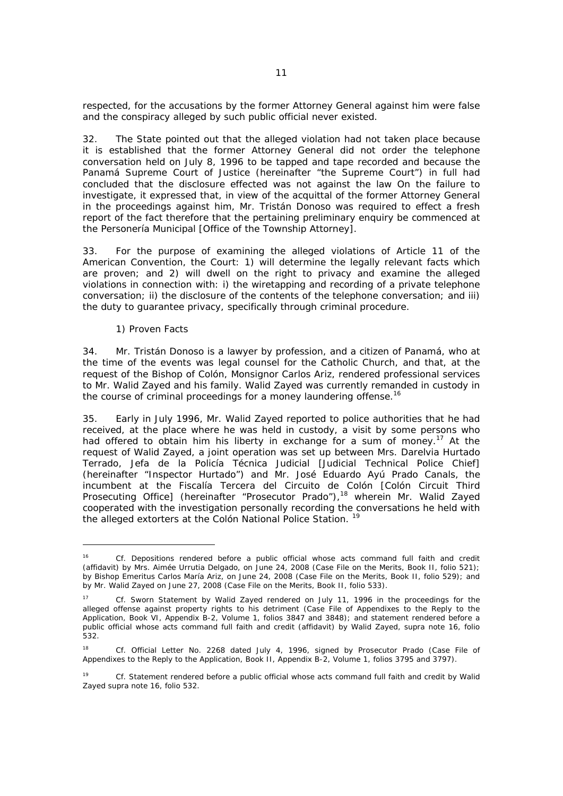respected, for the accusations by the former Attorney General against him were false and the conspiracy alleged by such public official never existed.

32. The State pointed out that the alleged violation had not taken place because it is established that the former Attorney General did not order the telephone conversation held on July 8, 1996 to be tapped and tape recorded and because the Panamá Supreme Court of Justice (hereinafter "the Supreme Court") in full had concluded that the disclosure effected was not against the law On the failure to investigate, it expressed that, in view of the acquittal of the former Attorney General in the proceedings against him, Mr. Tristán Donoso was required to effect a fresh report of the fact therefore that the pertaining preliminary enquiry be commenced at the *Personería Municipal* [Office of the Township Attorney].

33. For the purpose of examining the alleged violations of Article 11 of the American Convention, the Court: 1) will determine the legally relevant facts which are proven; and 2) will dwell on the right to privacy and examine the alleged violations in connection with: i) the wiretapping and recording of a private telephone conversation; ii) the disclosure of the contents of the telephone conversation; and iii) the duty to guarantee privacy, specifically through criminal procedure.

## *1) Proven Facts*

j

34. Mr. Tristán Donoso is a lawyer by profession, and a citizen of Panamá, who at the time of the events was legal counsel for the Catholic Church, and that, at the request of the Bishop of Colón, Monsignor Carlos Ariz, rendered professional services to Mr. Walid Zayed and his family. Walid Zayed was currently remanded in custody in the course of criminal proceedings for a money laundering offense.<sup>16</sup>

35. Early in July 1996, Mr. Walid Zayed reported to police authorities that he had received, at the place where he was held in custody, a visit by some persons who had offered to obtain him his liberty in exchange for a sum of money.<sup>17</sup> At the request of Walid Zayed, a joint operation was set up between Mrs. Darelvia Hurtado Terrado, *Jefa de la Policía Técnica Judicial* [Judicial Technical Police Chief] (hereinafter "Inspector Hurtado") and Mr. José Eduardo Ayú Prado Canals, the incumbent at the *Fiscalía Tercera del Circuito de Colón* [Colón Circuit Third Prosecuting Office] (hereinafter "Prosecutor Prado"),<sup>18</sup> wherein Mr. Walid Zayed cooperated with the investigation personally recording the conversations he held with the alleged extorters at the Colón National Police Station. 19

<sup>16</sup> *Cf.* Depositions rendered before a public official whose acts command full faith and credit (affidavit) by Mrs. Aimée Urrutia Delgado, on June 24, 2008 (Case File on the Merits, Book II, folio 521); by Bishop Emeritus Carlos María Ariz, on June 24, 2008 (Case File on the Merits, Book II, folio 529); and by Mr. Walid Zayed on June 27, 2008 (Case File on the Merits, Book II, folio 533).

<sup>17</sup> *Cf.* Sworn Statement by Walid Zayed rendered on July 11, 1996 in the proceedings for the alleged offense against property rights to his detriment (Case File of Appendixes to the Reply to the Application, Book VI, Appendix B-2, Volume 1, folios 3847 and 3848); and statement rendered before a public official whose acts command full faith and credit (affidavit) by Walid Zayed, *supra* note 16, folio 532.

<sup>18</sup> *Cf.* Official Letter No. 2268 dated July 4, 1996, signed by Prosecutor Prado (Case File of Appendixes to the Reply to the Application, Book II, Appendix B-2, Volume 1, folios 3795 and 3797).

<sup>19</sup> *Cf.* Statement rendered before a public official whose acts command full faith and credit by Walid Zayed *supra* note 16, folio 532.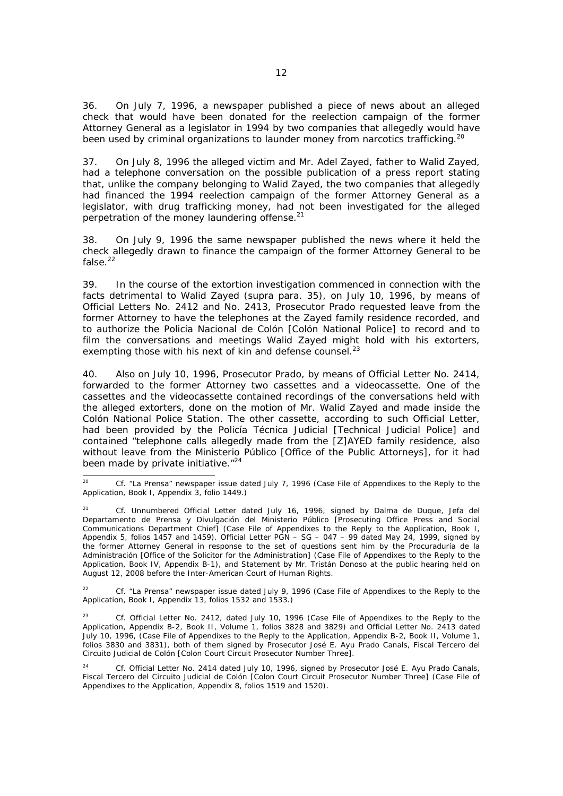36. On July 7, 1996, a newspaper published a piece of news about an alleged check that would have been donated for the reelection campaign of the former Attorney General as a legislator in 1994 by two companies that allegedly would have been used by criminal organizations to launder money from narcotics trafficking.<sup>20</sup>

37. On July 8, 1996 the alleged victim and Mr. Adel Zayed, father to Walid Zayed, had a telephone conversation on the possible publication of a press report stating that, unlike the company belonging to Walid Zayed, the two companies that allegedly had financed the 1994 reelection campaign of the former Attorney General as a legislator, with drug trafficking money, had not been investigated for the alleged perpetration of the money laundering offense.<sup>21</sup>

38. On July 9, 1996 the same newspaper published the news where it held the check allegedly drawn to finance the campaign of the former Attorney General to be false.<sup>22</sup>

39. In the course of the extortion investigation commenced in connection with the facts detrimental to Walid Zayed (*supra* para. 35), on July 10, 1996, by means of Official Letters No. 2412 and No. 2413, Prosecutor Prado requested leave from the former Attorney to have the telephones at the Zayed family residence recorded, and to authorize the *Policía Nacional de Colón* [Colón National Police] to record and to film the conversations and meetings Walid Zayed might hold with his extorters, exempting those with his next of kin and defense counsel.<sup>23</sup>

40. Also on July 10, 1996, Prosecutor Prado, by means of Official Letter No. 2414, forwarded to the former Attorney two cassettes and a videocassette. One of the cassettes and the videocassette contained recordings of the conversations held with the alleged extorters, done on the motion of Mr. Walid Zayed and made inside the Colón National Police Station. The other cassette, according to such Official Letter, had been provided by the *Policía Técnica Judicial* [Technical Judicial Police] and contained "telephone calls allegedly made from the [Z]AYED family residence, also without leave from the *Ministerio Público* [Office of the Public Attorneys], for it had been made by private initiative."<sup>24</sup>

22 *Cf.* "La Prensa" newspaper issue dated July 9, 1996 (Case File of Appendixes to the Reply to the Application, Book I, Appendix 13, folios 1532 and 1533.)

23 *Cf.* Official Letter No. 2412, dated July 10, 1996 (Case File of Appendixes to the Reply to the Application, Appendix B-2, Book II, Volume 1, folios 3828 and 3829) and Official Letter No. 2413 dated July 10, 1996, (Case File of Appendixes to the Reply to the Application, Appendix B-2, Book II, Volume 1, folios 3830 and 3831), both of them signed by Prosecutor José E. Ayu Prado Canals, *Fiscal Tercero del Circuito Judicial de Colón* [Colon Court Circuit Prosecutor Number Three].

24 *Cf.* Official Letter No. 2414 dated July 10, 1996, signed by Prosecutor José E. Ayu Prado Canals, *Fiscal Tercero del Circuito Judicial de Colón* [Colon Court Circuit Prosecutor Number Three] (Case File of Appendixes to the Application, Appendix 8, folios 1519 and 1520).

 $20<sup>o</sup>$ 20 *Cf.* "La Prensa" newspaper issue dated July 7, 1996 (Case File of Appendixes to the Reply to the Application, Book I, Appendix 3, folio 1449.)

<sup>21</sup> *Cf.* Unnumbered Official Letter dated July 16, 1996, signed by Dalma de Duque, *Jefa del Departamento de Prensa y Divulgación del Ministerio Público* [Prosecuting Office Press and Social Communications Department Chief] (Case File of Appendixes to the Reply to the Application, Book I, Appendix 5, folios 1457 and 1459)*.* Official Letter PGN – SG – 047 – 99 dated May 24, 1999, signed by the former Attorney General in response to the set of questions sent him by the *Procuraduría de la Administración* [Office of the Solicitor for the Administration] (Case File of Appendixes to the Reply to the Application, Book IV, Appendix B-1), and Statement by Mr. Tristán Donoso at the public hearing held on August 12, 2008 before the Inter-American Court of Human Rights.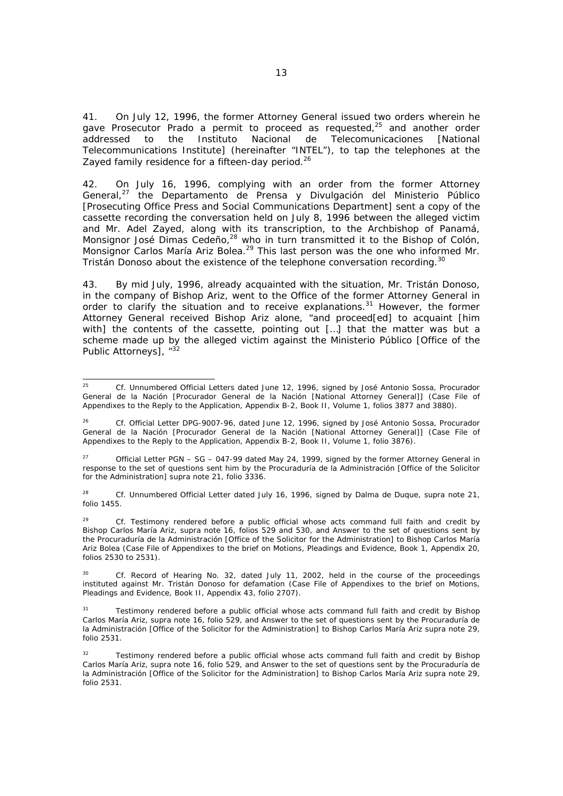41. On July 12, 1996, the former Attorney General issued two orders wherein he gave Prosecutor Prado a permit to proceed as requested, $25$  and another order addressed to the *Instituto Nacional de Telecomunicaciones* [National Telecommunications Institute] (hereinafter "INTEL"), to tap the telephones at the Zayed family residence for a fifteen-day period.<sup>26</sup>

42. On July 16, 1996, complying with an order from the former Attorney General,27 the *Departamento de Prensa y Divulgación del Ministerio Público* [Prosecuting Office Press and Social Communications Department] sent a copy of the cassette recording the conversation held on July 8, 1996 between the alleged victim and Mr. Adel Zayed, along with its transcription, to the Archbishop of Panamá, Monsignor José Dimas Cedeño,<sup>28</sup> who in turn transmitted it to the Bishop of Colón, Monsignor Carlos María Ariz Bolea.<sup>29</sup> This last person was the one who informed Mr. Tristán Donoso about the existence of the telephone conversation recording.<sup>30</sup>

43. By mid July, 1996, already acquainted with the situation, Mr. Tristán Donoso, in the company of Bishop Ariz, went to the Office of the former Attorney General in order to clarify the situation and to receive explanations.<sup>31</sup> However, the former Attorney General received Bishop Ariz alone, "and proceed[ed] to acquaint [him with] the contents of the cassette, pointing out [...] that the matter was but a scheme made up by the alleged victim against the *Ministerio Público* [Office of the Public Attorneys1, "3

27 Official Letter PGN – SG – 047-99 dated May 24, 1999, signed by the former Attorney General in response to the set of questions sent him by the *Procuraduría de la Administración* [Office of the Solicitor for the Administration] *supra* note 21, folio 3336.

28 *Cf.* Unnumbered Official Letter dated July 16, 1996, signed by Dalma de Duque, *supra* note 21, folio 1455.

29 *Cf.* Testimony rendered before a public official whose acts command full faith and credit by Bishop Carlos María Ariz, *supra* note 16, folios 529 and 530, and Answer to the set of questions sent by the *Procuraduría de la Administración* [Office of the Solicitor for the Administration] to Bishop Carlos María Ariz Bolea (Case File of Appendixes to the brief on Motions, Pleadings and Evidence, Book 1, Appendix 20, folios 2530 to 2531).

30 *Cf.* Record of Hearing No. 32, dated July 11, 2002, held in the course of the proceedings instituted against Mr. Tristán Donoso for defamation (Case File of Appendixes to the brief on Motions, Pleadings and Evidence, Book II, Appendix 43, folio 2707).

Testimony rendered before a public official whose acts command full faith and credit by Bishop Carlos María Ariz, *supra* note 16, folio 529, and Answer to the set of questions sent by the *Procuraduría de la Administración* [Office of the Solicitor for the Administration] to Bishop Carlos María Ariz *supra* note 29, folio 2531.

 $25$ 25 *Cf.* Unnumbered Official Letters dated June 12, 1996, signed by José Antonio Sossa, *Procurador General de la Nación* [*Procurador General de la Nación* [National Attorney General]] (Case File of Appendixes to the Reply to the Application, Appendix B-2, Book II, Volume 1, folios 3877 and 3880).

<sup>26</sup> *Cf.* Official Letter DPG-9007-96, dated June 12, 1996, signed by José Antonio Sossa, *Procurador General de la Nación* [*Procurador General de la Nación* [National Attorney General]] (Case File of Appendixes to the Reply to the Application, Appendix B-2, Book II, Volume 1, folio 3876).

Testimony rendered before a public official whose acts command full faith and credit by Bishop Carlos María Ariz, *supra* note 16, folio 529, and Answer to the set of questions sent by the *Procuraduría de la Administración* [Office of the Solicitor for the Administration] to Bishop Carlos María Ariz *supra* note 29, folio 2531.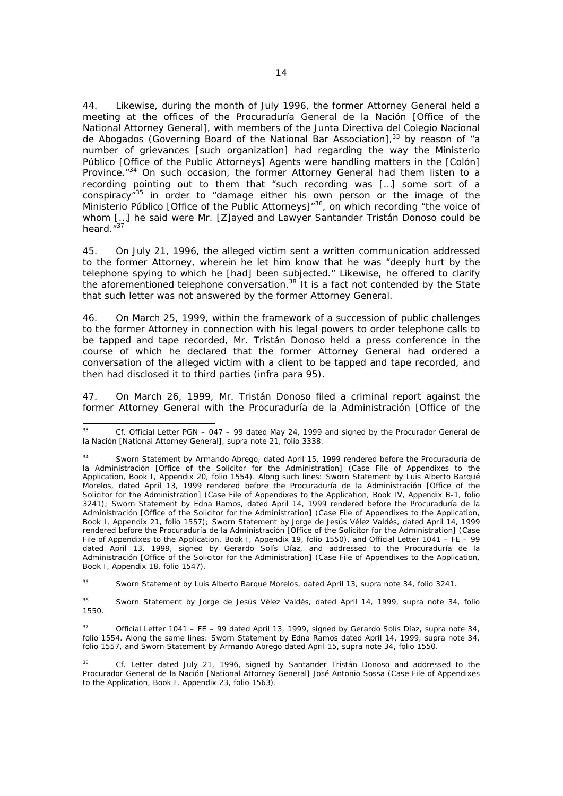44. Likewise, during the month of July 1996, the former Attorney General held a meeting at the offices of the *Procuraduría General de la Nación* [Office of the National Attorney General], with members of the *Junta Directiva del Colegio Nacional de Abogados* (Governing Board of the National Bar Association),<sup>33</sup> by reason of "a number of grievances [such organization] had regarding the way the *Ministerio Público* [Office of the Public Attorneys] Agents were handling matters in the [Colón] Province.<sup>"34</sup> On such occasion, the former Attorney General had them listen to a recording pointing out to them that "such recording was […] some sort of a conspiracy<sup>"35</sup> in order to "damage either his own person or the image of the *Ministerio Público* [Office of the Public Attorneys]"36, on which recording "the voice of whom [...] he said were Mr. [Z]ayed and Lawyer Santander Tristán Donoso could be heard. $\sqrt[3]{3}$ 

45. On July 21, 1996, the alleged victim sent a written communication addressed to the former Attorney, wherein he let him know that he was "deeply hurt by the telephone spying to which he [had] been subjected." Likewise, he offered to clarify the aforementioned telephone conversation.<sup>38</sup> It is a fact not contended by the State that such letter was not answered by the former Attorney General.

46. On March 25, 1999, within the framework of a succession of public challenges to the former Attorney in connection with his legal powers to order telephone calls to be tapped and tape recorded, Mr. Tristán Donoso held a press conference in the course of which he declared that the former Attorney General had ordered a conversation of the alleged victim with a client to be tapped and tape recorded, and then had disclosed it to third parties (*infra* para 95).

47. On March 26, 1999, Mr. Tristán Donoso filed a criminal report against the former Attorney General with the *Procuraduría de la Administración* [Office of the

35 Sworn Statement by Luis Alberto Barqué Morelos, dated April 13, *supra* note 34, folio 3241.

36 Sworn Statement by Jorge de Jesús Vélez Valdés, dated April 14, 1999, *supra* note 34, folio 1550.

37 Official Letter 1041 – FE – 99 dated April 13, 1999, signed by Gerardo Solís Díaz, *supra* note 34, folio 1554. Along the same lines: Sworn Statement by Edna Ramos dated April 14, 1999, *supra* note 34, folio 1557, and Sworn Statement by Armando Abrego dated April 15, *supra* note 34, folio 1550.

38 *Cf.* Letter dated July 21, 1996, signed by Santander Tristán Donoso and addressed to the *Procurador General de la Nación* [National Attorney General] José Antonio Sossa (Case File of Appendixes to the Application, Book I, Appendix 23, folio 1563).

<sup>33</sup> 33 *Cf.* Official Letter PGN – 047 – 99 dated May 24, 1999 and signed by the *Procurador General de la Nación* [National Attorney General], *supra* note 21, folio 3338.

<sup>34</sup> Sworn Statement by Armando Abrego, dated April 15, 1999 rendered before the *Procuraduría de la Administración* [Office of the Solicitor for the Administration] (Case File of Appendixes to the Application, Book I, Appendix 20, folio 1554). Along such lines: Sworn Statement by Luis Alberto Barqué Morelos, dated April 13, 1999 rendered before the *Procuraduría de la Administración* [Office of the Solicitor for the Administration] (Case File of Appendixes to the Application, Book IV, Appendix B-1, folio 3241); Sworn Statement by Edna Ramos, dated April 14, 1999 rendered before the *Procuraduría de la Administración* [Office of the Solicitor for the Administration] (Case File of Appendixes to the Application, Book I, Appendix 21, folio 1557); Sworn Statement by Jorge de Jesús Vélez Valdés, dated April 14, 1999 rendered before the *Procuraduría de la Administración* [Office of the Solicitor for the Administration] (Case File of Appendixes to the Application, Book I, Appendix 19, folio 1550), and Official Letter 1041 – FE – 99 dated April 13, 1999, signed by Gerardo Solís Díaz, and addressed to the *Procuraduría de la Administración* [Office of the Solicitor for the Administration] (Case File of Appendixes to the Application, Book I, Appendix 18, folio 1547).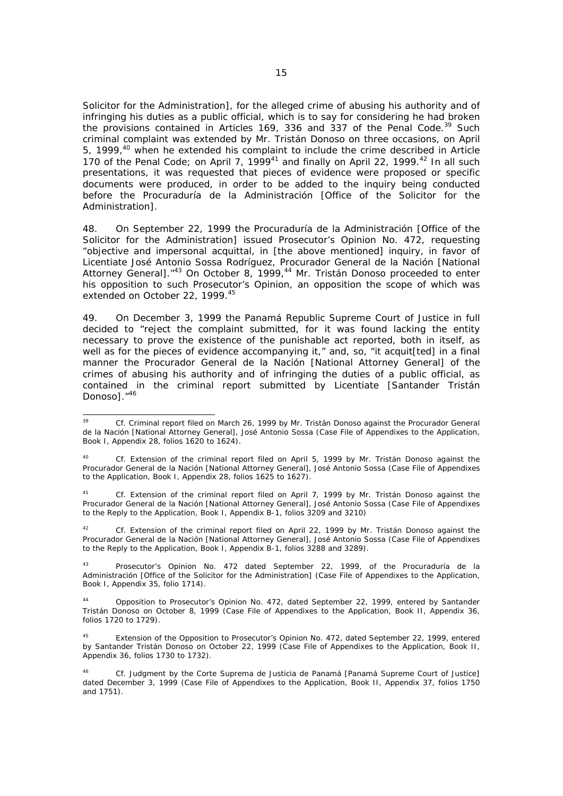Solicitor for the Administration], for the alleged crime of abusing his authority and of infringing his duties as a public official, which is to say for considering he had broken the provisions contained in Articles 169, 336 and 337 of the Penal Code.<sup>39</sup> Such criminal complaint was extended by Mr. Tristán Donoso on three occasions, on April 5, 1999,40 when he extended his complaint to include the crime described in Article 170 of the Penal Code; on April 7, 1999<sup>41</sup> and finally on April 22, 1999.<sup>42</sup> In all such presentations, it was requested that pieces of evidence were proposed or specific documents were produced, in order to be added to the inquiry being conducted before the *Procuraduría de la Administración* [Office of the Solicitor for the Administration].

48. On September 22, 1999 the *Procuraduría de la Administración* [Office of the Solicitor for the Administration] issued Prosecutor's Opinion No. 472, requesting "objective and impersonal acquittal, in [the above mentioned] inquiry, in favor of Licentiate José Antonio Sossa Rodríguez, *Procurador General de la Nación* [National Attorney General]. "<sup>43</sup> On October 8, 1999,<sup>44</sup> Mr. Tristán Donoso proceeded to enter his opposition to such Prosecutor's Opinion, an opposition the scope of which was extended on October 22, 1999.<sup>45</sup>

49. On December 3, 1999 the Panamá Republic Supreme Court of Justice in full decided to "reject the complaint submitted, for it was found lacking the entity necessary to prove the existence of the punishable act reported, both in itself, as well as for the pieces of evidence accompanying it," and, so, "it acquit[ted] in a final manner the *Procurador General de la Nación* [National Attorney General] of the crimes of abusing his authority and of infringing the duties of a public official, as contained in the criminal report submitted by Licentiate [Santander Tristán Donoso]."46

41 *Cf.* Extension of the criminal report filed on April 7, 1999 by Mr. Tristán Donoso against the *Procurador General de la Nación* [National Attorney General], José Antonio Sossa (Case File of Appendixes to the Reply to the Application, Book I, Appendix B-1, folios 3209 and 3210)

Cf. Extension of the criminal report filed on April 22, 1999 by Mr. Tristán Donoso against the *Procurador General de la Nación* [National Attorney General], José Antonio Sossa (Case File of Appendixes to the Reply to the Application, Book I, Appendix B-1, folios 3288 and 3289).

43 Prosecutor's Opinion No. 472 dated September 22, 1999, of the *Procuraduría de la Administración* [Office of the Solicitor for the Administration] (Case File of Appendixes to the Application, Book I, Appendix 35, folio 1714).

44 Opposition to Prosecutor's Opinion No. 472, dated September 22, 1999, entered by Santander Tristán Donoso on October 8, 1999 (Case File of Appendixes to the Application, Book II, Appendix 36, folios 1720 to 1729).

<sup>39</sup> 39 *Cf.* Criminal report filed on March 26, 1999 by Mr. Tristán Donoso against the *Procurador General de la Nación* [National Attorney General], José Antonio Sossa (Case File of Appendixes to the Application, Book I, Appendix 28, folios 1620 to 1624).

<sup>40</sup> *Cf.* Extension of the criminal report filed on April 5, 1999 by Mr. Tristán Donoso against the *Procurador General de la Nación* [National Attorney General], José Antonio Sossa (Case File of Appendixes to the Application, Book I, Appendix 28, folios 1625 to 1627).

<sup>45</sup> Extension of the Opposition to Prosecutor's Opinion No. 472, dated September 22, 1999, entered by Santander Tristán Donoso on October 22, 1999 (Case File of Appendixes to the Application, Book II, Appendix 36, folios 1730 to 1732).

<sup>46</sup> *Cf.* Judgment by the *Corte Suprema de Justicia de Panamá* [Panamá Supreme Court of Justice] dated December 3, 1999 (Case File of Appendixes to the Application, Book II, Appendix 37, folios 1750 and 1751).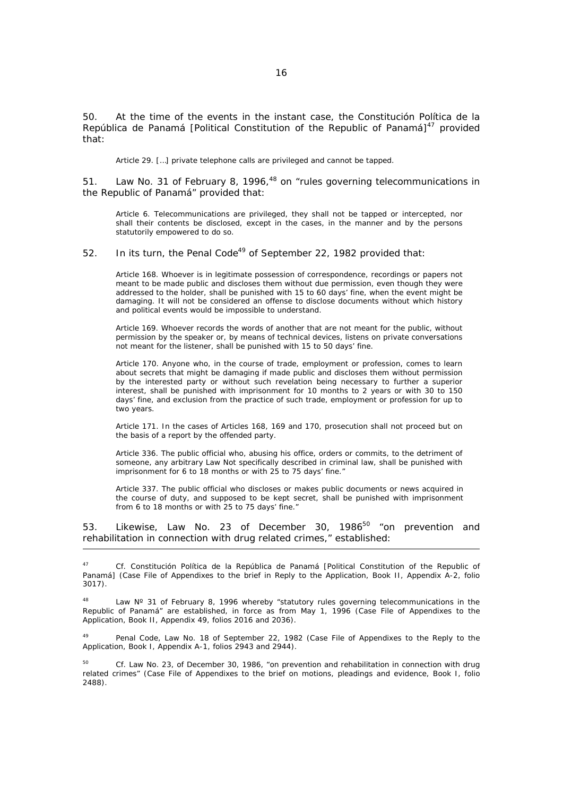50. At the time of the events in the instant case, the *Constitución Política de la República de Panamá* [Political Constitution of the Republic of Panamá]<sup>47</sup> provided that:

Article 29. […] private telephone calls are privileged and cannot be tapped.

51. Law No. 31 of February 8, 1996,<sup>48</sup> on "rules governing telecommunications in the Republic of Panamá" provided that:

Article 6. Telecommunications are privileged, they shall not be tapped or intercepted, nor shall their contents be disclosed, except in the cases, in the manner and by the persons statutorily empowered to do so.

### 52. In its turn, the Penal Code<sup>49</sup> of September 22, 1982 provided that:

Article 168. Whoever is in legitimate possession of correspondence, recordings or papers not meant to be made public and discloses them without due permission, even though they were addressed to the holder, shall be punished with 15 to 60 days' fine, when the event might be damaging. It will not be considered an offense to disclose documents without which history and political events would be impossible to understand.

Article 169. Whoever records the words of another that are not meant for the public, without permission by the speaker or, by means of technical devices, listens on private conversations not meant for the listener, shall be punished with 15 to 50 days' fine.

Article 170. Anyone who, in the course of trade, employment or profession, comes to learn about secrets that might be damaging if made public and discloses them without permission by the interested party or without such revelation being necessary to further a superior interest, shall be punished with imprisonment for 10 months to 2 years or with 30 to 150 days' fine, and exclusion from the practice of such trade, employment or profession for up to two years.

Article 171. In the cases of Articles 168, 169 and 170, prosecution shall not proceed but on the basis of a report by the offended party.

Article 336. The public official who, abusing his office, orders or commits, to the detriment of someone, any arbitrary Law Not specifically described in criminal law, shall be punished with imprisonment for 6 to 18 months or with 25 to 75 days' fine."

Article 337. The public official who discloses or makes public documents or news acquired in the course of duty, and supposed to be kept secret, shall be punished with imprisonment from 6 to 18 months or with 25 to 75 days' fine."

53. Likewise, Law No. 23 of December 30, 1986<sup>50</sup> "on prevention and rehabilitation in connection with drug related crimes," established:

j

47 *Cf. Constitución Política de la República de Panamá* [Political Constitution of the Republic of Panamá] (Case File of Appendixes to the brief in Reply to the Application, Book II, Appendix A-2, folio 3017).

 $48$  Law N° 31 of February 8, 1996 whereby "statutory rules governing telecommunications in the Republic of Panamá" are established, in force as from May 1, 1996 (Case File of Appendixes to the Application, Book II, Appendix 49, folios 2016 and 2036).

Penal Code, Law No. 18 of September 22, 1982 (Case File of Appendixes to the Reply to the Application, Book I, Appendix A-1, folios 2943 and 2944).

50 *Cf.* Law No. 23, of December 30, 1986, "on prevention and rehabilitation in connection with drug related crimes" (Case File of Appendixes to the brief on motions, pleadings and evidence, Book I, folio 2488).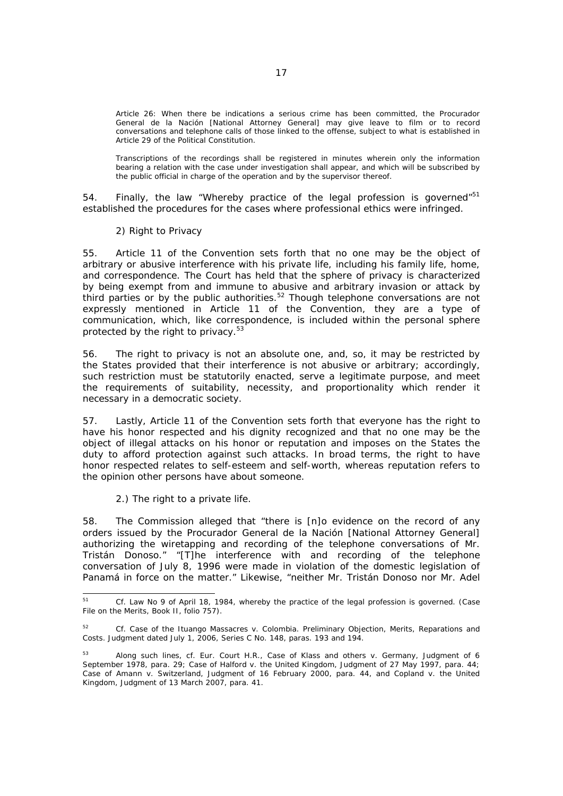Article 26: When there be indications a serious crime has been committed, the *Procurador General de la Nación* [National Attorney General] may give leave to film or to record conversations and telephone calls of those linked to the offense, subject to what is established in Article 29 of the Political Constitution.

Transcriptions of the recordings shall be registered in minutes wherein only the information bearing a relation with the case under investigation shall appear, and which will be subscribed by the public official in charge of the operation and by the supervisor thereof.

54. Finally, the law "Whereby practice of the legal profession is governed" $51$ established the procedures for the cases where professional ethics were infringed.

### *2) Right to Privacy*

55. Article 11 of the Convention sets forth that no one may be the object of arbitrary or abusive interference with his private life, including his family life, home, and correspondence. The Court has held that the sphere of privacy is characterized by being exempt from and immune to abusive and arbitrary invasion or attack by third parties or by the public authorities.<sup>52</sup> Though telephone conversations are not expressly mentioned in Article 11 of the Convention, they are a type of communication, which, like correspondence, is included within the personal sphere protected by the right to privacy.<sup>53</sup>

56. The right to privacy is not an absolute one, and, so, it may be restricted by the States provided that their interference is not abusive or arbitrary; accordingly, such restriction must be statutorily enacted, serve a legitimate purpose, and meet the requirements of suitability, necessity, and proportionality which render it necessary in a democratic society.

57. Lastly, Article 11 of the Convention sets forth that everyone has the right to have his honor respected and his dignity recognized and that no one may be the object of illegal attacks on his honor or reputation and imposes on the States the duty to afford protection against such attacks. In broad terms, the right to have honor respected relates to self-esteem and self-worth, whereas reputation refers to the opinion other persons have about someone.

### *2.) The right to a private life.*

58. The Commission alleged that "there is [n]o evidence on the record of any orders issued by the *Procurador General de la Nación* [National Attorney General] authorizing the wiretapping and recording of the telephone conversations of Mr. Tristán Donoso." "[T]he interference with and recording of the telephone conversation of July 8, 1996 were made in violation of the domestic legislation of Panamá in force on the matter." Likewise, "neither Mr. Tristán Donoso nor Mr. Adel

 $51$ 51 *Cf.* Law No 9 of April 18, 1984, whereby the practice of the legal profession is governed. (Case File on the Merits, Book II, folio 757).

<sup>52</sup> *Cf. Case of the Ituango Massacres v. Colombia. Preliminary Objection, Merits, Reparations and Costs.* Judgment dated July 1, 2006, Series C No. 148, paras. 193 and 194.

<sup>53</sup> Along such lines, *cf.* Eur. Court H.R., *Case of Klass and others v. Germany*, Judgment of 6 September 1978, para. 29; *Case of Halford v. the United Kingdom*, Judgment of 27 May 1997, para. 44; *Case of Amann v. Switzerland*, Judgment of 16 February 2000, para. 44, and *Copland v. the United Kingdom*, Judgment of 13 March 2007, para. 41.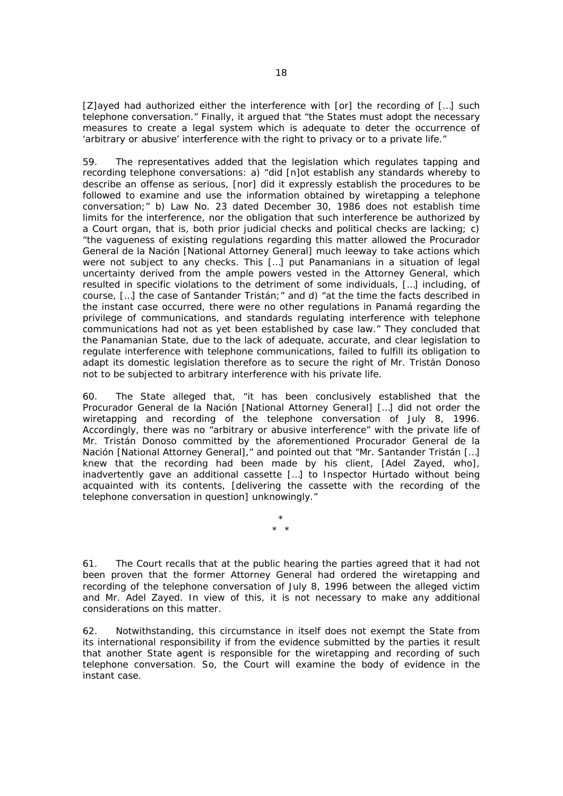[Z]ayed had authorized either the interference with [or] the recording of […] such telephone conversation." Finally, it argued that "the States must adopt the necessary measures to create a legal system which is adequate to deter the occurrence of 'arbitrary or abusive' interference with the right to privacy or to a private life."

59. The representatives added that the legislation which regulates tapping and recording telephone conversations: a) "did [n]ot establish any standards whereby to describe an offense as serious, [nor] did it expressly establish the procedures to be followed to examine and use the information obtained by wiretapping a telephone conversation;" b) Law No. 23 dated December 30, 1986 does not establish time limits for the interference, nor the obligation that such interference be authorized by a Court organ, that is, both prior judicial checks and political checks are lacking; c) "the vagueness of existing regulations regarding this matter allowed the *Procurador General de la Nación* [National Attorney General] much leeway to take actions which were not subject to any checks. This […] put Panamanians in a situation of legal uncertainty derived from the ample powers vested in the Attorney General, which resulted in specific violations to the detriment of some individuals, […] including, of course, […] the case of Santander Tristán;" and d) "at the time the facts described in the instant case occurred, there were no other regulations in Panamá regarding the privilege of communications, and standards regulating interference with telephone communications had not as yet been established by case law." They concluded that the Panamanian State, due to the lack of adequate, accurate, and clear legislation to regulate interference with telephone communications, failed to fulfill its obligation to adapt its domestic legislation therefore as to secure the right of Mr. Tristán Donoso not to be subjected to arbitrary interference with his private life.

60. The State alleged that, "it has been conclusively established that the *Procurador General de la Nación* [National Attorney General] […] did not order the wiretapping and recording of the telephone conversation of July 8, 1996. Accordingly, there was no "arbitrary or abusive interference" with the private life of Mr. Tristán Donoso committed by the aforementioned *Procurador General de la Nación* [National Attorney General]," and pointed out that "Mr. Santander Tristán […] knew that the recording had been made by his client, [Adel Zayed, who], inadvertently gave an additional cassette […] to Inspector Hurtado without being acquainted with its contents, [delivering the cassette with the recording of the telephone conversation in question] unknowingly."

> \* \* \*

61. The Court recalls that at the public hearing the parties agreed that it had not been proven that the former Attorney General had ordered the wiretapping and recording of the telephone conversation of July 8, 1996 between the alleged victim and Mr. Adel Zayed. In view of this, it is not necessary to make any additional considerations on this matter.

62. Notwithstanding, this circumstance in itself does not exempt the State from its international responsibility if from the evidence submitted by the parties it result that another State agent is responsible for the wiretapping and recording of such telephone conversation. So, the Court will examine the body of evidence in the instant case.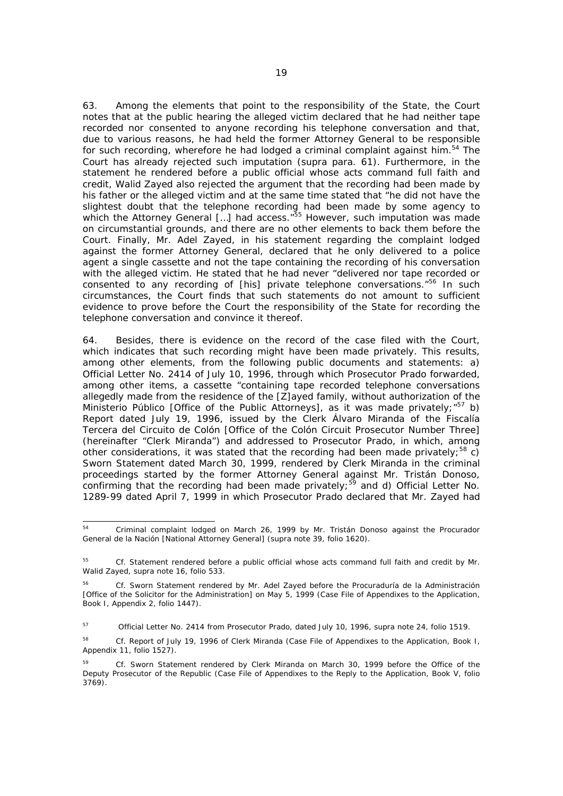63. Among the elements that point to the responsibility of the State, the Court notes that at the public hearing the alleged victim declared that he had neither tape recorded nor consented to anyone recording his telephone conversation and that, due to various reasons, he had held the former Attorney General to be responsible for such recording, wherefore he had lodged a criminal complaint against him. $54$  The Court has already rejected such imputation (*supra* para. 61). Furthermore, in the statement he rendered before a public official whose acts command full faith and credit, Walid Zayed also rejected the argument that the recording had been made by his father or the alleged victim and at the same time stated that "he did not have the slightest doubt that the telephone recording had been made by some agency to which the Attorney General [...] had access.<sup>"55</sup> However, such imputation was made on circumstantial grounds, and there are no other elements to back them before the Court. Finally, Mr. Adel Zayed, in his statement regarding the complaint lodged against the former Attorney General, declared that he only delivered to a police agent a single cassette and not the tape containing the recording of his conversation with the alleged victim. He stated that he had never "delivered nor tape recorded or consented to any recording of [his] private telephone conversations.<sup>"56</sup> In such circumstances, the Court finds that such statements do not amount to sufficient evidence to prove before the Court the responsibility of the State for recording the telephone conversation and convince it thereof.

64. Besides, there is evidence on the record of the case filed with the Court, which indicates that such recording might have been made privately. This results, among other elements, from the following public documents and statements: a) Official Letter No. 2414 of July 10, 1996, through which Prosecutor Prado forwarded, among other items, a cassette "containing tape recorded telephone conversations allegedly made from the residence of the [Z]ayed family, without authorization of the *Ministerio Público* [Office of the Public Attorneys], as it was made privately;<sup>"57</sup> b) Report dated July 19, 1996, issued by the Clerk Álvaro Miranda of the *Fiscalía Tercera del Circuito de Colón* [Office of the Colón Circuit Prosecutor Number Three] (hereinafter "Clerk Miranda") and addressed to Prosecutor Prado, in which, among other considerations, it was stated that the recording had been made privately;<sup>58</sup> c) Sworn Statement dated March 30, 1999, rendered by Clerk Miranda in the criminal proceedings started by the former Attorney General against Mr. Tristán Donoso, confirming that the recording had been made privately;  $59$  and d) Official Letter No. 1289-99 dated April 7, 1999 in which Prosecutor Prado declared that Mr. Zayed had

<sup>54</sup> 54 Criminal complaint lodged on March 26, 1999 by Mr. Tristán Donoso against the *Procurador General de la Nación* [National Attorney General] (*supra* note 39, folio 1620).

<sup>55</sup>*Cf*. Statement rendered before a public official whose acts command full faith and credit by Mr. Walid Zayed, *supra* note 16, folio 533.

<sup>56</sup>*Cf*. Sworn Statement rendered by Mr. Adel Zayed before the *Procuraduría de la Administración* [Office of the Solicitor for the Administration] on May 5, 1999 (Case File of Appendixes to the Application, Book I, Appendix 2, folio 1447).

<sup>57</sup> Official Letter No. 2414 from Prosecutor Prado, dated July 10, 1996, *supra* note 24, folio 1519.

<sup>58</sup>*Cf*. Report of July 19, 1996 of Clerk Miranda (Case File of Appendixes to the Application, Book I, Appendix 11, folio 1527).

<sup>59</sup> *Cf.* Sworn Statement rendered by Clerk Miranda on March 30, 1999 before the Office of the Deputy Prosecutor of the Republic (Case File of Appendixes to the Reply to the Application, Book V, folio 3769).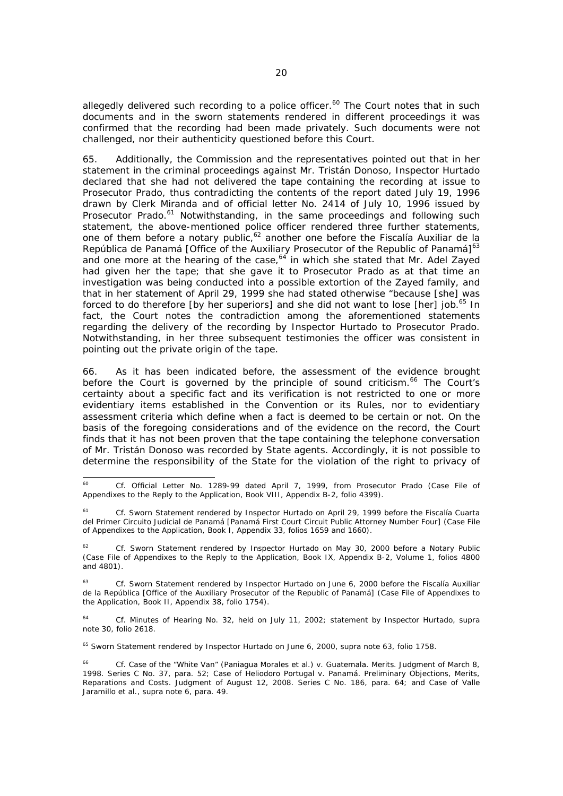allegedly delivered such recording to a police officer.<sup>60</sup> The Court notes that in such documents and in the sworn statements rendered in different proceedings it was confirmed that the recording had been made privately. Such documents were not challenged, nor their authenticity questioned before this Court.

65. Additionally, the Commission and the representatives pointed out that in her statement in the criminal proceedings against Mr. Tristán Donoso, Inspector Hurtado declared that she had not delivered the tape containing the recording at issue to Prosecutor Prado, thus contradicting the contents of the report dated July 19, 1996 drawn by Clerk Miranda and of official letter No. 2414 of July 10, 1996 issued by Prosecutor Prado.<sup>61</sup> Notwithstanding, in the same proceedings and following such statement, the above-mentioned police officer rendered three further statements, one of them before a notary public,<sup>62</sup> another one before the *Fiscalía Auxiliar de la República de Panamá* [Office of the Auxiliary Prosecutor of the Republic of Panamá]<sup>63</sup> and one more at the hearing of the case,<sup>64</sup> in which she stated that Mr. Adel Zayed had given her the tape; that she gave it to Prosecutor Prado as at that time an investigation was being conducted into a possible extortion of the Zayed family, and that in her statement of April 29, 1999 she had stated otherwise "because [she] was forced to do therefore [by her superiors] and she did not want to lose [her] job.<sup>65</sup> In fact, the Court notes the contradiction among the aforementioned statements regarding the delivery of the recording by Inspector Hurtado to Prosecutor Prado. Notwithstanding, in her three subsequent testimonies the officer was consistent in pointing out the private origin of the tape.

66. As it has been indicated before, the assessment of the evidence brought before the Court is governed by the principle of sound criticism.<sup>66</sup> The Court's certainty about a specific fact and its verification is not restricted to one or more evidentiary items established in the Convention or its Rules, nor to evidentiary assessment criteria which define when a fact is deemed to be certain or not. On the basis of the foregoing considerations and of the evidence on the record, the Court finds that it has not been proven that the tape containing the telephone conversation of Mr. Tristán Donoso was recorded by State agents. Accordingly, it is not possible to determine the responsibility of the State for the violation of the right to privacy of

65 Sworn Statement rendered by Inspector Hurtado on June 6, 2000, *supra* note 63, folio 1758.

 $60$ <sup>60</sup>*Cf*. Official Letter No. 1289-99 dated April 7, 1999, from Prosecutor Prado (Case File of Appendixes to the Reply to the Application, Book VIII, Appendix B-2, folio 4399).

<sup>61</sup>*Cf.* Sworn Statement rendered by Inspector Hurtado on April 29, 1999 before the *Fiscalía Cuarta del Primer Circuito Judicial de Panamá* [Panamá First Court Circuit Public Attorney Number Four] (Case File of Appendixes to the Application, Book I, Appendix 33, folios 1659 and 1660).

<sup>62</sup>*Cf*. Sworn Statement rendered by Inspector Hurtado on May 30, 2000 before a Notary Public (Case File of Appendixes to the Reply to the Application, Book IX, Appendix B-2, Volume 1, folios 4800 and 4801).

<sup>63</sup>*Cf*. Sworn Statement rendered by Inspector Hurtado on June 6, 2000 before the *Fiscalía Auxiliar de la República* [Office of the Auxiliary Prosecutor of the Republic of Panamá] (Case File of Appendixes to the Application, Book II, Appendix 38, folio 1754).

<sup>64</sup>*Cf.* Minutes of Hearing No. 32, held on July 11, 2002; statement by Inspector Hurtado, *supra* note 30, folio 2618.

<sup>66</sup> *Cf. Case of the "White Van" (Paniagua Morales et al.) v. Guatemala. Merits*. Judgment of March 8, 1998. Series C No. 37, para. 52; *Case of Heliodoro Portugal v. Panamá. Preliminary Objections, Merits, Reparations and Costs.* Judgment of August 12, 2008. Series C No. 186, para. 64*;* and *Case of Valle Jaramillo et al., supra* note 6, para. 49.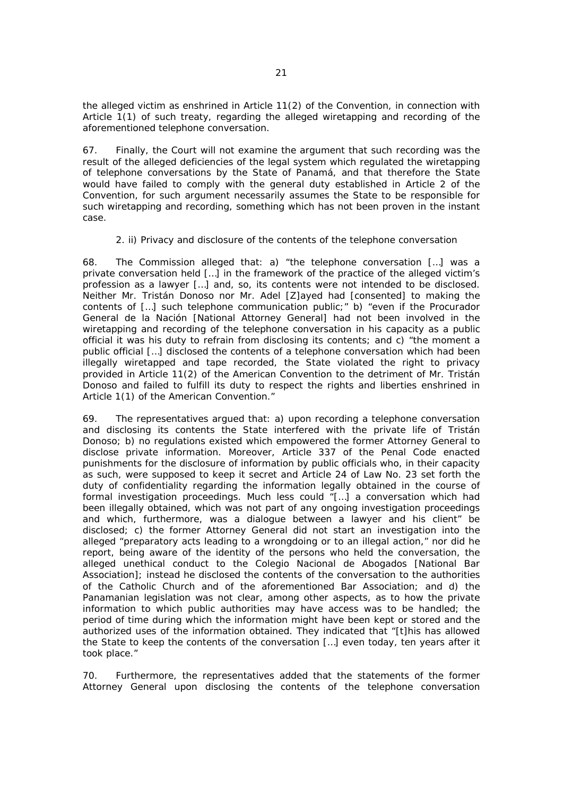the alleged victim as enshrined in Article 11(2) of the Convention, in connection with Article 1(1) of such treaty, regarding the alleged wiretapping and recording of the aforementioned telephone conversation.

67. Finally, the Court will not examine the argument that such recording was the result of the alleged deficiencies of the legal system which regulated the wiretapping of telephone conversations by the State of Panamá, and that therefore the State would have failed to comply with the general duty established in Article 2 of the Convention, for such argument necessarily assumes the State to be responsible for such wiretapping and recording, something which has not been proven in the instant case.

## *2. ii) Privacy and disclosure of the contents of the telephone conversation*

68. The Commission alleged that: a) "the telephone conversation […] was a private conversation held […] in the framework of the practice of the alleged victim's profession as a lawyer […] and, so, its contents were not intended to be disclosed. Neither Mr. Tristán Donoso nor Mr. Adel [Z]ayed had [consented] to making the contents of […] such telephone communication public;" b) "even if the *Procurador General de la Nación* [National Attorney General] had not been involved in the wiretapping and recording of the telephone conversation in his capacity as a public official it was his duty to refrain from disclosing its contents; and c) "the moment a public official […] disclosed the contents of a telephone conversation which had been illegally wiretapped and tape recorded, the State violated the right to privacy provided in Article 11(2) of the American Convention to the detriment of Mr. Tristán Donoso and failed to fulfill its duty to respect the rights and liberties enshrined in Article 1(1) of the American Convention."

69. The representatives argued that: a) upon recording a telephone conversation and disclosing its contents the State interfered with the private life of Tristán Donoso; b) no regulations existed which empowered the former Attorney General to disclose private information. Moreover, Article 337 of the Penal Code enacted punishments for the disclosure of information by public officials who, in their capacity as such, were supposed to keep it secret and Article 24 of Law No. 23 set forth the duty of confidentiality regarding the information legally obtained in the course of formal investigation proceedings. Much less could  $\overline{I}$ [...] a conversation which had been illegally obtained, which was not part of any ongoing investigation proceedings and which, furthermore, was a dialogue between a lawyer and his client" be disclosed; c) the former Attorney General did not start an investigation into the alleged "preparatory acts leading to a wrongdoing or to an illegal action," nor did he report, being aware of the identity of the persons who held the conversation, the alleged unethical conduct to the *Colegio Nacional de Abogados* [National Bar Association]; instead he disclosed the contents of the conversation to the authorities of the Catholic Church and of the aforementioned Bar Association; and d) the Panamanian legislation was not clear, among other aspects, as to how the private information to which public authorities may have access was to be handled; the period of time during which the information might have been kept or stored and the authorized uses of the information obtained. They indicated that "[t]his has allowed the State to keep the contents of the conversation […] even today, ten years after it took place."

70. Furthermore, the representatives added that the statements of the former Attorney General upon disclosing the contents of the telephone conversation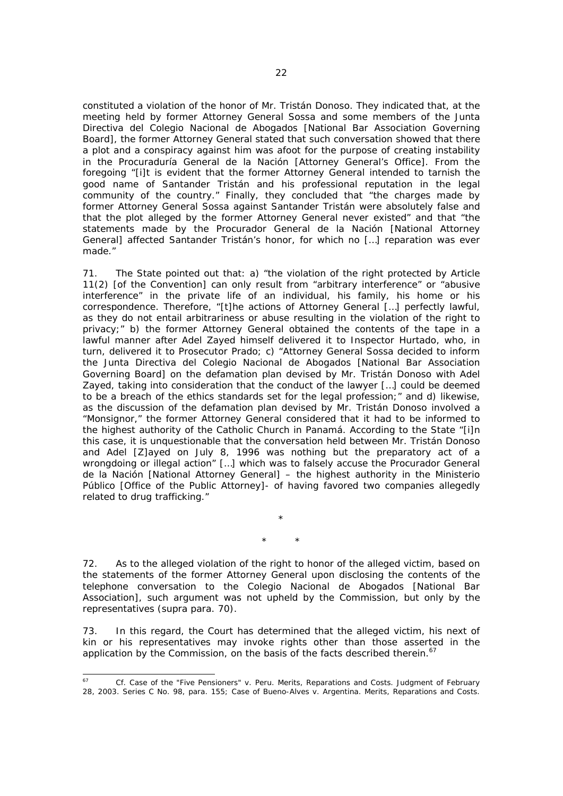constituted a violation of the honor of Mr. Tristán Donoso. They indicated that, at the meeting held by former Attorney General Sossa and some members of the *Junta Directiva del Colegio Nacional de Abogados* [National Bar Association Governing Board], the former Attorney General stated that such conversation showed that there a plot and a conspiracy against him was afoot for the purpose of creating instability in the *Procuraduría General de la Nación* [Attorney General's Office]. From the foregoing "[i]t is evident that the former Attorney General intended to tarnish the good name of Santander Tristán and his professional reputation in the legal community of the country." Finally, they concluded that "the charges made by former Attorney General Sossa against Santander Tristán were absolutely false and that the plot alleged by the former Attorney General never existed" and that "the statements made by the *Procurador General de la Nación* [National Attorney General] affected Santander Tristán's honor, for which no […] reparation was ever made."

71. The State pointed out that: a) "the violation of the right protected by Article 11(2) [of the Convention] can only result from "arbitrary interference" or "abusive interference" in the private life of an individual, his family, his home or his correspondence. Therefore, "[t]he actions of Attorney General […] perfectly lawful, as they do not entail arbitrariness or abuse resulting in the violation of the right to privacy;" b) the former Attorney General obtained the contents of the tape in a lawful manner after Adel Zayed himself delivered it to Inspector Hurtado, who, in turn, delivered it to Prosecutor Prado; c) "Attorney General Sossa decided to inform the *Junta Directiva del Colegio Nacional de Abogados* [National Bar Association Governing Board] on the defamation plan devised by Mr. Tristán Donoso with Adel Zayed, taking into consideration that the conduct of the lawyer […] could be deemed to be a breach of the ethics standards set for the legal profession;" and d) likewise, as the discussion of the defamation plan devised by Mr. Tristán Donoso involved a "Monsignor," the former Attorney General considered that it had to be informed to the highest authority of the Catholic Church in Panamá. According to the State "[i]n this case, it is unquestionable that the conversation held between Mr. Tristán Donoso and Adel [Z]ayed on July 8, 1996 was nothing but the preparatory act of a wrongdoing or illegal action" […] which was to falsely accuse the *Procurador General de la Nación* [National Attorney General] – the highest authority in the *Ministerio Público* [Office of the Public Attorney]- of having favored two companies allegedly related to drug trafficking."

\* \*

\*

72. As to the alleged violation of the right to honor of the alleged victim, based on the statements of the former Attorney General upon disclosing the contents of the telephone conversation to the *Colegio Nacional de Abogados* [National Bar Association], such argument was not upheld by the Commission, but only by the representatives (*supra* para. 70).

73. In this regard, the Court has determined that the alleged victim, his next of kin or his representatives may invoke rights other than those asserted in the application by the Commission, on the basis of the facts described therein.<sup>67</sup>

 $67$ 67 *Cf. Case of the "Five Pensioners" v. Peru. Merits, Reparations and Costs*. Judgment of February 28, 2003. Series C No. 98, para. 155; *Case of Bueno-Alves v. Argentina. Merits, Reparations and Costs*.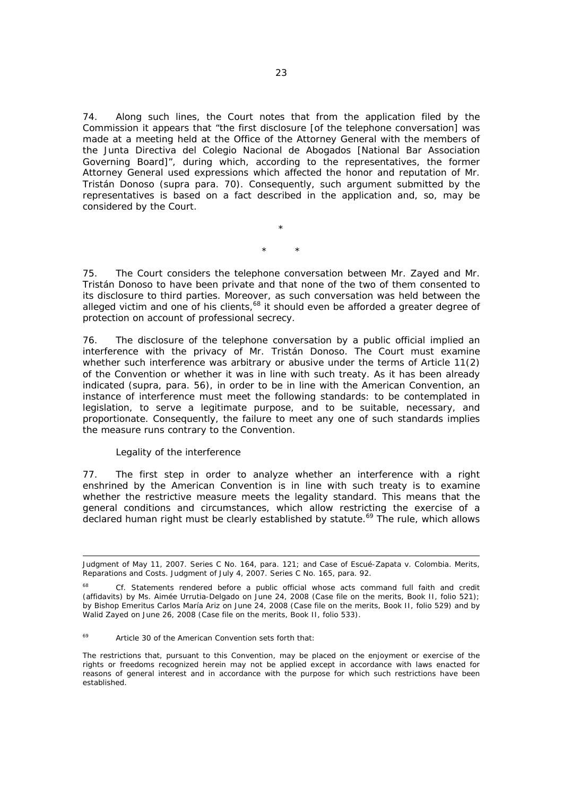74. Along such lines, the Court notes that from the application filed by the Commission it appears that "the first disclosure [of the telephone conversation] was made at a meeting held at the Office of the Attorney General with the members of the *Junta Directiva del Colegio Nacional de Abogados* [National Bar Association Governing Board]", during which, according to the representatives, the former Attorney General used expressions which affected the honor and reputation of Mr. Tristán Donoso (*supra* para. 70). Consequently, such argument submitted by the representatives is based on a fact described in the application and, so, may be considered by the Court.

\* \*

\*

75. The Court considers the telephone conversation between Mr. Zayed and Mr. Tristán Donoso to have been private and that none of the two of them consented to its disclosure to third parties. Moreover, as such conversation was held between the alleged victim and one of his clients,<sup>68</sup> it should even be afforded a greater degree of protection on account of professional secrecy.

76. The disclosure of the telephone conversation by a public official implied an interference with the privacy of Mr. Tristán Donoso. The Court must examine whether such interference was arbitrary or abusive under the terms of Article 11(2) of the Convention or whether it was in line with such treaty. As it has been already indicated (*supra,* para. 56), in order to be in line with the American Convention, an instance of interference must meet the following standards: to be contemplated in legislation, to serve a legitimate purpose, and to be suitable, necessary, and proportionate. Consequently, the failure to meet any one of such standards implies the measure runs contrary to the Convention.

# *Legality of the interference*

ī

77. The first step in order to analyze whether an interference with a right enshrined by the American Convention is in line with such treaty is to examine whether the restrictive measure meets the legality standard. This means that the general conditions and circumstances, which allow restricting the exercise of a declared human right must be clearly established by statute.<sup>69</sup> The rule, which allows

Judgment of May 11, 2007. Series C No. 164, para. 121; and *Case of Escué-Zapata v. Colombia. Merits, Reparations and Costs*. Judgment of July 4, 2007. Series C No. 165, para. 92.

<sup>68</sup>*Cf*. Statements rendered before a public official whose acts command full faith and credit (affidavits) by Ms. Aimée Urrutia-Delgado on June 24, 2008 (Case file on the merits, Book II, folio 521); by Bishop Emeritus Carlos María Ariz on June 24, 2008 (Case file on the merits, Book II, folio 529) and by Walid Zayed on June 26, 2008 (Case file on the merits, Book II, folio 533).

<sup>69</sup> Article 30 of the American Convention sets forth that:

The restrictions that, pursuant to this Convention, may be placed on the enjoyment or exercise of the rights or freedoms recognized herein may not be applied except in accordance with laws enacted for reasons of general interest and in accordance with the purpose for which such restrictions have been established.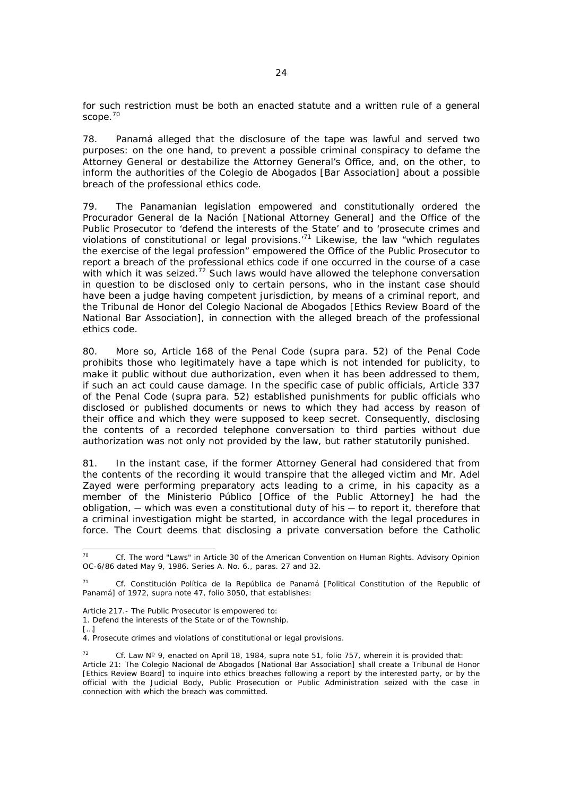for such restriction must be both an enacted statute and a written rule of a general scope.<sup>70</sup>

78. Panamá alleged that the disclosure of the tape was lawful and served two purposes: on the one hand, to prevent a possible criminal conspiracy to defame the Attorney General or destabilize the Attorney General's Office, and, on the other, to inform the authorities of the *Colegio de Abogados* [Bar Association] about a possible breach of the professional ethics code.

79. The Panamanian legislation empowered and constitutionally ordered the *Procurador General de la Nación* [National Attorney General] and the Office of the Public Prosecutor to 'defend the interests of the State' and to 'prosecute crimes and violations of constitutional or legal provisions.<sup>71</sup> Likewise, the law "which regulates the exercise of the legal profession" empowered the Office of the Public Prosecutor to report a breach of the professional ethics code if one occurred in the course of a case with which it was seized.<sup>72</sup> Such laws would have allowed the telephone conversation in question to be disclosed only to certain persons, who in the instant case should have been a judge having competent jurisdiction, by means of a criminal report, and the *Tribunal de Honor del Colegio Nacional de Abogados* [Ethics Review Board of the National Bar Association], in connection with the alleged breach of the professional ethics code.

80. More so, Article 168 of the Penal Code (*supra* para. 52) of the Penal Code prohibits those who legitimately have a tape which is not intended for publicity, to make it public without due authorization, even when it has been addressed to them, if such an act could cause damage. In the specific case of public officials, Article 337 of the Penal Code (*supra* para. 52) established punishments for public officials who disclosed or published documents or news to which they had access by reason of their office and which they were supposed to keep secret. Consequently, disclosing the contents of a recorded telephone conversation to third parties without due authorization was not only not provided by the law, but rather statutorily punished.

81. In the instant case, if the former Attorney General had considered that from the contents of the recording it would transpire that the alleged victim and Mr. Adel Zayed were performing preparatory acts leading to a crime, in his capacity as a member of the *Ministerio Público* [Office of the Public Attorney] he had the  $obligation$ ,  $-$  which was even a constitutional duty of his  $-$  to report it, therefore that a criminal investigation might be started, in accordance with the legal procedures in force. The Court deems that disclosing a private conversation before the Catholic

 $[...]$ 

<sup>70</sup> 70 *Cf. The word "Laws" in Article 30 of the American Convention on Human Rights.* Advisory Opinion OC-6/86 dated May 9, 1986. Series A. No. 6., paras. 27 and 32.

<sup>71</sup> *Cf. Constitución Política de la República de Panamá* [Political Constitution of the Republic of Panamá] of 1972, *supra* note 47, folio 3050, that establishes:

Article 217.- The Public Prosecutor is empowered to:

<sup>1.</sup> Defend the interests of the State or of the Township.

<sup>4.</sup> Prosecute crimes and violations of constitutional or legal provisions.

<sup>72</sup> *Cf.* Law Nº 9, enacted on April 18, 1984, *supra* note 51, folio 757, wherein it is provided that: Article 21: The *Colegio Nacional de Abogados* [National Bar Association] shall create a *Tribunal de Honor* [Ethics Review Board] to inquire into ethics breaches following a report by the interested party, or by the official with the Judicial Body, Public Prosecution or Public Administration seized with the case in connection with which the breach was committed.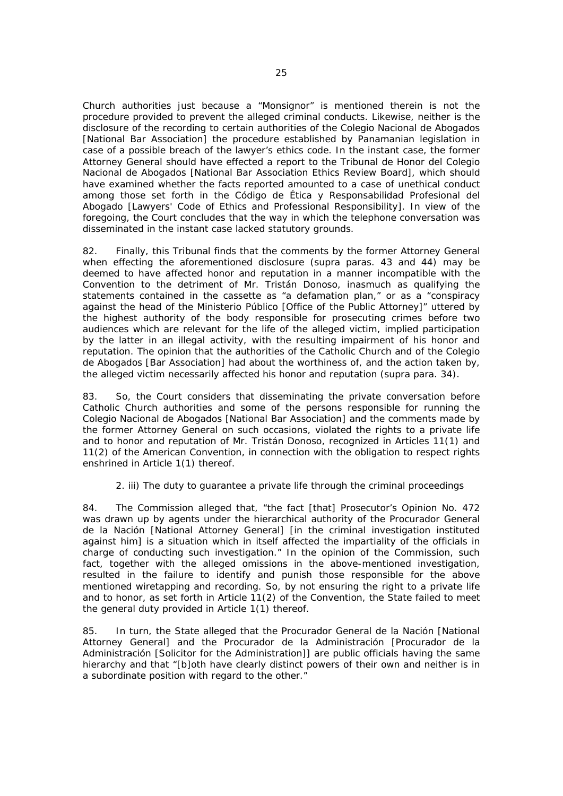Church authorities just because a "Monsignor" is mentioned therein is not the procedure provided to prevent the alleged criminal conducts. Likewise, neither is the disclosure of the recording to certain authorities of the *Colegio Nacional de Abogados* [National Bar Association] the procedure established by Panamanian legislation in case of a possible breach of the lawyer's ethics code. In the instant case, the former Attorney General should have effected a report to the *Tribunal de Honor del Colegio Nacional de Abogados* [National Bar Association Ethics Review Board], which should have examined whether the facts reported amounted to a case of unethical conduct among those set forth in the *Código de Ética y Responsabilidad Profesional del Abogado* [Lawyers' Code of Ethics and Professional Responsibility]. In view of the foregoing, the Court concludes that the way in which the telephone conversation was disseminated in the instant case lacked statutory grounds.

82. Finally, this Tribunal finds that the comments by the former Attorney General when effecting the aforementioned disclosure (*supra* paras. 43 and 44) may be deemed to have affected honor and reputation in a manner incompatible with the Convention to the detriment of Mr. Tristán Donoso, inasmuch as qualifying the statements contained in the cassette as "a defamation plan," or as a "conspiracy against the head of the *Ministerio Público* [Office of the Public Attorney]" uttered by the highest authority of the body responsible for prosecuting crimes before two audiences which are relevant for the life of the alleged victim, implied participation by the latter in an illegal activity, with the resulting impairment of his honor and reputation. The opinion that the authorities of the Catholic Church and of the *Colegio de Abogados* [Bar Association] had about the worthiness of, and the action taken by, the alleged victim necessarily affected his honor and reputation (*supra* para. 34).

83. So, the Court considers that disseminating the private conversation before Catholic Church authorities and some of the persons responsible for running the *Colegio Nacional de Abogados* [National Bar Association] and the comments made by the former Attorney General on such occasions, violated the rights to a private life and to honor and reputation of Mr. Tristán Donoso, recognized in Articles 11(1) and 11(2) of the American Convention, in connection with the obligation to respect rights enshrined in Article 1(1) thereof.

# *2. iii) The duty to guarantee a private life through the criminal proceedings*

84. The Commission alleged that, "the fact [that] Prosecutor's Opinion No. 472 was drawn up by agents under the hierarchical authority of the *Procurador General de la Nación* [National Attorney General] [in the criminal investigation instituted against him] is a situation which in itself affected the impartiality of the officials in charge of conducting such investigation." In the opinion of the Commission, such fact, together with the alleged omissions in the above-mentioned investigation, resulted in the failure to identify and punish those responsible for the above mentioned wiretapping and recording. So, by not ensuring the right to a private life and to honor, as set forth in Article 11(2) of the Convention, the State failed to meet the general duty provided in Article 1(1) thereof.

85. In turn, the State alleged that the *Procurador General de la Nación* [National Attorney General] and the *Procurador de la Administración* [Procurador de la Administración [Solicitor for the Administration]] are public officials having the same hierarchy and that "[b]oth have clearly distinct powers of their own and neither is in a subordinate position with regard to the other."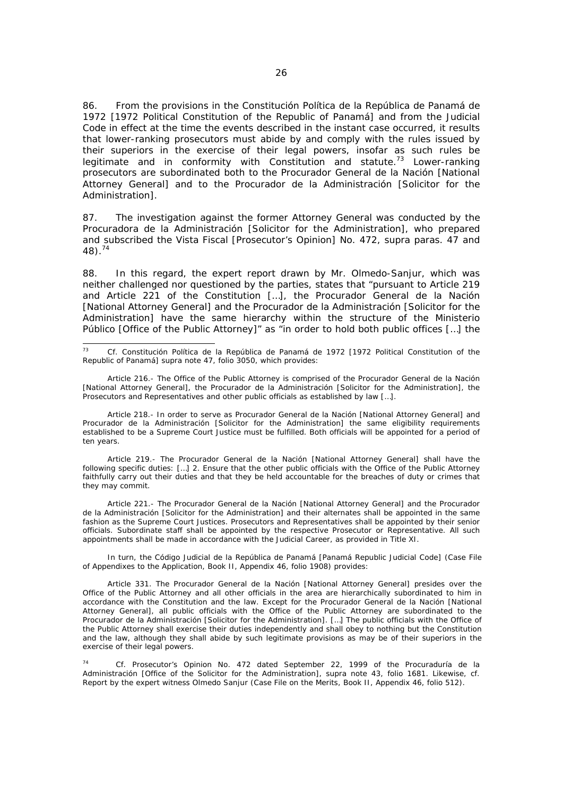86. From the provisions in the *Constitución Política de la República de Panamá de 1972* [1972 Political Constitution of the Republic of Panamá] and from the Judicial Code in effect at the time the events described in the instant case occurred, it results that lower-ranking prosecutors must abide by and comply with the rules issued by their superiors in the exercise of their legal powers, insofar as such rules be legitimate and in conformity with Constitution and statute.<sup>73</sup> Lower-ranking prosecutors are subordinated both to the *Procurador General de la Nación* [National Attorney General] and to the *Procurador de la Administración* [Solicitor for the Administration].

87. The investigation against the former Attorney General was conducted by the *Procuradora de la Administración* [Solicitor for the Administration], who prepared and subscribed the *Vista Fiscal* [Prosecutor's Opinion] No. 472, *supra* paras. 47 and 48).74

88. In this regard, the expert report drawn by Mr. Olmedo-Sanjur, which was neither challenged nor questioned by the parties, states that "pursuant to Article 219 and Article 221 of the Constitution […], the *Procurador General de la Nación* [National Attorney General] and the *Procurador de la Administración* [Solicitor for the Administration] have the same hierarchy within the structure of the *Ministerio Público* [Office of the Public Attorney]" as "in order to hold both public offices […] the

 $73$ 73 *Cf. Constitución Política de la República de Panamá de 1972* [1972 Political Constitution of the Republic of Panamá] *supra* note 47, folio 3050, which provides:

 Article 216.- The Office of the Public Attorney is comprised of the *Procurador General de la Nación* [National Attorney General], the *Procurador de la Administración* [Solicitor for the Administration], the Prosecutors and Representatives and other public officials as established by law […].

 Article 218.- In order to serve as *Procurador General de la Nación* [National Attorney General] and *Procurador de la Administración* [Solicitor for the Administration] the same eligibility requirements established to be a Supreme Court Justice must be fulfilled. Both officials will be appointed for a period of ten years.

 Article 219.- The *Procurador General de la Nación* [National Attorney General] shall have the following specific duties: […] 2. Ensure that the other public officials with the Office of the Public Attorney faithfully carry out their duties and that they be held accountable for the breaches of duty or crimes that they may commit.

 Article 221.- The *Procurador General de la Nación* [National Attorney General] and the *Procurador de la Administración* [Solicitor for the Administration] and their alternates shall be appointed in the same fashion as the Supreme Court Justices. Prosecutors and Representatives shall be appointed by their senior officials. Subordinate staff shall be appointed by the respective Prosecutor or Representative. All such appointments shall be made in accordance with the Judicial Career, as provided in Title XI.

In turn, the *Código Judicial de la República de Panamá* [Panamá Republic Judicial Code] (Case File of Appendixes to the Application, Book II, Appendix 46, folio 1908) provides:

Article 331. The *Procurador General de la Nación* [National Attorney General] presides over the Office of the Public Attorney and all other officials in the area are hierarchically subordinated to him in accordance with the Constitution and the law. Except for the *Procurador General de la Nación* [National Attorney General], all public officials with the Office of the Public Attorney are subordinated to the *Procurador de la Administración* [Solicitor for the Administration]. […] The public officials with the Office of the Public Attorney shall exercise their duties independently and shall obey to nothing but the Constitution and the law, although they shall abide by such legitimate provisions as may be of their superiors in the exercise of their legal powers.

74 *Cf.* Prosecutor's Opinion No. 472 dated September 22, 1999 of the *Procuraduría de la Administración* [Office of the Solicitor for the Administration], *supra* note 43, folio 1681. Likewise, *cf*. Report by the expert witness Olmedo Sanjur (Case File on the Merits, Book II, Appendix 46, folio 512).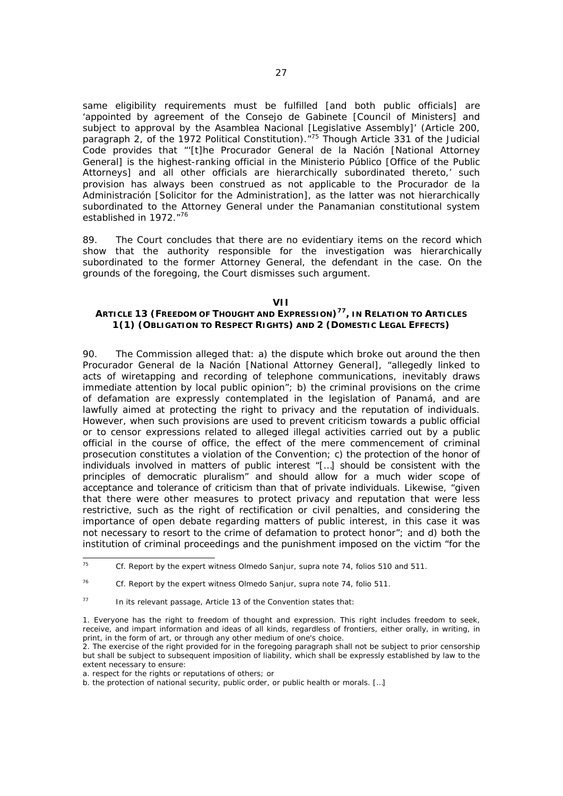same eligibility requirements must be fulfilled [and both public officials] are 'appointed by agreement of the *Consejo de Gabinete* [Council of Ministers] and subject to approval by the *Asamblea Nacional* [Legislative Assembly]' (Article 200, paragraph 2, of the 1972 Political Constitution).<sup>"75</sup> Though Article 331 of the Judicial Code provides that "'[t]he *Procurador General de la Nación* [National Attorney General] is the highest-ranking official in the *Ministerio Público* [Office of the Public Attorneys] and all other officials are hierarchically subordinated thereto,' such provision has always been construed as not applicable to the *Procurador de la Administración* [Solicitor for the Administration], as the latter was not hierarchically subordinated to the Attorney General under the Panamanian constitutional system established in 1972."<sup>76</sup>

89. The Court concludes that there are no evidentiary items on the record which show that the authority responsible for the investigation was hierarchically subordinated to the former Attorney General, the defendant in the case. On the grounds of the foregoing, the Court dismisses such argument.

#### **VII**

# **ARTICLE 13 (FREEDOM OF THOUGHT AND EXPRESSION)77, IN RELATION TO ARTICLES 1(1) (OBLIGATION TO RESPECT RIGHTS) AND 2 (DOMESTIC LEGAL EFFECTS)**

90. The Commission alleged that: a) the dispute which broke out around the then *Procurador General de la Nación* [National Attorney General], "allegedly linked to acts of wiretapping and recording of telephone communications, inevitably draws immediate attention by local public opinion"; b) the criminal provisions on the crime of defamation are expressly contemplated in the legislation of Panamá, and are lawfully aimed at protecting the right to privacy and the reputation of individuals. However, when such provisions are used to prevent criticism towards a public official or to censor expressions related to alleged illegal activities carried out by a public official in the course of office, the effect of the mere commencement of criminal prosecution constitutes a violation of the Convention; c) the protection of the honor of individuals involved in matters of public interest "[…] should be consistent with the principles of democratic pluralism" and should allow for a much wider scope of acceptance and tolerance of criticism than that of private individuals. Likewise, "given that there were other measures to protect privacy and reputation that were less restrictive, such as the right of rectification or civil penalties, and considering the importance of open debate regarding matters of public interest, in this case it was not necessary to resort to the crime of defamation to protect honor"; and d) both the institution of criminal proceedings and the punishment imposed on the victim "for the

 $75$ 75 *Cf.* Report by the expert witness Olmedo Sanjur, *supra* note 74, folios 510 and 511.

<sup>76</sup> *Cf.* Report by the expert witness Olmedo Sanjur, *supra* note 74, folio 511.

 $77$  In its relevant passage, Article 13 of the Convention states that:

<sup>1.</sup> Everyone has the right to freedom of thought and expression. This right includes freedom to seek, receive, and impart information and ideas of all kinds, regardless of frontiers, either orally, in writing, in print, in the form of art, or through any other medium of one's choice.

<sup>2.</sup> The exercise of the right provided for in the foregoing paragraph shall not be subject to prior censorship but shall be subject to subsequent imposition of liability, which shall be expressly established by law to the extent necessary to ensure:

a. respect for the rights or reputations of others; or

b. the protection of national security, public order, or public health or morals. […]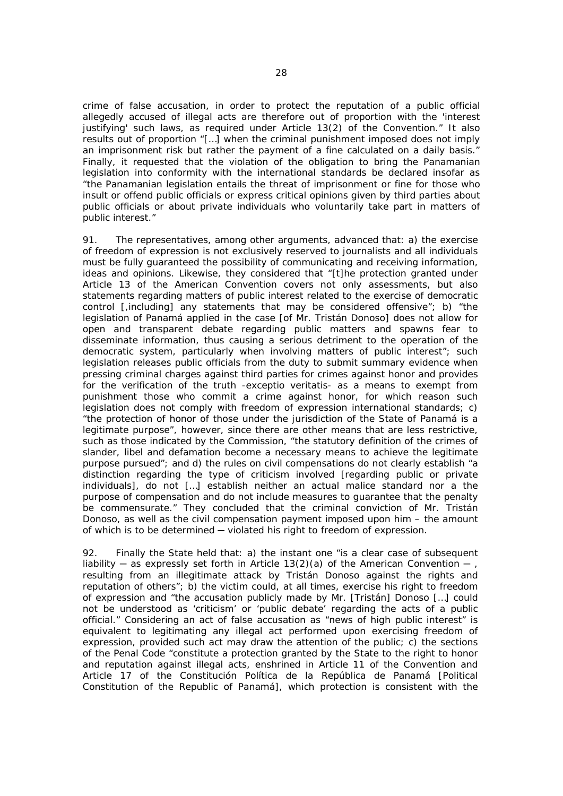crime of false accusation, in order to protect the reputation of a public official allegedly accused of illegal acts are therefore out of proportion with the 'interest justifying' such laws, as required under Article 13(2) of the Convention." It also results out of proportion "[…] when the criminal punishment imposed does not imply an imprisonment risk but rather the payment of a fine calculated on a daily basis." Finally, it requested that the violation of the obligation to bring the Panamanian legislation into conformity with the international standards be declared insofar as "the Panamanian legislation entails the threat of imprisonment or fine for those who insult or offend public officials or express critical opinions given by third parties about public officials or about private individuals who voluntarily take part in matters of public interest."

91. The representatives, among other arguments, advanced that: a) the exercise of freedom of expression is not exclusively reserved to journalists and all individuals must be fully guaranteed the possibility of communicating and receiving information, ideas and opinions. Likewise, they considered that "[t]he protection granted under Article 13 of the American Convention covers not only assessments, but also statements regarding matters of public interest related to the exercise of democratic control [,including] any statements that may be considered offensive"; b) "the legislation of Panamá applied in the case [of Mr. Tristán Donoso] does not allow for open and transparent debate regarding public matters and spawns fear to disseminate information, thus causing a serious detriment to the operation of the democratic system, particularly when involving matters of public interest"; such legislation releases public officials from the duty to submit summary evidence when pressing criminal charges against third parties for crimes against honor and provides for the verification of the truth -*exceptio veritatis*- as a means to exempt from punishment those who commit a crime against honor, for which reason such legislation does not comply with freedom of expression international standards; c) "the protection of honor of those under the jurisdiction of the State of Panamá is a legitimate purpose", however, since there are other means that are less restrictive, such as those indicated by the Commission, "the statutory definition of the crimes of slander, libel and defamation become a necessary means to achieve the legitimate purpose pursued"; and d) the rules on civil compensations do not clearly establish "a distinction regarding the type of criticism involved [regarding public or private individuals], do not […] establish neither an actual malice standard nor a the purpose of compensation and do not include measures to guarantee that the penalty be commensurate." They concluded that the criminal conviction of Mr. Tristán Donoso, as well as the civil compensation payment imposed upon him – the amount of which is to be determined - violated his right to freedom of expression.

92. Finally the State held that: a) the instant one "is a clear case of subsequent liability — as expressly set forth in Article 13(2)(a) of the American Convention — , resulting from an illegitimate attack by Tristán Donoso against the rights and reputation of others"; b) the victim could, at all times, exercise his right to freedom of expression and "the accusation publicly made by Mr. [Tristán] Donoso […] could not be understood as *'criticism'* or *'public debate'* regarding the acts of a public official." Considering an act of false accusation as "news of high public interest" is equivalent to legitimating any illegal act performed upon exercising freedom of expression, provided such act may draw the attention of the public; c) the sections of the Penal Code "constitute a protection granted by the State to the right to honor and reputation against illegal acts, enshrined in Article 11 of the Convention and Article 17 of the *Constitución Política de la República de Panamá* [Political Constitution of the Republic of Panamá], which protection is consistent with the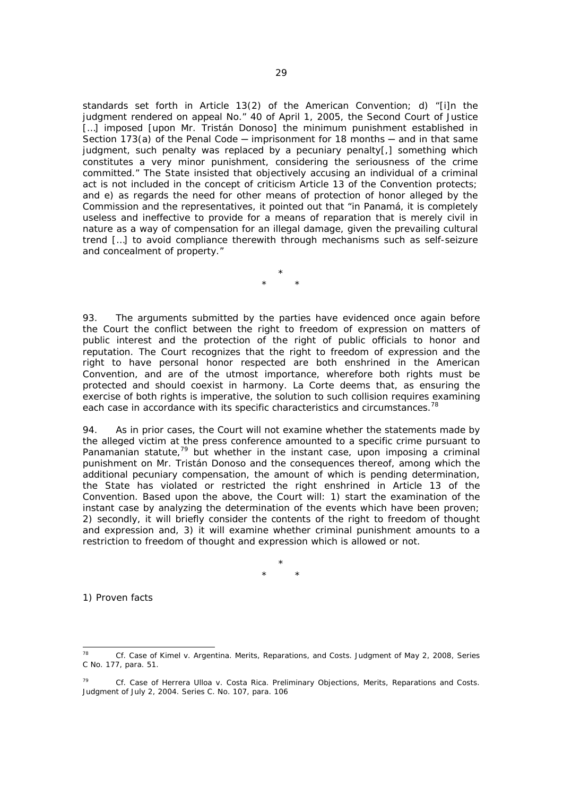standards set forth in Article 13(2) of the American Convention; d) "[i]n the judgment rendered on appeal No." 40 of April 1, 2005, the Second Court of Justice [...] imposed [upon Mr. Tristán Donoso] the minimum punishment established in Section 173(a) of the Penal Code  $-$  imprisonment for 18 months  $-$  and in that same judgment, such penalty was replaced by a pecuniary penalty[,] something which constitutes a very minor punishment, considering the seriousness of the crime committed." The State insisted that objectively accusing an individual of a criminal act is not included in the concept of criticism Article 13 of the Convention protects; and e) as regards the need for other means of protection of honor alleged by the Commission and the representatives, it pointed out that "in Panamá, it is completely useless and ineffective to provide for a means of reparation that is merely civil in nature as a way of compensation for an illegal damage, given the prevailing cultural trend […] to avoid compliance therewith through mechanisms such as self-seizure and concealment of property."

> \* \* \*

93. The arguments submitted by the parties have evidenced once again before the Court the conflict between the right to freedom of expression on matters of public interest and the protection of the right of public officials to honor and reputation. The Court recognizes that the right to freedom of expression and the right to have personal honor respected are both enshrined in the American Convention, and are of the utmost importance, wherefore both rights must be protected and should coexist in harmony. La Corte deems that, as ensuring the exercise of both rights is imperative, the solution to such collision requires examining each case in accordance with its specific characteristics and circumstances.<sup>78</sup>

94. As in prior cases, the Court will not examine whether the statements made by the alleged victim at the press conference amounted to a specific crime pursuant to Panamanian statute, $79$  but whether in the instant case, upon imposing a criminal punishment on Mr. Tristán Donoso and the consequences thereof, among which the additional pecuniary compensation, the amount of which is pending determination, the State has violated or restricted the right enshrined in Article 13 of the Convention. Based upon the above, the Court will: 1) start the examination of the instant case by analyzing the determination of the events which have been proven; 2) secondly, it will briefly consider the contents of the right to freedom of thought and expression and, 3) it will examine whether criminal punishment amounts to a restriction to freedom of thought and expression which is allowed or not.

> \* \* \*

*1) Proven facts* 

 $78$ 78 *Cf. Case of Kimel v. Argentina. Merits, Reparations, and Costs.* Judgment of May 2, 2008, Series C No. 177, para. 51.

<sup>79</sup> *Cf. Case of Herrera Ulloa v. Costa Rica. Preliminary Objections, Merits, Reparations and Costs.* Judgment of July 2, 2004. Series C. No. 107, para. 106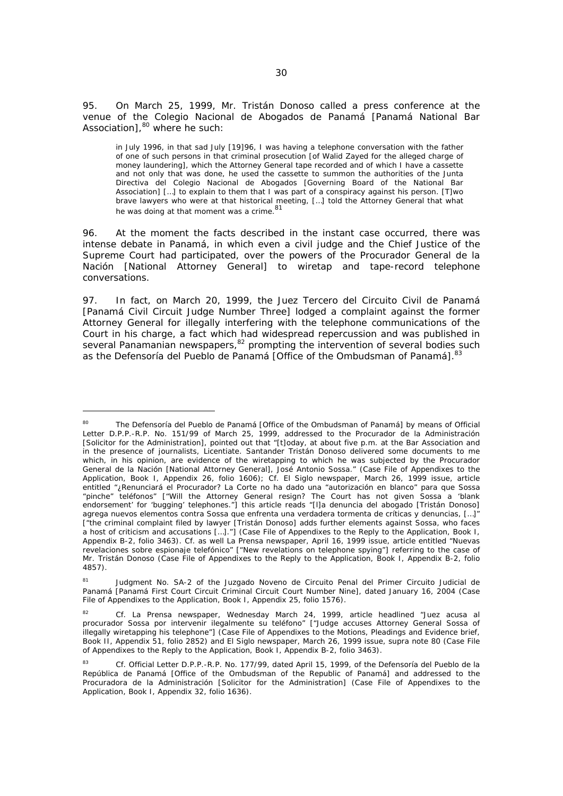95. On March 25, 1999, Mr. Tristán Donoso called a press conference at the venue of the *Colegio Nacional de Abogados de Panamá* [Panamá National Bar Association],<sup>80</sup> where he such:

in July 1996, in that sad July [19]96, I was having a telephone conversation with the father of one of such persons in that criminal prosecution [of Walid Zayed for the alleged charge of money laundering], which the Attorney General tape recorded and of which I have a cassette and not only that was done, he used the cassette to summon the authorities of the *Junta Directiva del Colegio Nacional de Abogados* [Governing Board of the National Bar Association] [...] to explain to them that I was part of a conspiracy against his person. [T]wo brave lawyers who were at that historical meeting, […] told the Attorney General that what he was doing at that moment was a crime. 81

96. At the moment the facts described in the instant case occurred, there was intense debate in Panamá, in which even a civil judge and the Chief Justice of the Supreme Court had participated, over the powers of the *Procurador General de la Nación* [National Attorney General] to wiretap and tape-record telephone conversations.

97. In fact, on March 20, 1999, the *Juez Tercero del Circuito Civil de Panamá* [Panamá Civil Circuit Judge Number Three] lodged a complaint against the former Attorney General for illegally interfering with the telephone communications of the Court in his charge, a fact which had widespread repercussion and was published in several Panamanian newspapers, <sup>82</sup> prompting the intervention of several bodies such as the *Defensoría del Pueblo de Panamá* [Office of the Ombudsman of Panamá].<sup>83</sup>

j

<sup>80</sup> The *Defensoría del Pueblo de Panamá* [Office of the Ombudsman of Panamá] by means of Official Letter D.P.P.-R.P. No. 151/99 of March 25, 1999, addressed to the *Procurador de la Administración* [Solicitor for the Administration], pointed out that "[t]oday, at about five p.m. at the Bar Association and in the presence of journalists, Licentiate. Santander Tristán Donoso delivered some documents to me which, in his opinion, are evidence of the wiretapping to which he was subjected by the *Procurador General de la Nación* [National Attorney General], José Antonio Sossa." (Case File of Appendixes to the Application, Book I, Appendix 26, folio 1606); *Cf. El Siglo* newspaper, March 26, 1999 issue, article entitled *"¿Renunciará el Procurador? La Corte no ha dado una "autorización en blanco" para que Sossa "pinche" teléfonos"* ["Will the Attorney General resign? The Court has not given Sossa a 'blank endorsement' for 'bugging' telephones."] this article reads *"[l]a denuncia del abogado [Tristán Donoso] agrega nuevos elementos contra Sossa que enfrenta una verdadera tormenta de críticas y denuncias, […]"* ["the criminal complaint filed by lawyer [Tristán Donoso] adds further elements against Sossa, who faces a host of criticism and accusations […]."] (Case File of Appendixes to the Reply to the Application, Book I, Appendix B-2, folio 3463). *Cf.* as well *La Prensa* newspaper, April 16, 1999 issue, article entitled *"Nuevas revelaciones sobre espionaje telefónico"* ["New revelations on telephone spying"] referring to the case of Mr. Tristán Donoso (Case File of Appendixes to the Reply to the Application, Book I, Appendix B-2, folio 4857).

<sup>81</sup> Judgment No. SA-2 of the *Juzgado Noveno de Circuito Penal del Primer Circuito Judicial de Panamá* [Panamá First Court Circuit Criminal Circuit Court Number Nine], dated January 16, 2004 (Case File of Appendixes to the Application, Book I, Appendix 25, folio 1576).

<sup>82</sup> *Cf. La Prensa* newspaper, Wednesday March 24, 1999, article headlined *"Juez acusa al procurador Sossa por intervenir ilegalmente su teléfono"* ["Judge accuses Attorney General Sossa of illegally wiretapping his telephone"] (Case File of Appendixes to the Motions, Pleadings and Evidence brief, Book II, Appendix 51, folio 2852) and *El Siglo* newspaper, March 26, 1999 issue, *supra* note 80 (Case File of Appendixes to the Reply to the Application, Book I, Appendix B-2, folio 3463).

<sup>83</sup> *Cf.* Official Letter D.P.P.-R.P. No. 177/99, dated April 15, 1999, of the *Defensoría del Pueblo de la República de Panamá* [Office of the Ombudsman of the Republic of Panamá] and addressed to the *Procuradora de la Administración* [Solicitor for the Administration] (Case File of Appendixes to the Application, Book I, Appendix 32, folio 1636).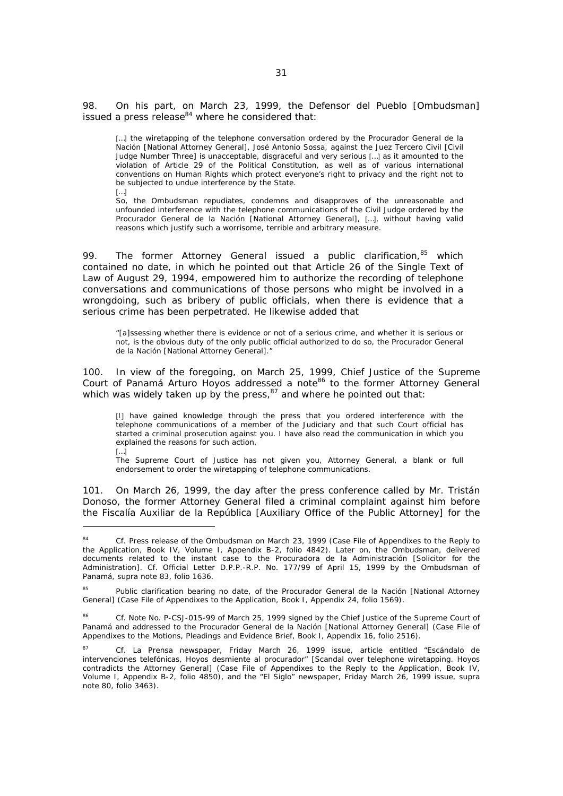98. On his part, on March 23, 1999, the *Defensor del Pueblo* [Ombudsman] issued a press release $84$  where he considered that:

[...] the wiretapping of the telephone conversation ordered by the *Procurador General de la Nación* [National Attorney General], José Antonio Sossa, against the *Juez Tercero Civil* [Civil Judge Number Three] is unacceptable, disgraceful and very serious […] as it amounted to the violation of Article 29 of the Political Constitution, as well as of various international conventions on Human Rights which protect everyone's right to privacy and the right not to be subjected to undue interference by the State.

[…]

 $\overline{\phantom{0}}$ 

So, the Ombudsman repudiates, condemns and disapproves of the unreasonable and unfounded interference with the telephone communications of the Civil Judge ordered by the *Procurador General de la Nación* [National Attorney General], […], without having valid reasons which justify such a worrisome, terrible and arbitrary measure.

99. The former Attorney General issued a public clarification, $85$  which contained no date, in which he pointed out that Article 26 of the Single Text of Law of August 29, 1994, empowered him to authorize the recording of telephone conversations and communications of those persons who might be involved in a wrongdoing, such as bribery of public officials, when there is evidence that a serious crime has been perpetrated. He likewise added that

"[a]ssessing whether there is evidence or not of a serious crime, and whether it is serious or not, is the obvious duty of the only public official authorized to do so, the *Procurador General de la Nación* [National Attorney General]."

100. In view of the foregoing, on March 25, 1999, Chief Justice of the Supreme Court of Panamá Arturo Hoyos addressed a note<sup>86</sup> to the former Attorney General which was widely taken up by the press,  $87$  and where he pointed out that:

[I] have gained knowledge through the press that you ordered interference with the telephone communications of a member of the Judiciary and that such Court official has started a criminal prosecution against you. I have also read the communication in which you explained the reasons for such action.

[…] The Supreme Court of Justice has not given you, Attorney General, a blank or full endorsement to order the wiretapping of telephone communications.

101. On March 26, 1999, the day after the press conference called by Mr. Tristán Donoso, the former Attorney General filed a criminal complaint against him before the *Fiscalía Auxiliar de la República* [Auxiliary Office of the Public Attorney] for the

<sup>84</sup> *Cf.* Press release of the Ombudsman on March 23, 1999 (Case File of Appendixes to the Reply to the Application, Book IV, Volume I, Appendix B-2, folio 4842). Later on, the Ombudsman, delivered documents related to the instant case to the *Procuradora de la Administración* [Solicitor for the Administration]. *Cf.* Official Letter D.P.P.-R.P. No. 177/99 of April 15, 1999 by the Ombudsman of Panamá, *supra* note 83, folio 1636.

<sup>85</sup> Public clarification bearing no date, of the *Procurador General de la Nación* [National Attorney General] (Case File of Appendixes to the Application, Book I, Appendix 24, folio 1569).

<sup>86</sup> *Cf.* Note No. P-CSJ-015-99 of March 25, 1999 signed by the Chief Justice of the Supreme Court of Panamá and addressed to the *Procurador General de la Nación* [National Attorney General] (Case File of Appendixes to the Motions, Pleadings and Evidence Brief, Book I, Appendix 16, folio 2516).

<sup>87</sup> *Cf.* La Prensa newspaper, Friday March 26, 1999 issue, article entitled *"Escándalo de intervenciones telefónicas, Hoyos desmiente al procurador"* [Scandal over telephone wiretapping. Hoyos contradicts the Attorney General] (Case File of Appendixes to the Reply to the Application, Book IV, Volume I, Appendix B-2, folio 4850), and the *"El Siglo"* newspaper, Friday March 26, 1999 issue, *supra* note 80, folio 3463).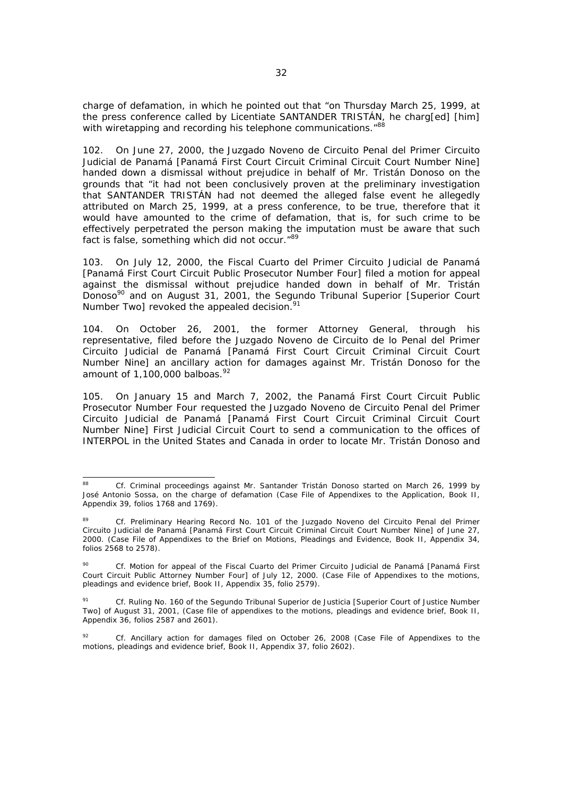charge of defamation, in which he pointed out that "on Thursday March 25, 1999, at the press conference called by Licentiate SANTANDER TRISTÁN, he charg[ed] [him] with wiretapping and recording his telephone communications.<sup>"88</sup>

102. On June 27, 2000, the *Juzgado Noveno de Circuito Penal del Primer Circuito Judicial de Panamá* [Panamá First Court Circuit Criminal Circuit Court Number Nine] handed down a dismissal without prejudice in behalf of Mr. Tristán Donoso on the grounds that "it had not been conclusively proven at the preliminary investigation that SANTANDER TRISTÁN had not deemed the alleged false event he allegedly attributed on March 25, 1999, at a press conference, to be true, therefore that it would have amounted to the crime of defamation, that is, for such crime to be effectively perpetrated the person making the imputation must be aware that such fact is false, something which did not occur."89

103. On July 12, 2000, the *Fiscal Cuarto del Primer Circuito Judicial de Panamá* [Panamá First Court Circuit Public Prosecutor Number Four] filed a motion for appeal against the dismissal without prejudice handed down in behalf of Mr. Tristán Donoso90 and on August 31, 2001, the *Segundo Tribunal Superior* [Superior Court Number Two] revoked the appealed decision.<sup>91</sup>

104. On October 26, 2001, the former Attorney General, through his representative, filed before the *Juzgado Noveno de Circuito de lo Penal del Primer Circuito Judicial de Panamá* [Panamá First Court Circuit Criminal Circuit Court Number Nine] an ancillary action for damages against Mr. Tristán Donoso for the amount of 1,100,000 *balboas*. 92

105. On January 15 and March 7, 2002, the Panamá First Court Circuit Public Prosecutor Number Four requested the *Juzgado Noveno de Circuito Penal del Primer Circuito Judicial de Panamá* [Panamá First Court Circuit Criminal Circuit Court Number Nine] First Judicial Circuit Court to send a communication to the offices of INTERPOL in the United States and Canada in order to locate Mr. Tristán Donoso and

<sup>88</sup> 88 *Cf.* Criminal proceedings against Mr. Santander Tristán Donoso started on March 26, 1999 by José Antonio Sossa, on the charge of defamation (Case File of Appendixes to the Application, Book II, Appendix 39, folios 1768 and 1769).

<sup>89</sup> *Cf*. Preliminary Hearing Record No. 101 of the *Juzgado Noveno del Circuito Penal del Primer Circuito Judicial de Panamá* [Panamá First Court Circuit Criminal Circuit Court Number Nine] of June 27, 2000. (Case File of Appendixes to the Brief on Motions, Pleadings and Evidence, Book II, Appendix 34, folios 2568 to 2578).

<sup>90</sup> *Cf.* Motion for appeal of the *Fiscal Cuarto del Primer Circuito Judicial de Panamá* [Panamá First Court Circuit Public Attorney Number Four] of July 12, 2000. (Case File of Appendixes to the motions, pleadings and evidence brief, Book II, Appendix 35, folio 2579).

<sup>91</sup> *Cf.* Ruling No. 160 of the *Segundo Tribunal Superior de Justicia* [Superior Court of Justice Number Two] of August 31, 2001, (Case file of appendixes to the motions, pleadings and evidence brief, Book II, Appendix 36, folios 2587 and 2601).

<sup>92</sup> *Cf.* Ancillary action for damages filed on October 26, 2008 (Case File of Appendixes to the motions, pleadings and evidence brief, Book II, Appendix 37, folio 2602).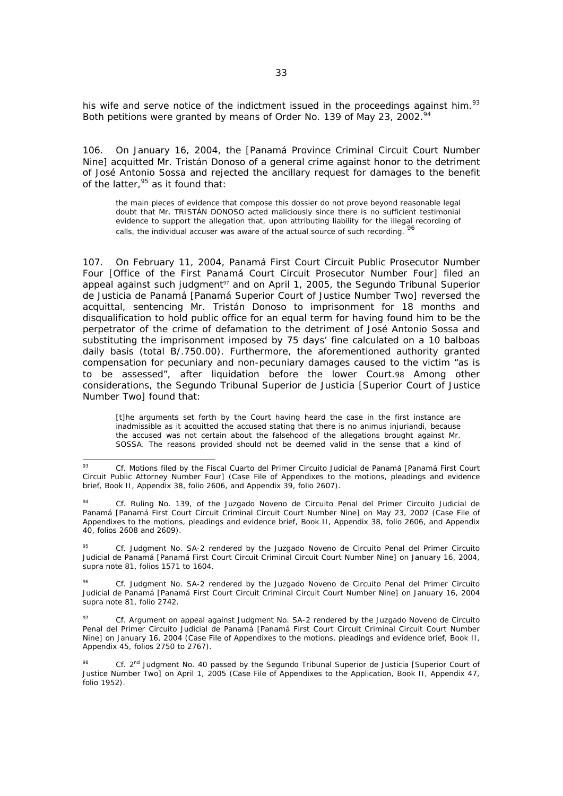his wife and serve notice of the indictment issued in the proceedings against him.<sup>93</sup> Both petitions were granted by means of Order No. 139 of May 23, 2002.<sup>94</sup>

106. On January 16, 2004, the [Panamá Province Criminal Circuit Court Number Nine] acquitted Mr. Tristán Donoso of a general crime against honor to the detriment of José Antonio Sossa and rejected the ancillary request for damages to the benefit of the latter,  $95$  as it found that:

the main pieces of evidence that compose this dossier do not prove beyond reasonable legal doubt that Mr. TRISTÁN DONOSO acted maliciously since there is no sufficient testimonial evidence to support the allegation that, upon attributing liability for the illegal recording of calls, the individual accuser was aware of the actual source of such recording. 96

107. On February 11, 2004, Panamá First Court Circuit Public Prosecutor Number Four [Office of the First Panamá Court Circuit Prosecutor Number Four] filed an appeal against such judgment<sup>97</sup> and on April 1, 2005, the Segundo Tribunal Superior de Justicia de Panamá [Panamá Superior Court of Justice Number Two] reversed the acquittal, sentencing Mr. Tristán Donoso to imprisonment for 18 months and disqualification to hold public office for an equal term for having found him to be the perpetrator of the crime of defamation to the detriment of José Antonio Sossa and substituting the imprisonment imposed by 75 days' fine calculated on a 10 *balboas* daily basis (total B/.750.00). Furthermore, the aforementioned authority granted compensation for pecuniary and non-pecuniary damages caused to the victim "as is to be assessed", after liquidation before the lower Court.98 Among other considerations, the Segundo Tribunal Superior de Justicia [Superior Court of Justice Number Two] found that:

[t]he arguments set forth by the Court having heard the case in the first instance are inadmissible as it acquitted the accused stating that there is no *animus injuriandi*, because the accused was not certain about the falsehood of the allegations brought against Mr. SOSSA. The reasons provided should not be deemed valid in the sense that a kind of

95 *Cf.* Judgment No. SA-2 rendered by the *Juzgado Noveno de Circuito Penal del Primer Circuito Judicial de Panamá* [Panamá First Court Circuit Criminal Circuit Court Number Nine] on January 16, 2004, *supra* note 81, folios 1571 to 1604.

96 *Cf.* Judgment No. SA-2 rendered by the *Juzgado Noveno de Circuito Penal del Primer Circuito Judicial de Panamá* [Panamá First Court Circuit Criminal Circuit Court Number Nine] on January 16, 2004 *supra* note 81, folio 2742.

 $Q<sub>2</sub>$ 93 *Cf.* Motions filed by the *Fiscal Cuarto del Primer Circuito Judicial de Panamá* [Panamá First Court Circuit Public Attorney Number Four] (Case File of Appendixes to the motions, pleadings and evidence brief, Book II, Appendix 38, folio 2606, and Appendix 39, folio 2607).

<sup>94</sup> *Cf.* Ruling No. 139, of the *Juzgado Noveno de Circuito Penal del Primer Circuito Judicial de Panamá* [Panamá First Court Circuit Criminal Circuit Court Number Nine] on May 23, 2002 (Case File of Appendixes to the motions, pleadings and evidence brief, Book II, Appendix 38, folio 2606, and Appendix 40, folios 2608 and 2609).

<sup>97</sup> *Cf.* Argument on appeal against Judgment No. SA-2 rendered by the *Juzgado Noveno de Circuito Penal del Primer Circuito Judicial de Panamá* [Panamá First Court Circuit Criminal Circuit Court Number Nine] on January 16, 2004 (Case File of Appendixes to the motions, pleadings and evidence brief, Book II, Appendix 45, folios 2750 to 2767).

<sup>98</sup> *Cf.* 2nd Judgment No. 40 passed by the *Segundo Tribunal Superior de Justicia* [Superior Court of Justice Number Two] on April 1, 2005 (Case File of Appendixes to the Application, Book II, Appendix 47, folio 1952).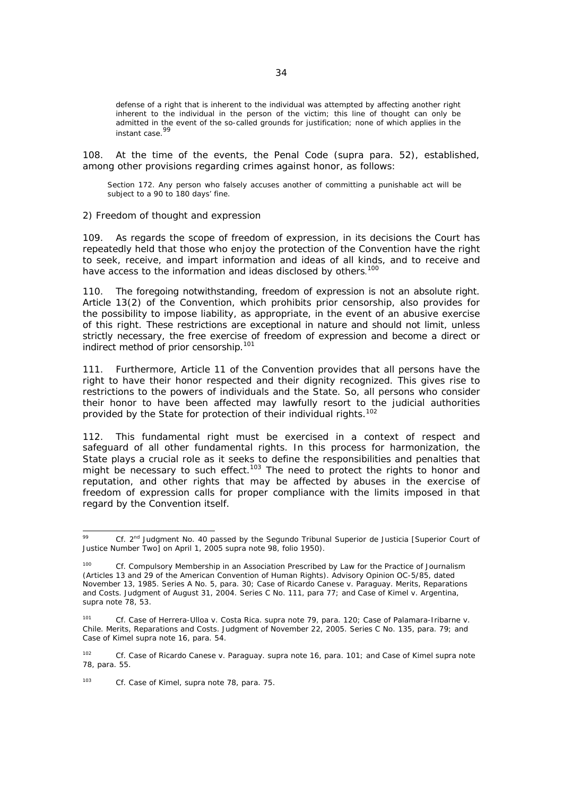defense of a right that is inherent to the individual was attempted by affecting another right inherent to the individual in the person of the victim; this line of thought can only be admitted in the event of the so-called grounds for justification; none of which applies in the instant case.<sup>99</sup>

108. At the time of the events, the Penal Code (*supra* para. 52), established, among other provisions regarding crimes against honor, as follows:

Section 172. Any person who falsely accuses another of committing a punishable act will be subject to a 90 to 180 days' fine.

### *2) Freedom of thought and expression*

109. As regards the scope of freedom of expression, in its decisions the Court has repeatedly held that those who enjoy the protection of the Convention have the right to seek, receive, and impart information and ideas of all kinds, and to receive and have access to the information and ideas disclosed by others.<sup>100</sup>

110. The foregoing notwithstanding, freedom of expression is not an absolute right. Article 13(2) of the Convention, which prohibits prior censorship, also provides for the possibility to impose liability, as appropriate, in the event of an abusive exercise of this right. These restrictions are exceptional in nature and should not limit, unless strictly necessary, the free exercise of freedom of expression and become a direct or indirect method of prior censorship.101

111. Furthermore, Article 11 of the Convention provides that all persons have the right to have their honor respected and their dignity recognized. This gives rise to restrictions to the powers of individuals and the State. So, all persons who consider their honor to have been affected may lawfully resort to the judicial authorities provided by the State for protection of their individual rights.<sup>102</sup>

112. This fundamental right must be exercised in a context of respect and safeguard of all other fundamental rights. In this process for harmonization, the State plays a crucial role as it seeks to define the responsibilities and penalties that might be necessary to such effect.<sup>103</sup> The need to protect the rights to honor and reputation, and other rights that may be affected by abuses in the exercise of freedom of expression calls for proper compliance with the limits imposed in that regard by the Convention itself.

103 *Cf*. *Case of Kimel*, *supra* note 78, para. 75.

 $\overline{\phantom{0}}$ 99 *Cf.* 2nd Judgment No. 40 passed by the *Segundo Tribunal Superior de Justicia* [Superior Court of Justice Number Two] on April 1, 2005 *supra* note 98, folio 1950).

<sup>100</sup> *Cf. Compulsory Membership in an Association Prescribed by Law for the Practice of Journalism (Articles 13 and 29 of the American Convention* of Human Rights). Advisory Opinion OC-5/85, dated November 13, 1985. Series A No. 5, para. 30; *Case of Ricardo Canese v. Paraguay*. *Merits, Reparations and Costs*. Judgment of August 31, 2004. Series C No. 111, para 77; and *Case of Kimel v. Argentina, supra* note 78, 53.

<sup>101</sup> Cf. Case of Herrera-Ulloa v. Costa Rica. supra note 79, para. 120; Case of Palamara-Iribarne v. Chile. Merits, Reparations and Costs. Judgment of November 22, 2005. Series C No. 135, para. 79; and Case of Kimel supra note 16, para. 54.

<sup>102</sup> *Cf. Case of Ricardo Canese v. Paraguay. supra* note 16, para. 101; and *Case of Kimel supra* note 78, para. 55.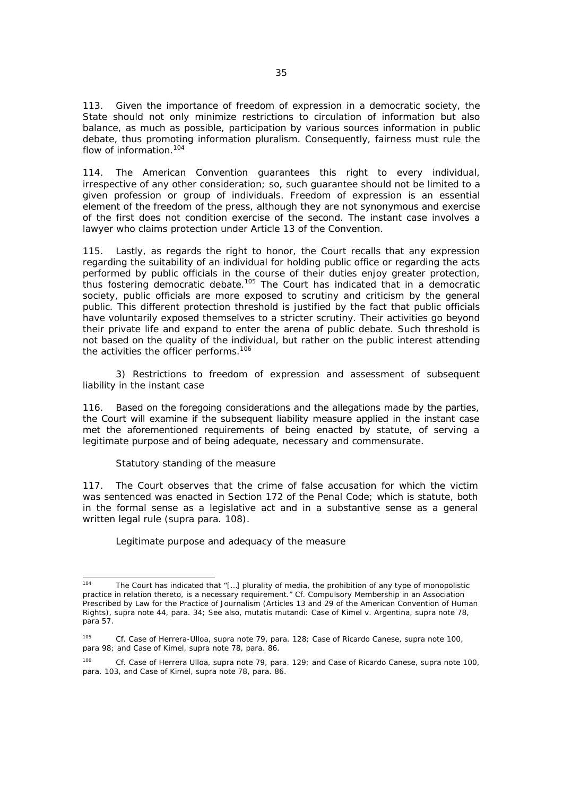113. Given the importance of freedom of expression in a democratic society, the State should not only minimize restrictions to circulation of information but also balance, as much as possible, participation by various sources information in public debate, thus promoting information pluralism. Consequently, fairness must rule the flow of information.<sup>104</sup>

114. The American Convention guarantees this right to every individual, irrespective of any other consideration; so, such guarantee should not be limited to a given profession or group of individuals. Freedom of expression is an essential element of the freedom of the press, although they are not synonymous and exercise of the first does not condition exercise of the second. The instant case involves a lawyer who claims protection under Article 13 of the Convention.

115. Lastly, as regards the right to honor, the Court recalls that any expression regarding the suitability of an individual for holding public office or regarding the acts performed by public officials in the course of their duties enjoy greater protection, thus fostering democratic debate.105 The Court has indicated that in a democratic society, public officials are more exposed to scrutiny and criticism by the general public. This different protection threshold is justified by the fact that public officials have voluntarily exposed themselves to a stricter scrutiny. Their activities go beyond their private life and expand to enter the arena of public debate. Such threshold is not based on the quality of the individual, but rather on the public interest attending the activities the officer performs.<sup>106</sup>

 *3) Restrictions to freedom of expression and assessment of subsequent liability in the instant case* 

116. Based on the foregoing considerations and the allegations made by the parties, the Court will examine if the subsequent liability measure applied in the instant case met the aforementioned requirements of being enacted by statute, of serving a legitimate purpose and of being adequate, necessary and commensurate.

### *Statutory standing of the measure*

117. The Court observes that the crime of false accusation for which the victim was sentenced was enacted in Section 172 of the Penal Code; which is statute, both in the formal sense as a legislative act and in a substantive sense as a general written legal rule (*supra* para. 108).

### *Legitimate purpose and adequacy of the measure*

 $104$ The Court has indicated that "[...] plurality of media, the prohibition of any type of monopolistic practice in relation thereto, is a necessary requirement." *Cf. Compulsory Membership in an Association Prescribed by Law for the Practice of Journalism (Articles 13 and 29 of the American Convention* of Human Rights), *supra* note 44, para. 34; See also, *mutatis mutandi*: *Case of Kimel v. Argentina*, *supra* note 78, para 57.

<sup>105</sup> *Cf. Case of Herrera-Ulloa, supra* note 79, para. 128; *Case of Ricardo Canese, supra* note 100, para 98; and *Case of Kimel*, *supra* note 78, para. 86.

<sup>106</sup> *Cf. Case of Herrera Ulloa, supra* note 79, para. 129; and *Case of Ricardo Canese, supra* note 100, para. 103, and *Case of Kimel*, *supra* note 78, para. 86.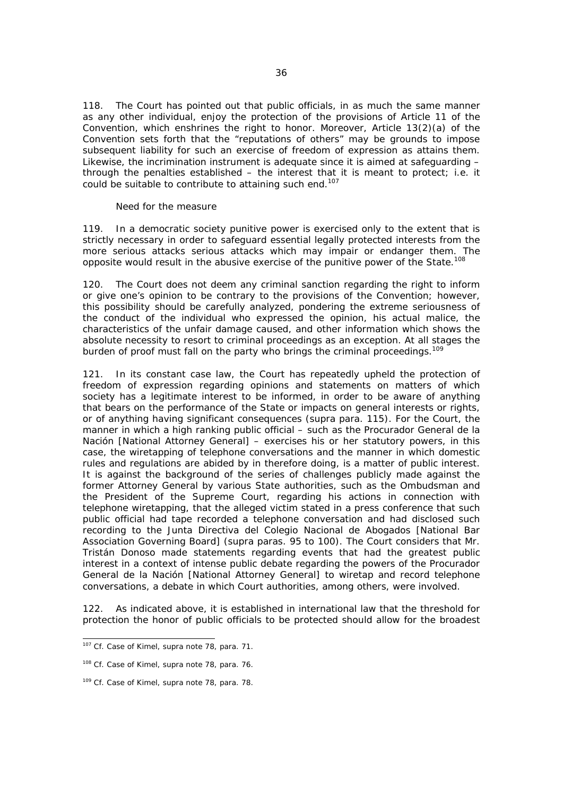118. The Court has pointed out that public officials, in as much the same manner as any other individual, enjoy the protection of the provisions of Article 11 of the Convention, which enshrines the right to honor. Moreover, Article 13(2)(a) of the Convention sets forth that the "reputations of others" may be grounds to impose subsequent liability for such an exercise of freedom of expression as attains them. Likewise, the incrimination instrument is adequate since it is aimed at safeguarding – through the penalties established – the interest that it is meant to protect; i.e. it could be suitable to contribute to attaining such end.<sup>107</sup>

### *Need for the measure*

119. In a democratic society punitive power is exercised only to the extent that is strictly necessary in order to safeguard essential legally protected interests from the more serious attacks serious attacks which may impair or endanger them. The opposite would result in the abusive exercise of the punitive power of the State.<sup>108</sup>

120. The Court does not deem any criminal sanction regarding the right to inform or give one's opinion to be contrary to the provisions of the Convention; however, this possibility should be carefully analyzed, pondering the extreme seriousness of the conduct of the individual who expressed the opinion, his actual malice, the characteristics of the unfair damage caused, and other information which shows the absolute necessity to resort to criminal proceedings as an exception. At all stages the burden of proof must fall on the party who brings the criminal proceedings.<sup>109</sup>

121. In its constant case law, the Court has repeatedly upheld the protection of freedom of expression regarding opinions and statements on matters of which society has a legitimate interest to be informed, in order to be aware of anything that bears on the performance of the State or impacts on general interests or rights, or of anything having significant consequences (*supra* para. 115). For the Court, the manner in which a high ranking public official – such as the *Procurador General de la Nación* [National Attorney General] – exercises his or her statutory powers, in this case, the wiretapping of telephone conversations and the manner in which domestic rules and regulations are abided by in therefore doing, is a matter of public interest. It is against the background of the series of challenges publicly made against the former Attorney General by various State authorities, such as the Ombudsman and the President of the Supreme Court, regarding his actions in connection with telephone wiretapping, that the alleged victim stated in a press conference that such public official had tape recorded a telephone conversation and had disclosed such recording to the *Junta Directiva del Colegio Nacional de Abogados* [National Bar Association Governing Board] (*supra* paras. 95 to 100). The Court considers that Mr. Tristán Donoso made statements regarding events that had the greatest public interest in a context of intense public debate regarding the powers of the *Procurador General de la Nación* [National Attorney General] to wiretap and record telephone conversations, a debate in which Court authorities, among others, were involved.

122. As indicated above, it is established in international law that the threshold for protection the honor of public officials to be protected should allow for the broadest

ī

<sup>107</sup> *Cf. Case of Kimel, supra* note 78, para. 71.

<sup>108</sup> *Cf. Case of Kimel, supra* note 78, para. 76.

<sup>109</sup> *Cf. Case of Kimel, supra* note 78, para. 78.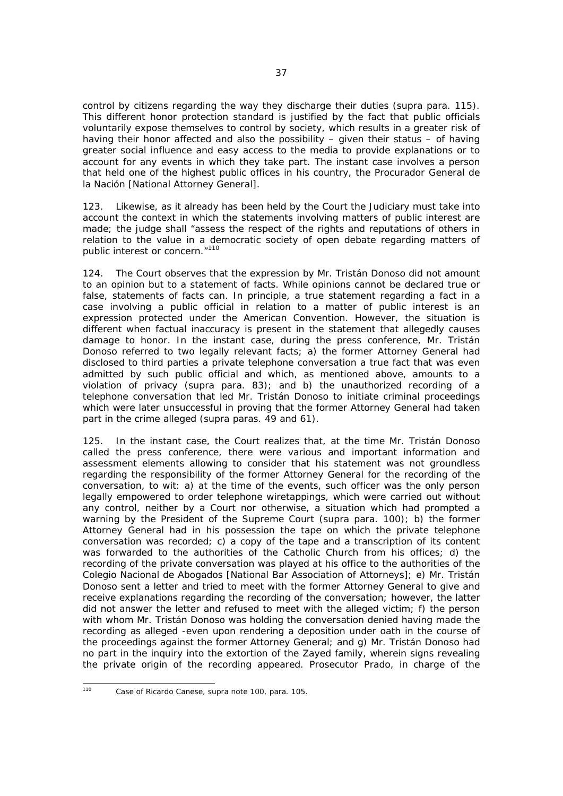control by citizens regarding the way they discharge their duties (*supra* para. 115). This different honor protection standard is justified by the fact that public officials voluntarily expose themselves to control by society, which results in a greater risk of having their honor affected and also the possibility – given their status – of having greater social influence and easy access to the media to provide explanations or to account for any events in which they take part. The instant case involves a person that held one of the highest public offices in his country, the *Procurador General de la Nación* [National Attorney General].

123. Likewise, as it already has been held by the Court the Judiciary must take into account the context in which the statements involving matters of public interest are made; the judge shall "assess the respect of the rights and reputations of others in relation to the value in a democratic society of open debate regarding matters of public interest or concern."<sup>110</sup>

124. The Court observes that the expression by Mr. Tristán Donoso did not amount to an opinion but to a statement of facts. While opinions cannot be declared true or false, statements of facts can. In principle, a true statement regarding a fact in a case involving a public official in relation to a matter of public interest is an expression protected under the American Convention. However, the situation is different when factual inaccuracy is present in the statement that allegedly causes damage to honor. In the instant case, during the press conference, Mr. Tristán Donoso referred to two legally relevant facts; a) the former Attorney General had disclosed to third parties a private telephone conversation a true fact that was even admitted by such public official and which, as mentioned above, amounts to a violation of privacy (*supra* para. 83); and b) the unauthorized recording of a telephone conversation that led Mr. Tristán Donoso to initiate criminal proceedings which were later unsuccessful in proving that the former Attorney General had taken part in the crime alleged (*supra* paras. 49 and 61).

125. In the instant case, the Court realizes that, at the time Mr. Tristán Donoso called the press conference, there were various and important information and assessment elements allowing to consider that his statement was not groundless regarding the responsibility of the former Attorney General for the recording of the conversation, to wit: a) at the time of the events, such officer was the only person legally empowered to order telephone wiretappings, which were carried out without any control, neither by a Court nor otherwise, a situation which had prompted a warning by the President of the Supreme Court (supra para. 100); b) the former Attorney General had in his possession the tape on which the private telephone conversation was recorded; c) a copy of the tape and a transcription of its content was forwarded to the authorities of the Catholic Church from his offices; d) the recording of the private conversation was played at his office to the authorities of the *Colegio Nacional de Abogados* [National Bar Association of Attorneys]; e) Mr. Tristán Donoso sent a letter and tried to meet with the former Attorney General to give and receive explanations regarding the recording of the conversation; however, the latter did not answer the letter and refused to meet with the alleged victim; f) the person with whom Mr. Tristán Donoso was holding the conversation denied having made the recording as alleged -even upon rendering a deposition under oath in the course of the proceedings against the former Attorney General; and g) Mr. Tristán Donoso had no part in the inquiry into the extortion of the Zayed family, wherein signs revealing the private origin of the recording appeared. Prosecutor Prado, in charge of the

 $110$ 110 *Case of Ricardo Canese, supra* note 100, para. 105.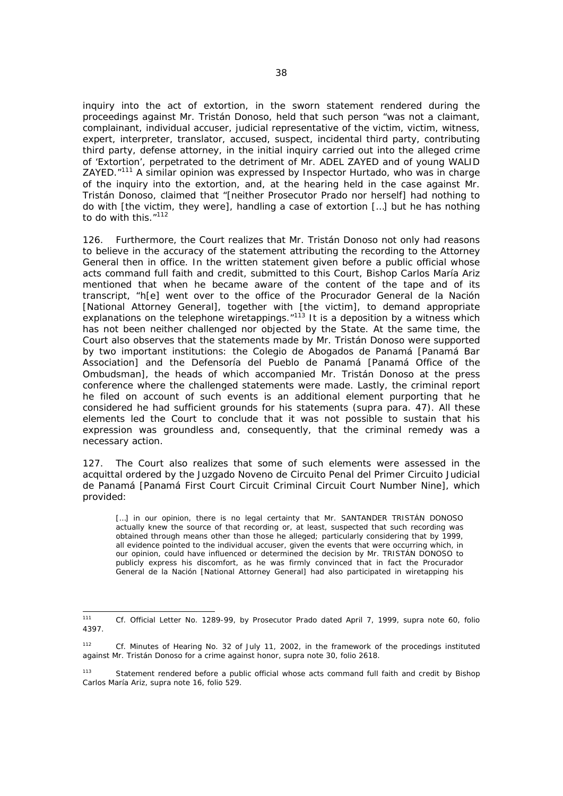inquiry into the act of extortion, in the sworn statement rendered during the proceedings against Mr. Tristán Donoso, held that such person "was not a claimant, complainant, individual accuser, judicial representative of the victim, victim, witness, expert, interpreter, translator, accused, suspect, incidental third party, contributing third party, defense attorney, in the initial inquiry carried out into the alleged crime of 'Extortion', perpetrated to the detriment of Mr. ADEL ZAYED and of young WALID ZAYED."111 A similar opinion was expressed by Inspector Hurtado, who was in charge of the inquiry into the extortion, and, at the hearing held in the case against Mr. Tristán Donoso, claimed that "[neither Prosecutor Prado nor herself] had nothing to do with [the victim, they were], handling a case of extortion […] but he has nothing to do with this."<sup>112</sup>

126. Furthermore, the Court realizes that Mr. Tristán Donoso not only had reasons to believe in the accuracy of the statement attributing the recording to the Attorney General then in office. In the written statement given before a public official whose acts command full faith and credit, submitted to this Court, Bishop Carlos María Ariz mentioned that when he became aware of the content of the tape and of its transcript, "h[e] went over to the office of the *Procurador General de la Nación* [National Attorney General], together with [the victim], to demand appropriate explanations on the telephone wiretappings."<sup>113</sup> It is a deposition by a witness which has not been neither challenged nor objected by the State. At the same time, the Court also observes that the statements made by Mr. Tristán Donoso were supported by two important institutions: the *Colegio de Abogados de Panamá* [Panamá Bar Association] and the Defensoría del Pueblo de Panamá [Panamá Office of the Ombudsman], the heads of which accompanied Mr. Tristán Donoso at the press conference where the challenged statements were made. Lastly, the criminal report he filed on account of such events is an additional element purporting that he considered he had sufficient grounds for his statements (*supra* para. 47). All these elements led the Court to conclude that it was not possible to sustain that his expression was groundless and, consequently, that the criminal remedy was a necessary action.

127. The Court also realizes that some of such elements were assessed in the acquittal ordered by the *Juzgado Noveno de Circuito Penal del Primer Circuito Judicial de Panamá* [Panamá First Court Circuit Criminal Circuit Court Number Nine], which provided:

[...] in our opinion, there is no legal certainty that Mr. SANTANDER TRISTÁN DONOSO actually knew the source of that recording or, at least, suspected that such recording was obtained through means other than those he alleged; particularly considering that by 1999, all evidence pointed to the individual accuser, given the events that were occurring which, in our opinion, could have influenced or determined the decision by Mr. TRISTÁN DONOSO to publicly express his discomfort, as he was firmly convinced that in fact the *Procurador General de la Nación* [National Attorney General] had also participated in wiretapping his

 $111$ 111 *Cf.* Official Letter No. 1289-99, by Prosecutor Prado dated April 7, 1999, *supra* note 60, folio 4397.

<sup>112</sup> *Cf*. Minutes of Hearing No. 32 of July 11, 2002, in the framework of the procedings instituted against Mr. Tristán Donoso for a crime against honor, *supra* note 30, folio 2618.

<sup>113</sup> Statement rendered before a public official whose acts command full faith and credit by Bishop Carlos María Ariz, *supra* note 16, folio 529.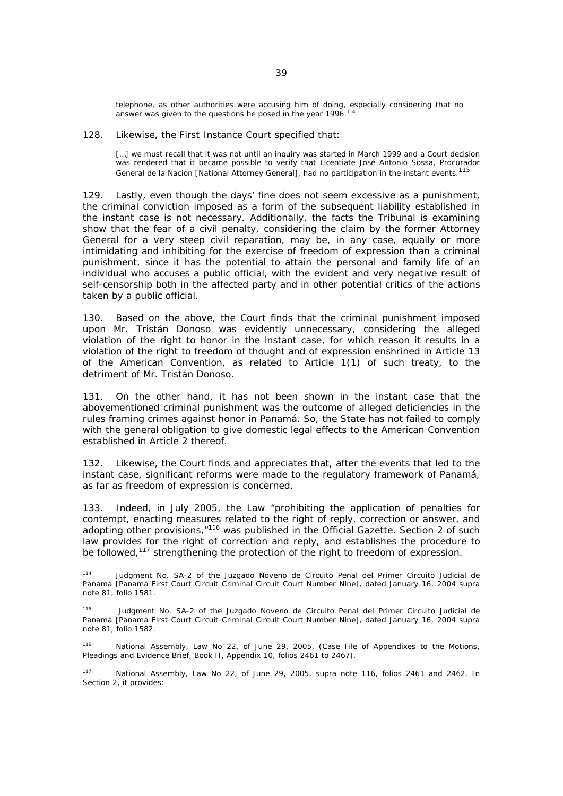telephone, as other authorities were accusing him of doing, especially considering that no answer was given to the questions he posed in the year 1996.<sup>114</sup>

128. Likewise, the First Instance Court specified that:

[...] we must recall that it was not until an inquiry was started in March 1999 and a Court decision was rendered that it became possible to verify that Licentiate José Antonio Sossa, *Procurador General de la Nación* [National Attorney General], had no participation in the instant events.115

129. Lastly, even though the days' fine does not seem excessive as a punishment, the criminal conviction imposed as a form of the subsequent liability established in the instant case is not necessary. Additionally, the facts the Tribunal is examining show that the fear of a civil penalty, considering the claim by the former Attorney General for a very steep civil reparation, may be, in any case, equally or more intimidating and inhibiting for the exercise of freedom of expression than a criminal punishment, since it has the potential to attain the personal and family life of an individual who accuses a public official, with the evident and very negative result of self-censorship both in the affected party and in other potential critics of the actions taken by a public official.

130. Based on the above, the Court finds that the criminal punishment imposed upon Mr. Tristán Donoso was evidently unnecessary, considering the alleged violation of the right to honor in the instant case, for which reason it results in a violation of the right to freedom of thought and of expression enshrined in Article 13 of the American Convention, as related to Article 1(1) of such treaty, to the detriment of Mr. Tristán Donoso.

131. On the other hand, it has not been shown in the instant case that the abovementioned criminal punishment was the outcome of alleged deficiencies in the rules framing crimes against honor in Panamá. So, the State has not failed to comply with the general obligation to give domestic legal effects to the American Convention established in Article 2 thereof.

132. Likewise, the Court finds and appreciates that, after the events that led to the instant case, significant reforms were made to the regulatory framework of Panamá, as far as freedom of expression is concerned.

133. Indeed, in July 2005, the Law "prohibiting the application of penalties for contempt, enacting measures related to the right of reply, correction or answer, and adopting other provisions,"116 was published in the Official Gazette. Section 2 of such law provides for the right of correction and reply, and establishes the procedure to be followed,<sup>117</sup> strengthening the protection of the right to freedom of expression.

 $114$ 114 Judgment No. SA-2 of the *Juzgado Noveno de Circuito Penal del Primer Circuito Judicial de Panamá* [Panamá First Court Circuit Criminal Circuit Court Number Nine], dated January 16, 2004 *supra* note 81, folio 1581.

<sup>115</sup> Judgment No. SA-2 of the *Juzgado Noveno de Circuito Penal del Primer Circuito Judicial de Panamá* [Panamá First Court Circuit Criminal Circuit Court Number Nine], dated January 16, 2004 *supra* note 81, folio 1582.

<sup>116</sup> National Assembly, Law No 22, of June 29, 2005, (Case File of Appendixes to the Motions, Pleadings and Evidence Brief, Book II, Appendix 10, folios 2461 to 2467).

<sup>117</sup> National Assembly, Law No 22, of June 29, 2005, *supra* note 116, folios 2461 and 2462. In Section 2, it provides: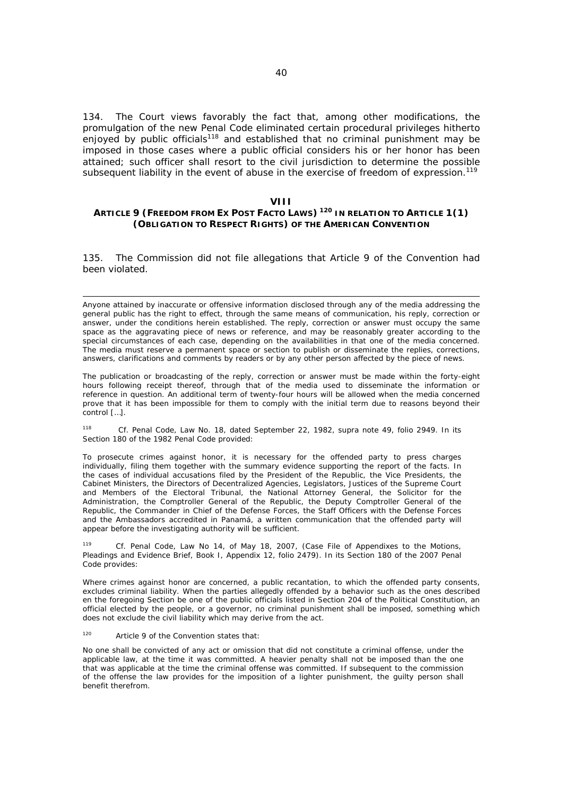134. The Court views favorably the fact that, among other modifications, the promulgation of the new Penal Code eliminated certain procedural privileges hitherto enjoyed by public officials<sup>118</sup> and established that no criminal punishment may be imposed in those cases where a public official considers his or her honor has been attained; such officer shall resort to the civil jurisdiction to determine the possible subsequent liability in the event of abuse in the exercise of freedom of expression.<sup>119</sup>

#### **VIII**

## **ARTICLE 9 (FREEDOM FROM EX POST FACTO LAWS) 120 IN RELATION TO ARTICLE 1(1) (OBLIGATION TO RESPECT RIGHTS) OF THE AMERICAN CONVENTION**

135. The Commission did not file allegations that Article 9 of the Convention had been violated.

Anyone attained by inaccurate or offensive information disclosed through any of the media addressing the general public has the right to effect, through the same means of communication, his reply, correction or answer, under the conditions herein established. The reply, correction or answer must occupy the same space as the aggravating piece of news or reference, and may be reasonably greater according to the special circumstances of each case, depending on the availabilities in that one of the media concerned. The media must reserve a permanent space or section to publish or disseminate the replies, corrections, answers, clarifications and comments by readers or by any other person affected by the piece of news.

The publication or broadcasting of the reply, correction or answer must be made within the forty-eight hours following receipt thereof, through that of the media used to disseminate the information or reference in question. An additional term of twenty-four hours will be allowed when the media concerned prove that it has been impossible for them to comply with the initial term due to reasons beyond their control […].

118 *Cf.* Penal Code, Law No. 18, dated September 22, 1982, *supra* note 49, folio 2949. In its Section 180 of the 1982 Penal Code provided:

To prosecute crimes against honor, it is necessary for the offended party to press charges individually, filing them together with the summary evidence supporting the report of the facts. In the cases of individual accusations filed by the President of the Republic, the Vice Presidents, the Cabinet Ministers, the Directors of Decentralized Agencies, Legislators, Justices of the Supreme Court and Members of the Electoral Tribunal, the National Attorney General, the Solicitor for the Administration, the Comptroller General of the Republic, the Deputy Comptroller General of the Republic, the Commander in Chief of the Defense Forces, the Staff Officers with the Defense Forces and the Ambassadors accredited in Panamá, a written communication that the offended party will appear before the investigating authority will be sufficient.

Cf. Penal Code, Law No 14, of May 18, 2007, (Case File of Appendixes to the Motions, Pleadings and Evidence Brief, Book I, Appendix 12, folio 2479). In its Section 180 of the 2007 Penal Code provides:

Where crimes against honor are concerned, a public recantation, to which the offended party consents, excludes criminal liability. When the parties allegedly offended by a behavior such as the ones described en the foregoing Section be one of the public officials listed in Section 204 of the Political Constitution, an official elected by the people, or a governor, no criminal punishment shall be imposed, something which does not exclude the civil liability which may derive from the act.

### <sup>120</sup> Article 9 of the Convention states that:

 $\overline{\phantom{0}}$ 

No one shall be convicted of any act or omission that did not constitute a criminal offense, under the applicable law, at the time it was committed. A heavier penalty shall not be imposed than the one that was applicable at the time the criminal offense was committed. If subsequent to the commission of the offense the law provides for the imposition of a lighter punishment, the guilty person shall benefit therefrom.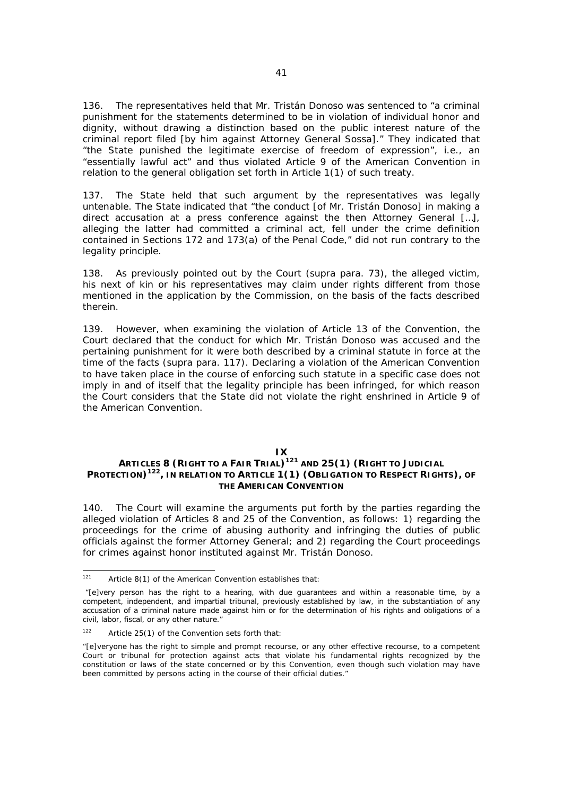136. The representatives held that Mr. Tristán Donoso was sentenced to "a criminal punishment for the statements determined to be in violation of individual honor and dignity, without drawing a distinction based on the public interest nature of the criminal report filed [by him against Attorney General Sossa]." They indicated that "the State punished the legitimate exercise of freedom of expression", i.e., an "essentially lawful act" and thus violated Article 9 of the American Convention in relation to the general obligation set forth in Article 1(1) of such treaty.

137. The State held that such argument by the representatives was legally untenable. The State indicated that "the conduct [of Mr. Tristán Donoso] in making a direct accusation at a press conference against the then Attorney General […], alleging the latter had committed a criminal act, fell under the crime definition contained in Sections 172 and 173(a) of the Penal Code," did not run contrary to the legality principle.

138. As previously pointed out by the Court (*supra* para. 73), the alleged victim, his next of kin or his representatives may claim under rights different from those mentioned in the application by the Commission, on the basis of the facts described therein.

139. However, when examining the violation of Article 13 of the Convention, the Court declared that the conduct for which Mr. Tristán Donoso was accused and the pertaining punishment for it were both described by a criminal statute in force at the time of the facts (*supra* para. 117). Declaring a violation of the American Convention to have taken place in the course of enforcing such statute in a specific case does not imply in and of itself that the legality principle has been infringed, for which reason the Court considers that the State did not violate the right enshrined in Article 9 of the American Convention.

#### **IX**

# **ARTICLES 8 (RIGHT TO A FAIR TRIAL)121 AND 25(1) (RIGHT TO JUDICIAL PROTECTION)122, IN RELATION TO ARTICLE 1(1) (OBLIGATION TO RESPECT RIGHTS), OF THE AMERICAN CONVENTION**

140. The Court will examine the arguments put forth by the parties regarding the alleged violation of Articles 8 and 25 of the Convention, as follows: 1) regarding the proceedings for the crime of abusing authority and infringing the duties of public officials against the former Attorney General; and 2) regarding the Court proceedings for crimes against honor instituted against Mr. Tristán Donoso.

 $121$ Article  $8(1)$  of the American Convention establishes that:

 <sup>&</sup>quot;[e]very person has the right to a hearing, with due guarantees and within a reasonable time, by a competent, independent, and impartial tribunal, previously established by law, in the substantiation of any accusation of a criminal nature made against him or for the determination of his rights and obligations of a civil, labor, fiscal, or any other nature."

 $122$  Article 25(1) of the Convention sets forth that:

<sup>&</sup>quot;[e]veryone has the right to simple and prompt recourse, or any other effective recourse, to a competent Court or tribunal for protection against acts that violate his fundamental rights recognized by the constitution or laws of the state concerned or by this Convention, even though such violation may have been committed by persons acting in the course of their official duties."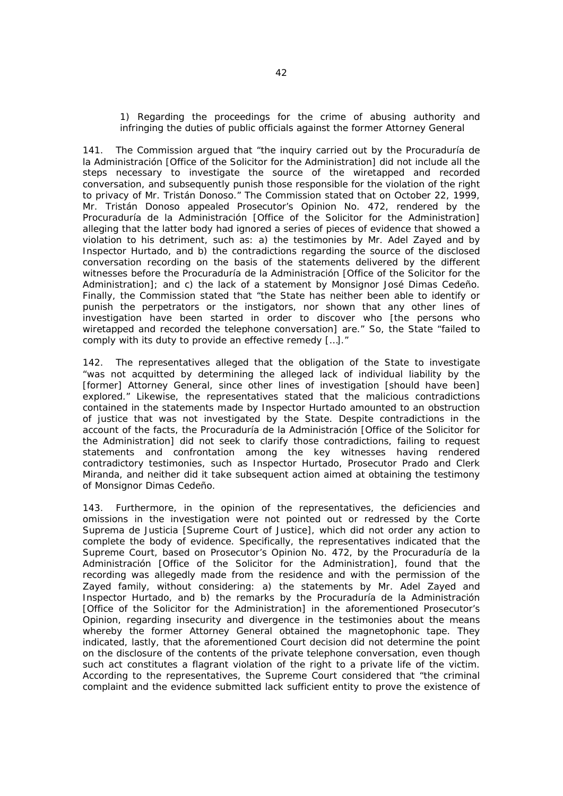### *1) Regarding the proceedings for the crime of abusing authority and infringing the duties of public officials against the former Attorney General*

141. The Commission argued that "the inquiry carried out by the *Procuraduría de la Administración* [Office of the Solicitor for the Administration] did not include all the steps necessary to investigate the source of the wiretapped and recorded conversation, and subsequently punish those responsible for the violation of the right to privacy of Mr. Tristán Donoso." The Commission stated that on October 22, 1999, Mr. Tristán Donoso appealed Prosecutor's Opinion No. 472, rendered by the *Procuraduría de la Administración* [Office of the Solicitor for the Administration] alleging that the latter body had ignored a series of pieces of evidence that showed a violation to his detriment, such as: a) the testimonies by Mr. Adel Zayed and by Inspector Hurtado, and b) the contradictions regarding the source of the disclosed conversation recording on the basis of the statements delivered by the different witnesses before the *Procuraduría de la Administración* [Office of the Solicitor for the Administration]; and c) the lack of a statement by Monsignor José Dimas Cedeño. Finally, the Commission stated that "the State has neither been able to identify or punish the perpetrators or the instigators, nor shown that any other lines of investigation have been started in order to discover who [the persons who wiretapped and recorded the telephone conversation] are." So, the State "failed to comply with its duty to provide an effective remedy […]."

142. The representatives alleged that the obligation of the State to investigate "was not acquitted by determining the alleged lack of individual liability by the [former] Attorney General, since other lines of investigation [should have been] explored." Likewise, the representatives stated that the malicious contradictions contained in the statements made by Inspector Hurtado amounted to an obstruction of justice that was not investigated by the State. Despite contradictions in the account of the facts, the *Procuraduría de la Administración* [Office of the Solicitor for the Administration] did not seek to clarify those contradictions, failing to request statements and confrontation among the key witnesses having rendered contradictory testimonies, such as Inspector Hurtado, Prosecutor Prado and Clerk Miranda, and neither did it take subsequent action aimed at obtaining the testimony of Monsignor Dimas Cedeño.

143. Furthermore, in the opinion of the representatives, the deficiencies and omissions in the investigation were not pointed out or redressed by the *Corte Suprema de Justicia* [Supreme Court of Justice], which did not order any action to complete the body of evidence. Specifically, the representatives indicated that the Supreme Court, based on Prosecutor's Opinion No. 472, by the *Procuraduría de la Administración* [Office of the Solicitor for the Administration], found that the recording was allegedly made from the residence and with the permission of the Zayed family, without considering: a) the statements by Mr. Adel Zayed and Inspector Hurtado, and b) the remarks by the *Procuraduría de la Administración* [Office of the Solicitor for the Administration] in the aforementioned Prosecutor's Opinion, regarding insecurity and divergence in the testimonies about the means whereby the former Attorney General obtained the magnetophonic tape. They indicated, lastly, that the aforementioned Court decision did not determine the point on the disclosure of the contents of the private telephone conversation, even though such act constitutes a flagrant violation of the right to a private life of the victim. According to the representatives, the Supreme Court considered that "the criminal complaint and the evidence submitted lack sufficient entity to prove the existence of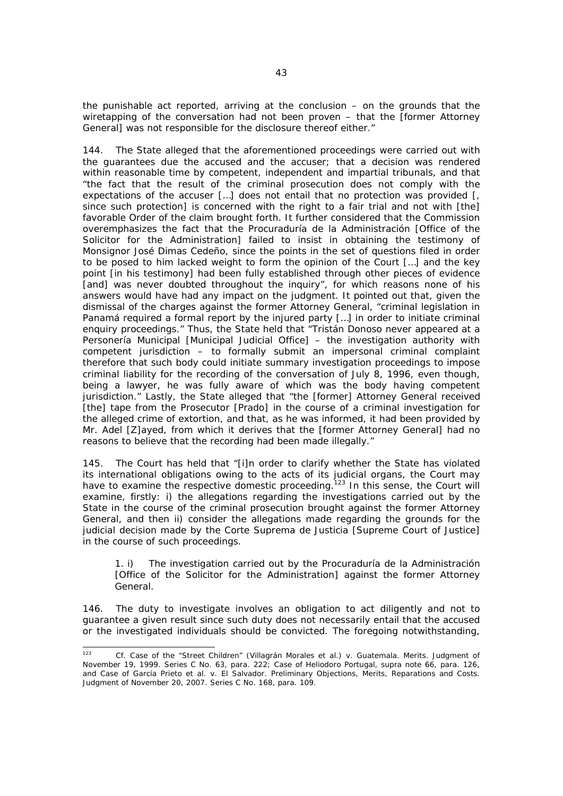the punishable act reported, arriving at the conclusion – on the grounds that the wiretapping of the conversation had not been proven – that the [former Attorney General] was not responsible for the disclosure thereof either."

144. The State alleged that the aforementioned proceedings were carried out with the guarantees due the accused and the accuser; that a decision was rendered within reasonable time by competent, independent and impartial tribunals, and that "the fact that the result of the criminal prosecution does not comply with the expectations of the accuser [...] does not entail that no protection was provided [. since such protection] is concerned with the right to a fair trial and not with [the] favorable Order of the claim brought forth. It further considered that the Commission overemphasizes the fact that the *Procuraduría de la Administración* [Office of the Solicitor for the Administration] failed to insist in obtaining the testimony of Monsignor José Dimas Cedeño, since the points in the set of questions filed in order to be posed to him lacked weight to form the opinion of the Court […] and the key point [in his testimony] had been fully established through other pieces of evidence [and] was never doubted throughout the inquiry", for which reasons none of his answers would have had any impact on the judgment. It pointed out that, given the dismissal of the charges against the former Attorney General, "criminal legislation in Panamá required a formal report by the injured party […] in order to initiate criminal enquiry proceedings." Thus, the State held that "Tristán Donoso never appeared at a *Personería Municipal* [Municipal Judicial Office] – the investigation authority with competent jurisdiction – to formally submit an impersonal criminal complaint therefore that such body could initiate summary investigation proceedings to impose criminal liability for the recording of the conversation of July 8, 1996, even though, being a lawyer, he was fully aware of which was the body having competent jurisdiction." Lastly, the State alleged that "the [former] Attorney General received [the] tape from the Prosecutor [Prado] in the course of a criminal investigation for the alleged crime of extortion, and that, as he was informed, it had been provided by Mr. Adel [Z]ayed, from which it derives that the [former Attorney General] had no reasons to believe that the recording had been made illegally."

145. The Court has held that "[i]n order to clarify whether the State has violated its international obligations owing to the acts of its judicial organs, the Court may have to examine the respective domestic proceeding.<sup>123</sup> In this sense, the Court will examine, firstly: i) the allegations regarding the investigations carried out by the State in the course of the criminal prosecution brought against the former Attorney General, and then ii) consider the allegations made regarding the grounds for the judicial decision made by the *Corte Suprema de Justicia* [Supreme Court of Justice] in the course of such proceedings.

*1. i) The investigation carried out by the Procuraduría de la Administración [Office of the Solicitor for the Administration] against the former Attorney General.* 

146. The duty to investigate involves an obligation to act diligently and not to guarantee a given result since such duty does not necessarily entail that the accused or the investigated individuals should be convicted. The foregoing notwithstanding,

 $123$ <sup>123</sup> *Cf. Case of the "Street Children"* (*Villagrán Morales et al*.) *v. Guatemala. Merits.* Judgment of November 19, 1999. Series C No. 63, para. 222; *Case of Heliodoro Portugal*, *supra* note 66, para. 126, and *Case of García Prieto et al. v. El Salvador. Preliminary Objections, Merits, Reparations and Costs.*  Judgment of November 20, 2007. Series C No. 168, para. 109.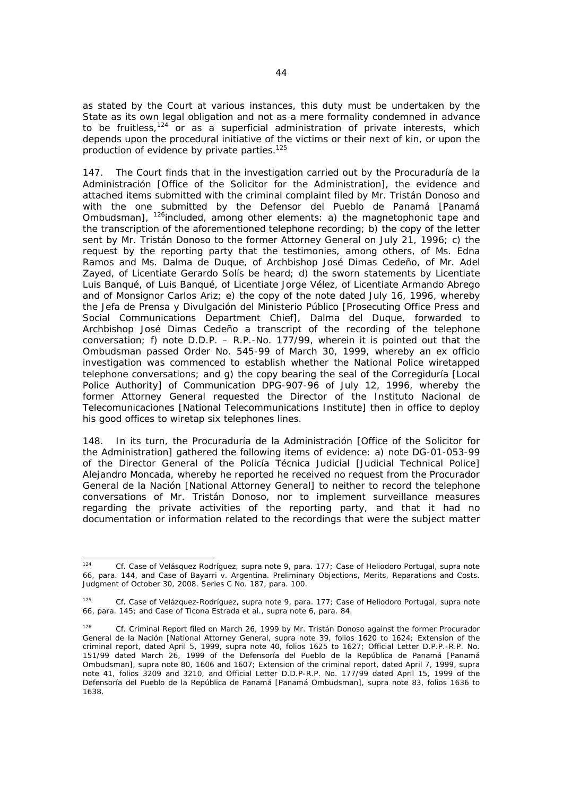as stated by the Court at various instances, this duty must be undertaken by the State as its own legal obligation and not as a mere formality condemned in advance to be fruitless,  $124$  or as a superficial administration of private interests, which depends upon the procedural initiative of the victims or their next of kin, or upon the production of evidence by private parties.<sup>125</sup>

147. The Court finds that in the investigation carried out by the *Procuraduría de la Administración* [Office of the Solicitor for the Administration], the evidence and attached items submitted with the criminal complaint filed by Mr. Tristán Donoso and with the one submitted by the *Defensor del Pueblo de Panamá* [Panamá Ombudsman], <sup>126</sup>included, among other elements: a) the magnetophonic tape and the transcription of the aforementioned telephone recording; b) the copy of the letter sent by Mr. Tristán Donoso to the former Attorney General on July 21, 1996; c) the request by the reporting party that the testimonies, among others, of Ms. Edna Ramos and Ms. Dalma de Duque, of Archbishop José Dimas Cedeño, of Mr. Adel Zayed, of Licentiate Gerardo Solís be heard; d) the sworn statements by Licentiate Luis Banqué, of Luis Banqué, of Licentiate Jorge Vélez, of Licentiate Armando Abrego and of Monsignor Carlos Ariz; e) the copy of the note dated July 16, 1996, whereby the *Jefa de Prensa y Divulgación del Ministerio Público* [Prosecuting Office Press and Social Communications Department Chief], Dalma del Duque, forwarded to Archbishop José Dimas Cedeño a transcript of the recording of the telephone conversation; f) note D.D.P. – R.P.-No. 177/99, wherein it is pointed out that the Ombudsman passed Order No. 545-99 of March 30, 1999, whereby an *ex officio*  investigation was commenced to establish whether the National Police wiretapped telephone conversations; and g) the copy bearing the seal of the *Corregiduría* [Local Police Authority] of Communication DPG-907-96 of July 12, 1996, whereby the former Attorney General requested the Director of the *Instituto Nacional de Telecomunicaciones* [National Telecommunications Institute] then in office to deploy his good offices to wiretap six telephones lines.

148. In its turn, the *Procuraduría de la Administración* [Office of the Solicitor for the Administration] gathered the following items of evidence: a) note DG-01-053-99 of the Director General of the *Policía Técnica Judicial* [Judicial Technical Police] Alejandro Moncada, whereby he reported he received no request from the *Procurador General de la Nación* [National Attorney General] to neither to record the telephone conversations of Mr. Tristán Donoso, nor to implement surveillance measures regarding the private activities of the reporting party, and that it had no documentation or information related to the recordings that were the subject matter

 $124$ <sup>124</sup> *Cf. Case of Velásquez Rodríguez, supra* note 9, para. 177; *Case of Heliodoro Portugal, supra* note 66, para. 144, and *Case of Bayarri v. Argentina. Preliminary Objections, Merits, Reparations and Costs*. Judgment of October 30, 2008. Series C No. 187, para. 100.

<sup>125</sup> *Cf. Case of Velázquez-Rodríguez*, *supra* note 9, para. 177; *Case of Heliodoro Portugal, supra* note 66, para. 145; and *Case of Ticona Estrada et al., supra* note 6*,* para. 84.

<sup>126</sup> *Cf.* Criminal Report filed on March 26, 1999 by Mr. Tristán Donoso against the former *Procurador General de la Nación* [National Attorney General, *supra* note 39, folios 1620 to 1624; Extension of the criminal report, dated April 5, 1999, *supra* note 40, folios 1625 to 1627; Official Letter D.P.P.-R.P. No. 151/99 dated March 26, 1999 of the *Defensoría del Pueblo de la República de Panamá* [Panamá Ombudsman], *supra* note 80, 1606 and 1607; Extension of the criminal report, dated April 7, 1999, *supra* note 41, folios 3209 and 3210, and Official Letter D.D.P-R.P. No. 177/99 dated April 15, 1999 of the *Defensoría del Pueblo de la República de Panamá* [Panamá Ombudsman], *supra* note 83, folios 1636 to 1638.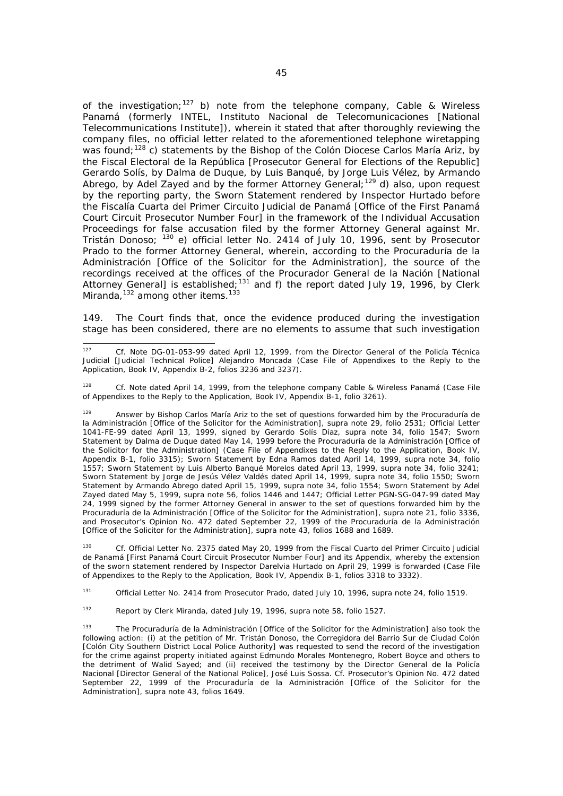of the investigation;<sup>127</sup> b) note from the telephone company, Cable & Wireless Panamá (formerly *INTEL, Instituto Nacional de Telecomunicaciones* [National Telecommunications Institute]), wherein it stated that after thoroughly reviewing the company files, no official letter related to the aforementioned telephone wiretapping was found;<sup>128</sup> c) statements by the Bishop of the Colón Diocese Carlos María Ariz, by the Fiscal Electoral de la República [Prosecutor General for Elections of the Republic] Gerardo Solís, by Dalma de Duque, by Luis Banqué, by Jorge Luis Vélez, by Armando Abrego, by Adel Zayed and by the former Attorney General;<sup>129</sup> d) also, upon request by the reporting party, the Sworn Statement rendered by Inspector Hurtado before the *Fiscalía Cuarta del Primer Circuito Judicial de Panamá* [Office of the First Panamá Court Circuit Prosecutor Number Four] in the framework of the Individual Accusation Proceedings for false accusation filed by the former Attorney General against Mr. Tristán Donoso; 130 e) official letter No. 2414 of July 10, 1996, sent by Prosecutor Prado to the former Attorney General, wherein, according to the *Procuraduría de la Administración* [Office of the Solicitor for the Administration], the source of the recordings received at the offices of the *Procurador General de la Nación* [National Attorney General] is established;<sup>131</sup> and f) the report dated July 19, 1996, by Clerk Miranda, $132$  among other items.<sup>133</sup>

149. The Court finds that, once the evidence produced during the investigation stage has been considered, there are no elements to assume that such investigation

130 *Cf.* Official Letter No. 2375 dated May 20, 1999 from the *Fiscal Cuarto del Primer Circuito Judicial de Panamá* [First Panamá Court Circuit Prosecutor Number Four] and its Appendix, whereby the extension of the sworn statement rendered by Inspector Darelvia Hurtado on April 29, 1999 is forwarded (Case File of Appendixes to the Reply to the Application, Book IV, Appendix B-1, folios 3318 to 3332).

131 Official Letter No. 2414 from Prosecutor Prado, dated July 10, 1996, *supra* note 24, folio 1519.

132 Report by Clerk Miranda, dated July 19, 1996, *supra* note 58, folio 1527.

 $127$ 127 *Cf.* Note DG-01-053-99 dated April 12, 1999, from the Director General of the *Policía Técnica Judicial* [Judicial Technical Police] Alejandro Moncada (Case File of Appendixes to the Reply to the Application, Book IV, Appendix B-2, folios 3236 and 3237).

<sup>128</sup> *Cf.* Note dated April 14, 1999, from the telephone company Cable & Wireless Panamá (Case File of Appendixes to the Reply to the Application, Book IV, Appendix B-1, folio 3261).

<sup>129</sup> Answer by Bishop Carlos María Ariz to the set of questions forwarded him by the *Procuraduría de la Administración* [Office of the Solicitor for the Administration], *supra* note 29, folio 2531; Official Letter 1041-FE-99 dated April 13, 1999, signed by Gerardo Solís Díaz, *supra* note 34, folio 1547; Sworn Statement by Dalma de Duque dated May 14, 1999 before the *Procuraduría de la Administración* [Office of the Solicitor for the Administration] (Case File of Appendixes to the Reply to the Application, Book IV, Appendix B-1, folio 3315); Sworn Statement by Edna Ramos dated April 14, 1999, *supra* note 34, folio 1557; Sworn Statement by Luis Alberto Banqué Morelos dated April 13, 1999, *supra* note 34, folio 3241; Sworn Statement by Jorge de Jesús Vélez Valdés dated April 14, 1999, *supra* note 34, folio 1550; Sworn Statement by Armando Abrego dated April 15, 1999, *supra* note 34, folio 1554; Sworn Statement by Adel Zayed dated May 5, 1999, *supra* note 56, folios 1446 and 1447; Official Letter PGN-SG-047-99 dated May 24, 1999 signed by the former Attorney General in answer to the set of questions forwarded him by the *Procuraduría de la Administración* [Office of the Solicitor for the Administration], *supra* note 21, folio 3336, and Prosecutor's Opinion No. 472 dated September 22, 1999 of the *Procuraduría de la Administración* [Office of the Solicitor for the Administration], *supra* note 43, folios 1688 and 1689.

<sup>133</sup> The *Procuraduría de la Administración* [Office of the Solicitor for the Administration] also took the following action: (i) at the petition of Mr. Tristán Donoso, the *Corregidora del Barrio Sur de Ciudad Colón* [Colón City Southern District Local Police Authority] was requested to send the record of the investigation for the crime against property initiated against Edmundo Morales Montenegro, Robert Boyce and others to the detriment of Walid Sayed; and (ii) received the testimony by the *Director General de la Policía Nacional* [Director General of the National Police], José Luis Sossa. *Cf.* Prosecutor's Opinion No. 472 dated September 22, 1999 of the *Procuraduría de la Administración* [Office of the Solicitor for the Administration], *supra* note 43, folios 1649.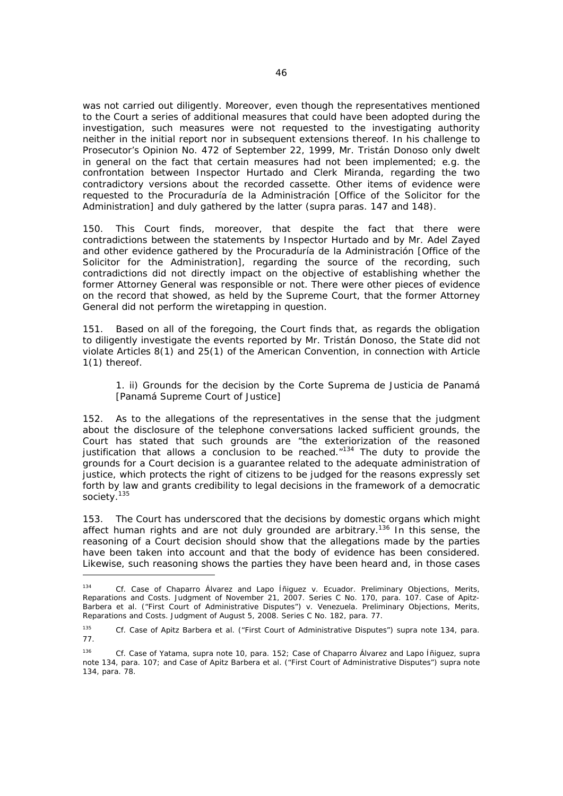was not carried out diligently. Moreover, even though the representatives mentioned to the Court a series of additional measures that could have been adopted during the investigation, such measures were not requested to the investigating authority neither in the initial report nor in subsequent extensions thereof. In his challenge to Prosecutor's Opinion No. 472 of September 22, 1999, Mr. Tristán Donoso only dwelt in general on the fact that certain measures had not been implemented; e.g. the confrontation between Inspector Hurtado and Clerk Miranda, regarding the two contradictory versions about the recorded cassette. Other items of evidence were requested to the *Procuraduría de la Administración* [Office of the Solicitor for the Administration] and duly gathered by the latter (*supra* paras. 147 and 148).

150. This Court finds, moreover, that despite the fact that there were contradictions between the statements by Inspector Hurtado and by Mr. Adel Zayed and other evidence gathered by the *Procuraduría de la Administración* [Office of the Solicitor for the Administration], regarding the source of the recording, such contradictions did not directly impact on the objective of establishing whether the former Attorney General was responsible or not. There were other pieces of evidence on the record that showed, as held by the Supreme Court, that the former Attorney General did not perform the wiretapping in question.

151. Based on all of the foregoing, the Court finds that, as regards the obligation to diligently investigate the events reported by Mr. Tristán Donoso, the State did not violate Articles 8(1) and 25(1) of the American Convention, in connection with Article 1(1) thereof.

## 1. *ii) Grounds for the decision by the Corte Suprema de Justicia de Panamá [Panamá Supreme Court of Justice]*

152. As to the allegations of the representatives in the sense that the judgment about the disclosure of the telephone conversations lacked sufficient grounds, the Court has stated that such grounds are "the exteriorization of the reasoned justification that allows a conclusion to be reached. $1134$  The duty to provide the grounds for a Court decision is a guarantee related to the adequate administration of justice, which protects the right of citizens to be judged for the reasons expressly set forth by law and grants credibility to legal decisions in the framework of a democratic society.<sup>135</sup>

153. The Court has underscored that the decisions by domestic organs which might affect human rights and are not duly grounded are arbitrary.<sup>136</sup> In this sense, the reasoning of a Court decision should show that the allegations made by the parties have been taken into account and that the body of evidence has been considered. Likewise, such reasoning shows the parties they have been heard and, in those cases

 $\overline{\phantom{0}}$ 

<sup>134</sup> *Cf. Case of Chaparro Álvarez and Lapo Íñiguez v. Ecuador. Preliminary Objections, Merits, Reparations and Costs.* Judgment of November 21, 2007. Series C No. 170, para. 107. *Case of Apitz-Barbera et al. ("First Court of Administrative Disputes") v. Venezuela. Preliminary Objections, Merits, Reparations and Costs.* Judgment of August 5, 2008. Series C No. 182, para. 77.

<sup>135</sup> *Cf*. *Case of Apitz Barbera et al. ("First Court of Administrative Disputes") supra* note 134, para. 77.

<sup>136</sup> *Cf. Case of Yatama, supra* note 10, para. 152; *Case of Chaparro Álvarez and Lapo Íñiguez, supra*  note 134, para. 107; and *Case of Apitz Barbera et al. ("First Court of Administrative Disputes") supra* note 134, para. 78.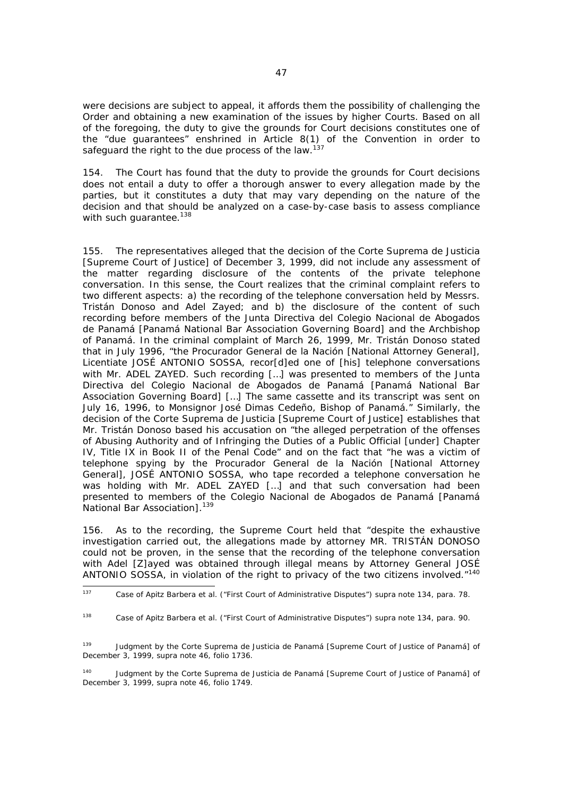were decisions are subject to appeal, it affords them the possibility of challenging the Order and obtaining a new examination of the issues by higher Courts. Based on all of the foregoing, the duty to give the grounds for Court decisions constitutes one of the "due guarantees" enshrined in Article 8(1) of the Convention in order to safeguard the right to the due process of the law.<sup>137</sup>

154. The Court has found that the duty to provide the grounds for Court decisions does not entail a duty to offer a thorough answer to every allegation made by the parties, but it constitutes a duty that may vary depending on the nature of the decision and that should be analyzed on a case-by-case basis to assess compliance with such guarantee.<sup>138</sup>

155. The representatives alleged that the decision of the *Corte Suprema de Justicia* [Supreme Court of Justice] of December 3, 1999, did not include any assessment of the matter regarding disclosure of the contents of the private telephone conversation. In this sense, the Court realizes that the criminal complaint refers to two different aspects: a) the recording of the telephone conversation held by Messrs. Tristán Donoso and Adel Zayed; and b) the disclosure of the content of such recording before members of the *Junta Directiva del Colegio Nacional de Abogados de Panamá* [Panamá National Bar Association Governing Board] and the Archbishop of Panamá. In the criminal complaint of March 26, 1999, Mr. Tristán Donoso stated that in July 1996, "the *Procurador General de la Nación* [National Attorney General], Licentiate JOSÉ ANTONIO SOSSA, recor[d]ed one of [his] telephone conversations with Mr. ADEL ZAYED. Such recording […] was presented to members of the *Junta Directiva del Colegio Nacional de Abogados de Panamá* [Panamá National Bar Association Governing Board] […] The same cassette and its transcript was sent on July 16, 1996, to Monsignor José Dimas Cedeño, Bishop of Panamá." Similarly, the decision of the *Corte Suprema de Justicia* [Supreme Court of Justice] establishes that Mr. Tristán Donoso based his accusation on "the alleged perpetration of the offenses of Abusing Authority and of Infringing the Duties of a Public Official [under] Chapter IV, Title IX in Book II of the Penal Code" and on the fact that "he was a victim of telephone spying by the *Procurador General de la Nación* [National Attorney General], JOSÉ ANTONIO SOSSA, who tape recorded a telephone conversation he was holding with Mr. ADEL ZAYED […] and that such conversation had been presented to members of the *Colegio Nacional de Abogados de Panamá* [Panamá National Bar Association].<sup>139</sup>

156. As to the recording, the Supreme Court held that "despite the exhaustive investigation carried out, the allegations made by attorney MR. TRISTÁN DONOSO could not be proven, in the sense that the recording of the telephone conversation with Adel [Z]ayed was obtained through illegal means by Attorney General JOSÉ ANTONIO SOSSA, in violation of the right to privacy of the two citizens involved."140

140 Judgment by the *Corte Suprema de Justicia de Panamá* [Supreme Court of Justice of Panamá] of December 3, 1999, *supra* note 46, folio 1749.

<sup>137</sup> <sup>137</sup> *Case of Apitz Barbera et al. ("First Court of Administrative Disputes") supra* note 134, para. 78.

<sup>138</sup> *Case of Apitz Barbera et al. ("First Court of Administrative Disputes") supra* note 134, para. 90.

<sup>139</sup> Judgment by the *Corte Suprema de Justicia de Panamá* [Supreme Court of Justice of Panamá] of December 3, 1999, *supra* note 46, folio 1736.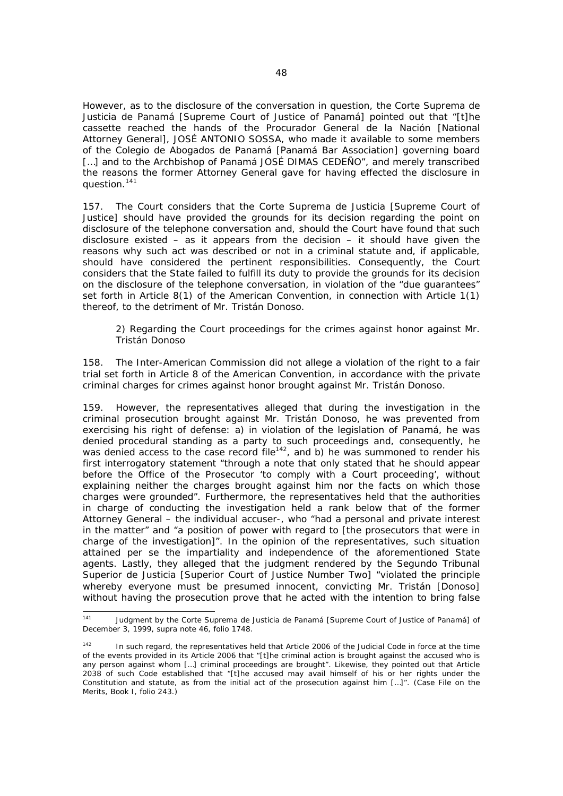However, as to the disclosure of the conversation in question, the *Corte Suprema de Justicia de Panamá* [Supreme Court of Justice of Panamá] pointed out that "[t]he cassette reached the hands of the *Procurador General de la Nación* [National Attorney General], JOSÉ ANTONIO SOSSA, who made it available to some members of the *Colegio de Abogados de Panamá* [Panamá Bar Association] governing board […] and to the Archbishop of Panamá JOSÉ DIMAS CEDEÑO", and merely transcribed the reasons the former Attorney General gave for having effected the disclosure in question.141

157. The Court considers that the *Corte Suprema de Justicia* [Supreme Court of Justice] should have provided the grounds for its decision regarding the point on disclosure of the telephone conversation and, should the Court have found that such disclosure existed – as it appears from the decision – it should have given the reasons why such act was described or not in a criminal statute and, if applicable, should have considered the pertinent responsibilities. Consequently, the Court considers that the State failed to fulfill its duty to provide the grounds for its decision on the disclosure of the telephone conversation, in violation of the "due guarantees" set forth in Article 8(1) of the American Convention, in connection with Article 1(1) thereof, to the detriment of Mr. Tristán Donoso.

## *2) Regarding the Court proceedings for the crimes against honor against Mr. Tristán Donoso*

158. The Inter-American Commission did not allege a violation of the right to a fair trial set forth in Article 8 of the American Convention, in accordance with the private criminal charges for crimes against honor brought against Mr. Tristán Donoso.

159. However, the representatives alleged that during the investigation in the criminal prosecution brought against Mr. Tristán Donoso, he was prevented from exercising his right of defense: a) in violation of the legislation of Panamá, he was denied procedural standing as a party to such proceedings and, consequently, he was denied access to the case record file<sup>142</sup>, and b) he was summoned to render his first interrogatory statement "through a note that only stated that he should appear before the Office of the Prosecutor 'to comply with a Court proceeding', without explaining neither the charges brought against him nor the facts on which those charges were grounded". Furthermore, the representatives held that the authorities in charge of conducting the investigation held a rank below that of the former Attorney General – the individual accuser-, who "had a personal and private interest in the matter" and "a position of power with regard to [the prosecutors that were in charge of the investigation]". In the opinion of the representatives, such situation attained *per se* the impartiality and independence of the aforementioned State agents. Lastly, they alleged that the judgment rendered by the *Segundo Tribunal Superior de Justicia* [Superior Court of Justice Number Two] "violated the principle whereby everyone must be presumed innocent, convicting Mr. Tristán [Donoso] without having the prosecution prove that he acted with the intention to bring false

 $141$ 141 Judgment by the *Corte Suprema de Justicia de Panamá* [Supreme Court of Justice of Panamá] of December 3, 1999, *supra* note 46, folio 1748.

<sup>&</sup>lt;sup>142</sup> In such regard, the representatives held that Article 2006 of the Judicial Code in force at the time of the events provided in its Article 2006 that "[t]he criminal action is brought against the accused who is any person against whom […] criminal proceedings are brought". Likewise, they pointed out that Article 2038 of such Code established that "[t]he accused may avail himself of his or her rights under the Constitution and statute, as from the initial act of the prosecution against him […]". (Case File on the Merits, Book I, folio 243.)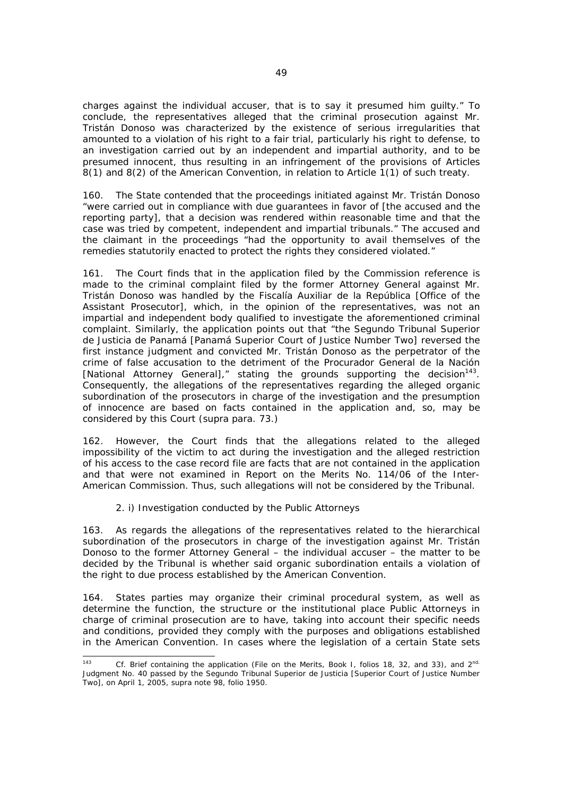charges against the individual accuser, that is to say it presumed him guilty." To conclude, the representatives alleged that the criminal prosecution against Mr. Tristán Donoso was characterized by the existence of serious irregularities that amounted to a violation of his right to a fair trial, particularly his right to defense, to an investigation carried out by an independent and impartial authority, and to be presumed innocent, thus resulting in an infringement of the provisions of Articles 8(1) and 8(2) of the American Convention, in relation to Article 1(1) of such treaty.

160. The State contended that the proceedings initiated against Mr. Tristán Donoso "were carried out in compliance with due guarantees in favor of [the accused and the reporting party], that a decision was rendered within reasonable time and that the case was tried by competent, independent and impartial tribunals." The accused and the claimant in the proceedings "had the opportunity to avail themselves of the remedies statutorily enacted to protect the rights they considered violated."

161. The Court finds that in the application filed by the Commission reference is made to the criminal complaint filed by the former Attorney General against Mr. Tristán Donoso was handled by the *Fiscalía Auxiliar de la República* [Office of the Assistant Prosecutor], which, in the opinion of the representatives, was not an impartial and independent body qualified to investigate the aforementioned criminal complaint. Similarly, the application points out that "the *Segundo Tribunal Superior de Justicia de Panamá* [Panamá Superior Court of Justice Number Two] reversed the first instance judgment and convicted Mr. Tristán Donoso as the perpetrator of the crime of false accusation to the detriment of the *Procurador General de la Nación* [National Attorney General]," stating the grounds supporting the decision<sup>143</sup>. Consequently, the allegations of the representatives regarding the alleged organic subordination of the prosecutors in charge of the investigation and the presumption of innocence are based on facts contained in the application and, so, may be considered by this Court (*supra* para. 73.)

162. However, the Court finds that the allegations related to the alleged impossibility of the victim to act during the investigation and the alleged restriction of his access to the case record file are facts that are not contained in the application and that were not examined in Report on the Merits No. 114/06 of the Inter-American Commission. Thus, such allegations will not be considered by the Tribunal.

### *2. i) Investigation conducted by the Public Attorneys*

163. As regards the allegations of the representatives related to the hierarchical subordination of the prosecutors in charge of the investigation against Mr. Tristán Donoso to the former Attorney General – the individual accuser – the matter to be decided by the Tribunal is whether said organic subordination entails a violation of the right to due process established by the American Convention.

164. States parties may organize their criminal procedural system, as well as determine the function, the structure or the institutional place Public Attorneys in charge of criminal prosecution are to have, taking into account their specific needs and conditions, provided they comply with the purposes and obligations established in the American Convention. In cases where the legislation of a certain State sets

 $142$ Cf. Brief containing the application (File on the Merits, Book I, folios 18, 32, and 33), and 2<sup>nd.</sup> Judgment No. 40 passed by the *Segundo Tribunal Superior de Justicia* [Superior Court of Justice Number Two], on April 1, 2005, *supra* note 98, folio 1950.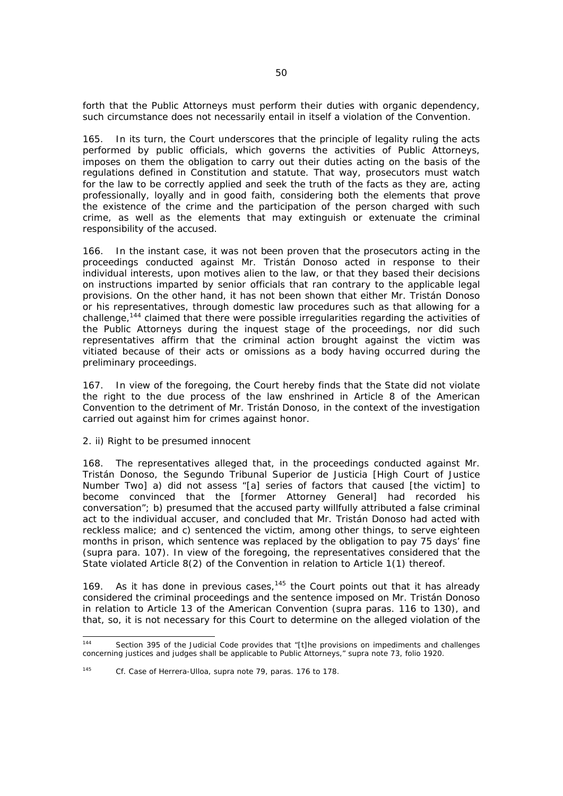forth that the Public Attorneys must perform their duties with organic dependency, such circumstance does not necessarily entail in itself a violation of the Convention.

165. In its turn, the Court underscores that the principle of legality ruling the acts performed by public officials, which governs the activities of Public Attorneys, imposes on them the obligation to carry out their duties acting on the basis of the regulations defined in Constitution and statute. That way, prosecutors must watch for the law to be correctly applied and seek the truth of the facts as they are, acting professionally, loyally and in good faith, considering both the elements that prove the existence of the crime and the participation of the person charged with such crime, as well as the elements that may extinguish or extenuate the criminal responsibility of the accused.

166. In the instant case, it was not been proven that the prosecutors acting in the proceedings conducted against Mr. Tristán Donoso acted in response to their individual interests, upon motives alien to the law, or that they based their decisions on instructions imparted by senior officials that ran contrary to the applicable legal provisions. On the other hand, it has not been shown that either Mr. Tristán Donoso or his representatives, through domestic law procedures such as that allowing for a challenge,144 claimed that there were possible irregularities regarding the activities of the Public Attorneys during the inquest stage of the proceedings, nor did such representatives affirm that the criminal action brought against the victim was vitiated because of their acts or omissions as a body having occurred during the preliminary proceedings.

167. In view of the foregoing, the Court hereby finds that the State did not violate the right to the due process of the law enshrined in Article 8 of the American Convention to the detriment of Mr. Tristán Donoso, in the context of the investigation carried out against him for crimes against honor.

### *2. ii) Right to be presumed innocent*

168. The representatives alleged that, in the proceedings conducted against Mr. Tristán Donoso, the *Segundo Tribunal Superior de Justicia* [High Court of Justice Number Two] a) did not assess "[a] series of factors that caused [the victim] to become convinced that the [former Attorney General] had recorded his conversation"; b) presumed that the accused party willfully attributed a false criminal act to the individual accuser, and concluded that Mr. Tristán Donoso had acted with reckless malice; and c) sentenced the victim, among other things, to serve eighteen months in prison, which sentence was replaced by the obligation to pay 75 days' fine (*supra* para. 107). In view of the foregoing, the representatives considered that the State violated Article 8(2) of the Convention in relation to Article 1(1) thereof.

169. As it has done in previous cases,  $145$  the Court points out that it has already considered the criminal proceedings and the sentence imposed on Mr. Tristán Donoso in relation to Article 13 of the American Convention (*supra* paras. 116 to 130), and that, so, it is not necessary for this Court to determine on the alleged violation of the

<sup>145</sup> *Cf. Case of Herrera-Ulloa*, *supra* note 79, paras. 176 to 178.

 $144$ Section 395 of the Judicial Code provides that "[t]he provisions on impediments and challenges concerning justices and judges shall be applicable to Public Attorneys," *supra* note 73, folio 1920.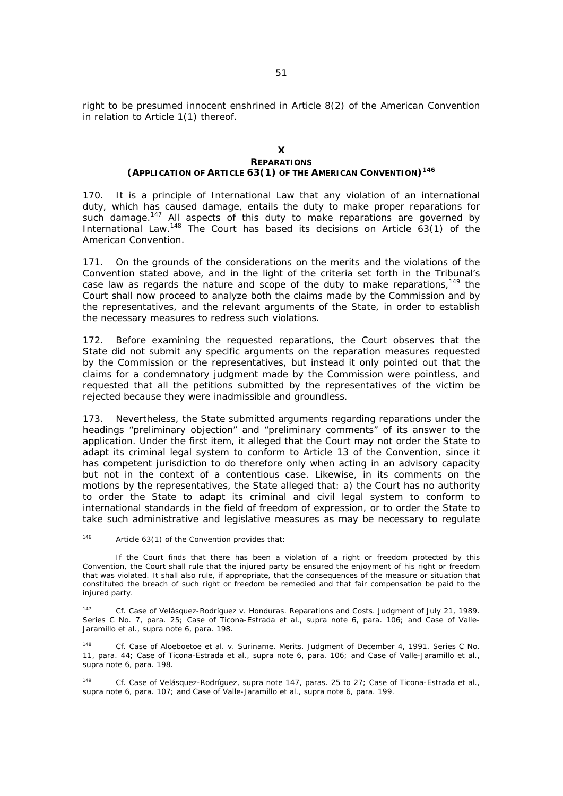right to be presumed innocent enshrined in Article 8(2) of the American Convention in relation to Article 1(1) thereof.

### **X REPARATIONS (APPLICATION OF ARTICLE 63(1) OF THE AMERICAN CONVENTION)146**

170. It is a principle of International Law that any violation of an international duty, which has caused damage, entails the duty to make proper reparations for such damage.<sup>147</sup> All aspects of this duty to make reparations are governed by International Law.<sup>148</sup> The Court has based its decisions on Article  $63(1)$  of the American Convention.

171. On the grounds of the considerations on the merits and the violations of the Convention stated above, and in the light of the criteria set forth in the Tribunal's case law as regards the nature and scope of the duty to make reparations,  $149$  the Court shall now proceed to analyze both the claims made by the Commission and by the representatives, and the relevant arguments of the State, in order to establish the necessary measures to redress such violations.

172. Before examining the requested reparations, the Court observes that the State did not submit any specific arguments on the reparation measures requested by the Commission or the representatives, but instead it only pointed out that the claims for a condemnatory judgment made by the Commission were pointless, and requested that all the petitions submitted by the representatives of the victim be rejected because they were inadmissible and groundless.

173. Nevertheless, the State submitted arguments regarding reparations under the headings "preliminary objection" and "preliminary comments" of its answer to the application. Under the first item, it alleged that the Court may not order the State to adapt its criminal legal system to conform to Article 13 of the Convention, since it has competent jurisdiction to do therefore only when acting in an advisory capacity but not in the context of a contentious case. Likewise, in its comments on the motions by the representatives, the State alleged that: a) the Court has no authority to order the State to adapt its criminal and civil legal system to conform to international standards in the field of freedom of expression, or to order the State to take such administrative and legislative measures as may be necessary to regulate

148 *Cf. Case of Aloeboetoe et al. v. Suriname. Merits.* Judgment of December 4, 1991. Series C No. 11, para. 44; *Case of Ticona-Estrada et al., supra* note 6, para. 106; and *Case of Valle-Jaramillo et al., supra* note 6, para. 198.

149 *Cf. Case of Velásquez-Rodríguez, supra* note 147, paras. 25 to 27; *Case of Ticona-Estrada et al., supra* note 6, para. 107; and *Case of Valle-Jaramillo et al., supra* note 6, para. 199.

 $146$ Article  $63(1)$  of the Convention provides that:

If the Court finds that there has been a violation of a right or freedom protected by this Convention, the Court shall rule that the injured party be ensured the enjoyment of his right or freedom that was violated. It shall also rule, if appropriate, that the consequences of the measure or situation that constituted the breach of such right or freedom be remedied and that fair compensation be paid to the injured party.

<sup>147</sup> *Cf. Case of Velásquez-Rodríguez v. Honduras. Reparations and Costs.* Judgment of July 21, 1989. Series C No. 7, para. 25; *Case of Ticona-Estrada et al., supra* note 6, para. 106; and *Case of Valle-Jaramillo et al., supra* note 6, para. 198.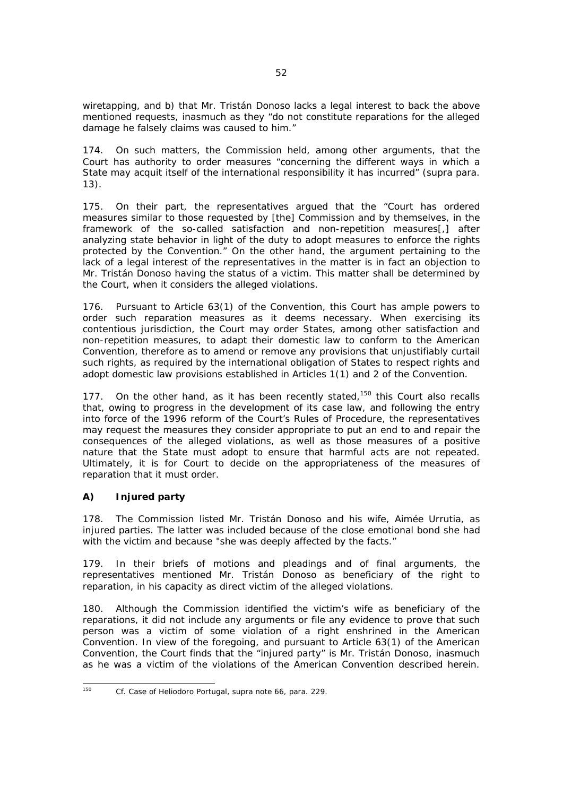wiretapping, and b) that Mr. Tristán Donoso lacks a legal interest to back the above mentioned requests, inasmuch as they "do not constitute reparations for the alleged damage he falsely claims was caused to him."

174. On such matters, the Commission held, among other arguments, that the Court has authority to order measures "concerning the different ways in which a State may acquit itself of the international responsibility it has incurred" (*supra* para. 13).

175. On their part, the representatives argued that the "Court has ordered measures similar to those requested by [the] Commission and by themselves, in the framework of the so-called satisfaction and non-repetition measures[,] after analyzing state behavior in light of the duty to adopt measures to enforce the rights protected by the Convention." On the other hand, the argument pertaining to the lack of a legal interest of the representatives in the matter is in fact an objection to Mr. Tristán Donoso having the status of a victim. This matter shall be determined by the Court, when it considers the alleged violations.

176. Pursuant to Article 63(1) of the Convention, this Court has ample powers to order such reparation measures as it deems necessary. When exercising its contentious jurisdiction, the Court may order States, among other satisfaction and non-repetition measures, to adapt their domestic law to conform to the American Convention, therefore as to amend or remove any provisions that unjustifiably curtail such rights, as required by the international obligation of States to respect rights and adopt domestic law provisions established in Articles 1(1) and 2 of the Convention.

177. On the other hand, as it has been recently stated,<sup>150</sup> this Court also recalls that, owing to progress in the development of its case law, and following the entry into force of the 1996 reform of the Court's Rules of Procedure, the representatives may request the measures they consider appropriate to put an end to and repair the consequences of the alleged violations, as well as those measures of a positive nature that the State must adopt to ensure that harmful acts are not repeated. Ultimately, it is for Court to decide on the appropriateness of the measures of reparation that it must order.

# *A) Injured party*

178. The Commission listed Mr. Tristán Donoso and his wife, Aimée Urrutia, as injured parties. The latter was included because of the close emotional bond she had with the victim and because "she was deeply affected by the facts."

179. In their briefs of motions and pleadings and of final arguments, the representatives mentioned Mr. Tristán Donoso as beneficiary of the right to reparation, in his capacity as direct victim of the alleged violations.

180. Although the Commission identified the victim's wife as beneficiary of the reparations, it did not include any arguments or file any evidence to prove that such person was a victim of some violation of a right enshrined in the American Convention. In view of the foregoing, and pursuant to Article 63(1) of the American Convention, the Court finds that the "injured party" is Mr. Tristán Donoso, inasmuch as he was a victim of the violations of the American Convention described herein.

 $150$ *150 Cf. Case of Heliodoro Portugal, supra* note 66, para. 229.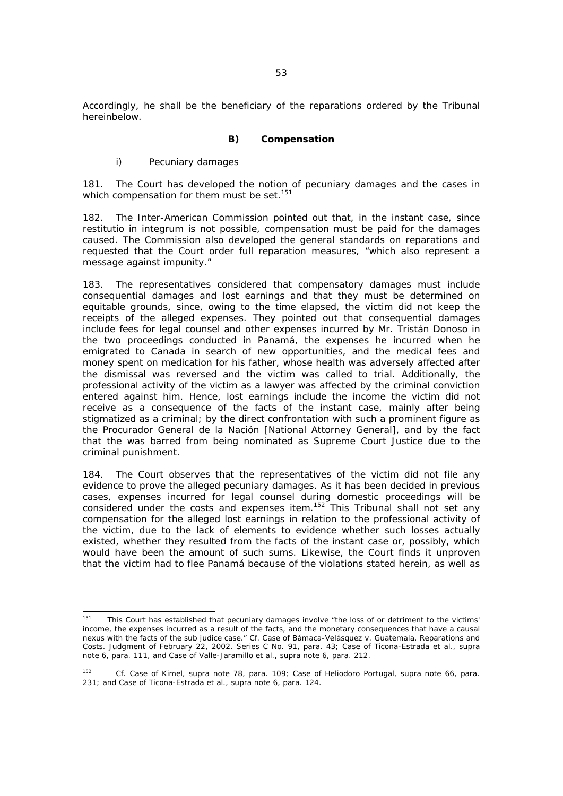Accordingly, he shall be the beneficiary of the reparations ordered by the Tribunal hereinbelow.

### *B) Compensation*

## *i) Pecuniary damages*

181. The Court has developed the notion of pecuniary damages and the cases in which compensation for them must be set.<sup>151</sup>

182. The Inter-American Commission pointed out that, in the instant case, since *restitutio in integrum* is not possible, compensation must be paid for the damages caused. The Commission also developed the general standards on reparations and requested that the Court order full reparation measures, "which also represent a message against impunity."

183. The representatives considered that compensatory damages must include consequential damages and lost earnings and that they must be determined on equitable grounds, since, owing to the time elapsed, the victim did not keep the receipts of the alleged expenses. They pointed out that consequential damages include fees for legal counsel and other expenses incurred by Mr. Tristán Donoso in the two proceedings conducted in Panamá, the expenses he incurred when he emigrated to Canada in search of new opportunities, and the medical fees and money spent on medication for his father, whose health was adversely affected after the dismissal was reversed and the victim was called to trial. Additionally, the professional activity of the victim as a lawyer was affected by the criminal conviction entered against him. Hence, lost earnings include the income the victim did not receive as a consequence of the facts of the instant case, mainly after being stigmatized as a criminal; by the direct confrontation with such a prominent figure as the *Procurador General de la Nación* [National Attorney General], and by the fact that the was barred from being nominated as Supreme Court Justice due to the criminal punishment.

184. The Court observes that the representatives of the victim did not file any evidence to prove the alleged pecuniary damages. As it has been decided in previous cases, expenses incurred for legal counsel during domestic proceedings will be considered under the costs and expenses item.<sup>152</sup> This Tribunal shall not set any compensation for the alleged lost earnings in relation to the professional activity of the victim, due to the lack of elements to evidence whether such losses actually existed, whether they resulted from the facts of the instant case or, possibly, which would have been the amount of such sums. Likewise, the Court finds it unproven that the victim had to flee Panamá because of the violations stated herein, as well as

<sup>151</sup> 151 This Court has established that pecuniary damages involve "the loss of or detriment to the victims' income, the expenses incurred as a result of the facts, and the monetary consequences that have a causal nexus with the facts of the *sub judice* case." *Cf. Case of Bámaca-Velásquez v. Guatemala.* Reparations and Costs. Judgment of February 22, 2002. Series C No. 91, para. 43; *Case of Ticona-Estrada et al., supra* note 6, para. 111, and *Case of Valle-Jaramillo et al., supra* note 6, para. 212.

<sup>152</sup> *Cf. Case of Kimel, supra* note 78, para. 109; *Case of Heliodoro Portugal, supra* note 66, para. 231; and *Case of Ticona-Estrada et al., supra* note 6, para. 124.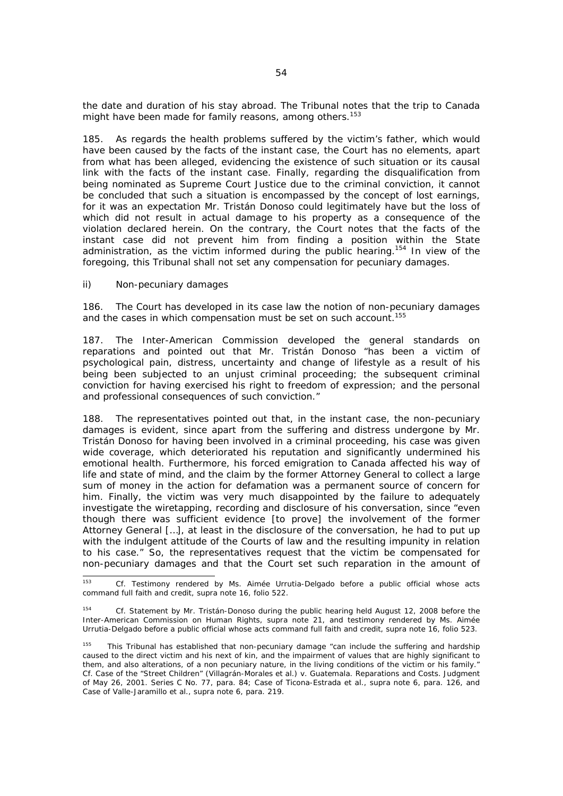the date and duration of his stay abroad. The Tribunal notes that the trip to Canada might have been made for family reasons, among others.<sup>153</sup>

185. As regards the health problems suffered by the victim's father, which would have been caused by the facts of the instant case, the Court has no elements, apart from what has been alleged, evidencing the existence of such situation or its causal link with the facts of the instant case. Finally, regarding the disqualification from being nominated as Supreme Court Justice due to the criminal conviction, it cannot be concluded that such a situation is encompassed by the concept of lost earnings, for it was an expectation Mr. Tristán Donoso could legitimately have but the loss of which did not result in actual damage to his property as a consequence of the violation declared herein. On the contrary, the Court notes that the facts of the instant case did not prevent him from finding a position within the State administration, as the victim informed during the public hearing.154 In view of the foregoing, this Tribunal shall not set any compensation for pecuniary damages.

## *ii) Non-pecuniary damages*

186. The Court has developed in its case law the notion of non-pecuniary damages and the cases in which compensation must be set on such account.<sup>155</sup>

187. The Inter-American Commission developed the general standards on reparations and pointed out that Mr. Tristán Donoso "has been a victim of psychological pain, distress, uncertainty and change of lifestyle as a result of his being been subjected to an unjust criminal proceeding; the subsequent criminal conviction for having exercised his right to freedom of expression; and the personal and professional consequences of such conviction."

188. The representatives pointed out that, in the instant case, the non-pecuniary damages is evident, since apart from the suffering and distress undergone by Mr. Tristán Donoso for having been involved in a criminal proceeding, his case was given wide coverage, which deteriorated his reputation and significantly undermined his emotional health. Furthermore, his forced emigration to Canada affected his way of life and state of mind, and the claim by the former Attorney General to collect a large sum of money in the action for defamation was a permanent source of concern for him. Finally, the victim was very much disappointed by the failure to adequately investigate the wiretapping, recording and disclosure of his conversation, since "even though there was sufficient evidence [to prove] the involvement of the former Attorney General […], at least in the disclosure of the conversation, he had to put up with the indulgent attitude of the Courts of law and the resulting impunity in relation to his case." So, the representatives request that the victim be compensated for non-pecuniary damages and that the Court set such reparation in the amount of

<sup>153</sup> 153 *Cf.* Testimony rendered by Ms. Aimée Urrutia-Delgado before a public official whose acts command full faith and credit, *supra* note 16, folio 522.

<sup>154</sup> *Cf.* Statement by Mr. Tristán-Donoso during the public hearing held August 12, 2008 before the Inter-American Commission on Human Rights, *supra* note 21, and testimony rendered by Ms. Aimée Urrutia-Delgado before a public official whose acts command full faith and credit, *supra* note 16, folio 523.

<sup>&</sup>lt;sup>155</sup> This Tribunal has established that non-pecuniary damage "can include the suffering and hardship caused to the direct victim and his next of kin, and the impairment of values that are highly significant to them, and also alterations, of a non pecuniary nature, in the living conditions of the victim or his family." *Cf. Case of the "Street Children" (Villagrán-Morales et al.) v. Guatemala. Reparations and Costs.* Judgment of May 26, 2001. Series C No. 77, para. 84; *Case of Ticona-Estrada et al., supra* note 6, para. 126, and *Case of Valle-Jaramillo et al., supra* note 6, para. 219.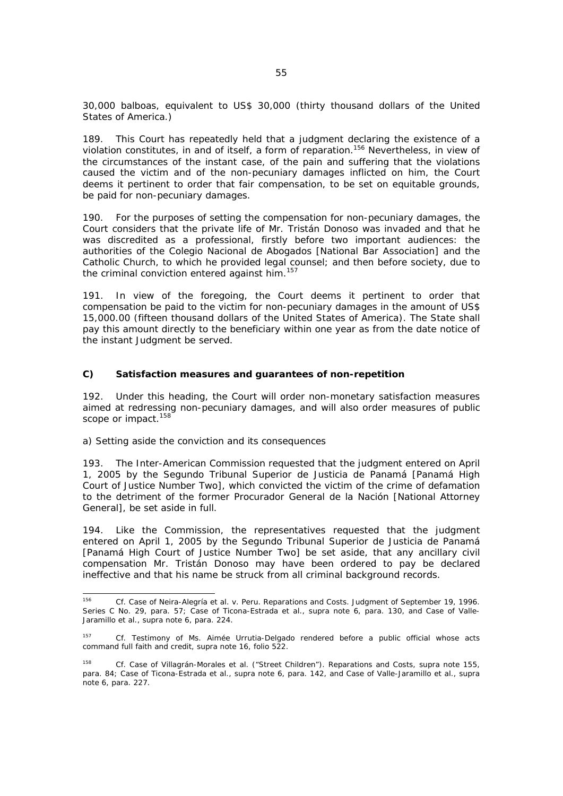30,000 *balboas,* equivalent to US\$ 30,000 (thirty thousand dollars of the United States of America.)

189. This Court has repeatedly held that a judgment declaring the existence of a violation constitutes, in and of itself, a form of reparation.156 Nevertheless, in view of the circumstances of the instant case, of the pain and suffering that the violations caused the victim and of the non-pecuniary damages inflicted on him, the Court deems it pertinent to order that fair compensation, to be set on equitable grounds, be paid for non-pecuniary damages.

190. For the purposes of setting the compensation for non-pecuniary damages, the Court considers that the private life of Mr. Tristán Donoso was invaded and that he was discredited as a professional, firstly before two important audiences: the authorities of the *Colegio Nacional de Abogados* [National Bar Association] and the Catholic Church, to which he provided legal counsel; and then before society, due to the criminal conviction entered against him.<sup>157</sup>

191. In view of the foregoing, the Court deems it pertinent to order that compensation be paid to the victim for non-pecuniary damages in the amount of US\$ 15,000.00 (fifteen thousand dollars of the United States of America). The State shall pay this amount directly to the beneficiary within one year as from the date notice of the instant Judgment be served.

### *C) Satisfaction measures and guarantees of non-repetition*

192. Under this heading, the Court will order non-monetary satisfaction measures aimed at redressing non-pecuniary damages, and will also order measures of public scope or impact.<sup>158</sup>

### *a) Setting aside the conviction and its consequences*

193. The Inter-American Commission requested that the judgment entered on April 1, 2005 by the *Segundo Tribunal Superior de Justicia de Panamá* [Panamá High Court of Justice Number Two], which convicted the victim of the crime of defamation to the detriment of the former *Procurador General de la Nación* [National Attorney General], be set aside in full.

194. Like the Commission, the representatives requested that the judgment entered on April 1, 2005 by the *Segundo Tribunal Superior de Justicia de Panamá* [Panamá High Court of Justice Number Two] be set aside, that any ancillary civil compensation Mr. Tristán Donoso may have been ordered to pay be declared ineffective and that his name be struck from all criminal background records.

<sup>156</sup> 156 *Cf. Case of Neira-Alegría et al. v. Peru.* Reparations and Costs. Judgment of September 19, 1996. Series C No. 29, para. 57; *Case of Ticona-Estrada et al., supra* note 6, para. 130, and *Case of Valle-Jaramillo et al., supra* note 6, para. 224.

<sup>157</sup> *Cf.* Testimony of Ms. Aimée Urrutia-Delgado rendered before a public official whose acts command full faith and credit, *supra* note 16, folio 522.

<sup>158</sup> *Cf. Case of Villagrán-Morales et al. ("Street Children"). Reparations and Costs, supra* note 155, para. 84; *Case of Ticona-Estrada et al.*, *supra* note 6, para. 142, and *Case of Valle-Jaramillo et al., supra*  note 6, para. 227.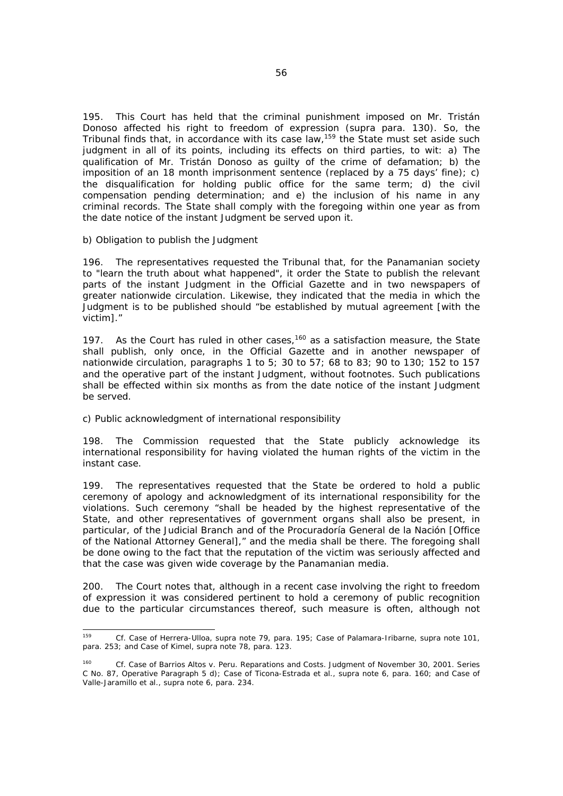195. This Court has held that the criminal punishment imposed on Mr. Tristán Donoso affected his right to freedom of expression (*supra* para. 130). So, the Tribunal finds that, in accordance with its case law,<sup>159</sup> the State must set aside such judgment in all of its points, including its effects on third parties, to wit: a) The qualification of Mr. Tristán Donoso as guilty of the crime of defamation; b) the imposition of an 18 month imprisonment sentence (replaced by a 75 days' fine); c) the disqualification for holding public office for the same term; d) the civil compensation pending determination; and e) the inclusion of his name in any criminal records. The State shall comply with the foregoing within one year as from the date notice of the instant Judgment be served upon it.

### *b) Obligation to publish the Judgment*

196. The representatives requested the Tribunal that, for the Panamanian society to "learn the truth about what happened", it order the State to publish the relevant parts of the instant Judgment in the Official Gazette and in two newspapers of greater nationwide circulation. Likewise, they indicated that the media in which the Judgment is to be published should "be established by mutual agreement [with the victim]."

197. As the Court has ruled in other cases,  $160$  as a satisfaction measure, the State shall publish, only once, in the Official Gazette and in another newspaper of nationwide circulation, paragraphs 1 to 5; 30 to 57; 68 to 83; 90 to 130; 152 to 157 and the operative part of the instant Judgment, without footnotes. Such publications shall be effected within six months as from the date notice of the instant Judgment be served.

## *c) Public acknowledgment of international responsibility*

198. The Commission requested that the State publicly acknowledge its international responsibility for having violated the human rights of the victim in the instant case.

199. The representatives requested that the State be ordered to hold a public ceremony of apology and acknowledgment of its international responsibility for the violations. Such ceremony "shall be headed by the highest representative of the State, and other representatives of government organs shall also be present, in particular, of the Judicial Branch and of the *Procuradoría General de la Nación* [Office of the National Attorney General]," and the media shall be there. The foregoing shall be done owing to the fact that the reputation of the victim was seriously affected and that the case was given wide coverage by the Panamanian media.

200. The Court notes that, although in a recent case involving the right to freedom of expression it was considered pertinent to hold a ceremony of public recognition due to the particular circumstances thereof, such measure is often, although not

<sup>159</sup> 159 *Cf. Case of Herrera-Ulloa, supra* note 79, para. 195; *Case of Palamara-Iribarne, supra* note 101, para. 253; *and Case of Kimel, supra* note 78, para. 123.

<sup>160</sup> *Cf. Case of Barrios Altos v. Peru. Reparations and Costs.* Judgment of November 30, 2001. Series C No. 87, Operative Paragraph 5 d); *Case of Ticona-Estrada et al., supra* note 6, para. 160; and *Case of Valle-Jaramillo et al.*, *supra* note 6, para. 234.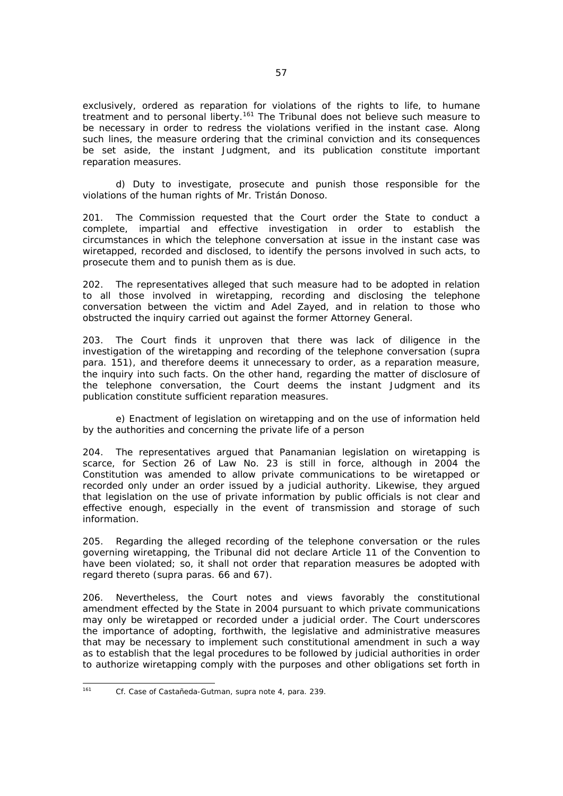exclusively, ordered as reparation for violations of the rights to life, to humane treatment and to personal liberty.161 The Tribunal does not believe such measure to be necessary in order to redress the violations verified in the instant case. Along such lines, the measure ordering that the criminal conviction and its consequences be set aside, the instant Judgment, and its publication constitute important reparation measures.

 *d) Duty to investigate, prosecute and punish those responsible for the violations of the human rights of Mr. Tristán Donoso.* 

201. The Commission requested that the Court order the State to conduct a complete, impartial and effective investigation in order to establish the circumstances in which the telephone conversation at issue in the instant case was wiretapped, recorded and disclosed, to identify the persons involved in such acts, to prosecute them and to punish them as is due.

202. The representatives alleged that such measure had to be adopted in relation to all those involved in wiretapping, recording and disclosing the telephone conversation between the victim and Adel Zayed, and in relation to those who obstructed the inquiry carried out against the former Attorney General.

203. The Court finds it unproven that there was lack of diligence in the investigation of the wiretapping and recording of the telephone conversation (*supra*  para. 151), and therefore deems it unnecessary to order, as a reparation measure, the inquiry into such facts. On the other hand, regarding the matter of disclosure of the telephone conversation, the Court deems the instant Judgment and its publication constitute sufficient reparation measures.

 *e) Enactment of legislation on wiretapping and on the use of information held by the authorities and concerning the private life of a person* 

204. The representatives argued that Panamanian legislation on wiretapping is scarce, for Section 26 of Law No. 23 is still in force, although in 2004 the Constitution was amended to allow private communications to be wiretapped or recorded only under an order issued by a judicial authority. Likewise, they argued that legislation on the use of private information by public officials is not clear and effective enough, especially in the event of transmission and storage of such information.

205. Regarding the alleged recording of the telephone conversation or the rules governing wiretapping, the Tribunal did not declare Article 11 of the Convention to have been violated; so, it shall not order that reparation measures be adopted with regard thereto (*supra* paras. 66 and 67).

206. Nevertheless, the Court notes and views favorably the constitutional amendment effected by the State in 2004 pursuant to which private communications may only be wiretapped or recorded under a judicial order. The Court underscores the importance of adopting, forthwith, the legislative and administrative measures that may be necessary to implement such constitutional amendment in such a way as to establish that the legal procedures to be followed by judicial authorities in order to authorize wiretapping comply with the purposes and other obligations set forth in

<sup>161</sup> 161 *Cf. Case of Castañeda-Gutman, supra* note 4, para. 239*.*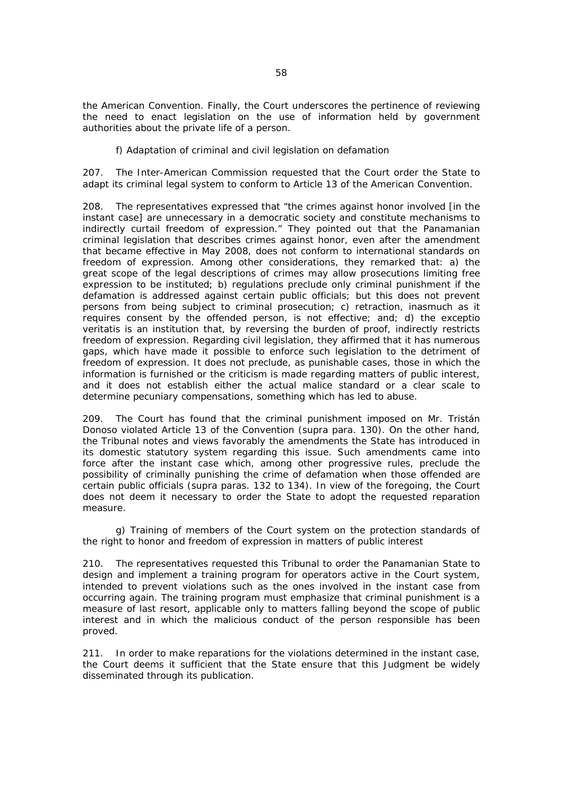the American Convention. Finally, the Court underscores the pertinence of reviewing the need to enact legislation on the use of information held by government authorities about the private life of a person.

### *f) Adaptation of criminal and civil legislation on defamation*

207. The Inter-American Commission requested that the Court order the State to adapt its criminal legal system to conform to Article 13 of the American Convention.

208. The representatives expressed that "the crimes against honor involved [in the instant case] are unnecessary in a democratic society and constitute mechanisms to indirectly curtail freedom of expression." They pointed out that the Panamanian criminal legislation that describes crimes against honor, even after the amendment that became effective in May 2008, does not conform to international standards on freedom of expression. Among other considerations, they remarked that: a) the great scope of the legal descriptions of crimes may allow prosecutions limiting free expression to be instituted; b) regulations preclude only criminal punishment if the defamation is addressed against certain public officials; but this does not prevent persons from being subject to criminal prosecution; c) retraction, inasmuch as it requires consent by the offended person, is not effective; and; d) the *exceptio veritatis* is an institution that, by reversing the burden of proof, indirectly restricts freedom of expression. Regarding civil legislation, they affirmed that it has numerous gaps, which have made it possible to enforce such legislation to the detriment of freedom of expression. It does not preclude, as punishable cases, those in which the information is furnished or the criticism is made regarding matters of public interest, and it does not establish either the actual malice standard or a clear scale to determine pecuniary compensations, something which has led to abuse.

209. The Court has found that the criminal punishment imposed on Mr. Tristán Donoso violated Article 13 of the Convention (*supra* para. 130). On the other hand, the Tribunal notes and views favorably the amendments the State has introduced in its domestic statutory system regarding this issue. Such amendments came into force after the instant case which, among other progressive rules, preclude the possibility of criminally punishing the crime of defamation when those offended are certain public officials (*supra* paras. 132 to 134). In view of the foregoing, the Court does not deem it necessary to order the State to adopt the requested reparation measure.

### *g) Training of members of the Court system on the protection standards of the right to honor and freedom of expression in matters of public interest*

210. The representatives requested this Tribunal to order the Panamanian State to design and implement a training program for operators active in the Court system, intended to prevent violations such as the ones involved in the instant case from occurring again. The training program must emphasize that criminal punishment is a measure of last resort, applicable only to matters falling beyond the scope of public interest and in which the malicious conduct of the person responsible has been proved.

211. In order to make reparations for the violations determined in the instant case, the Court deems it sufficient that the State ensure that this Judgment be widely disseminated through its publication.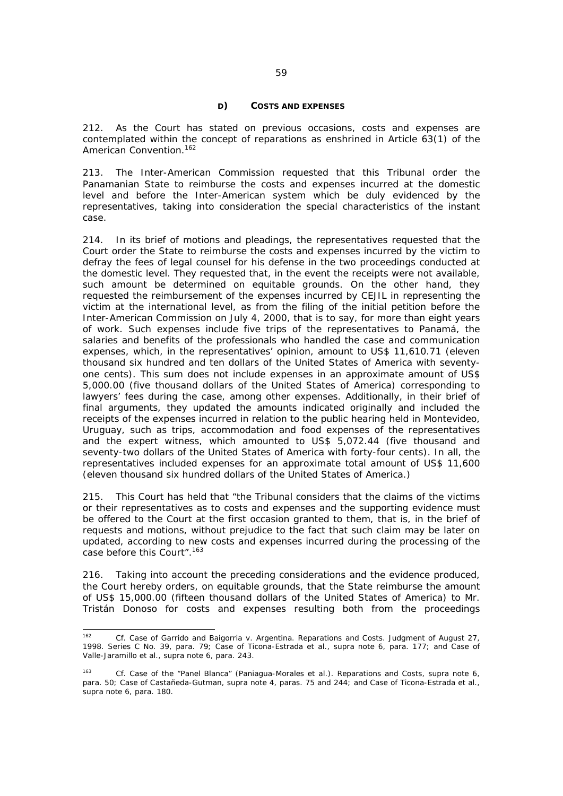#### *D) COSTS AND EXPENSES*

212. As the Court has stated on previous occasions, costs and expenses are contemplated within the concept of reparations as enshrined in Article 63(1) of the American Convention.<sup>162</sup>

213. The Inter-American Commission requested that this Tribunal order the Panamanian State to reimburse the costs and expenses incurred at the domestic level and before the Inter-American system which be duly evidenced by the representatives, taking into consideration the special characteristics of the instant case.

214. In its brief of motions and pleadings, the representatives requested that the Court order the State to reimburse the costs and expenses incurred by the victim to defray the fees of legal counsel for his defense in the two proceedings conducted at the domestic level. They requested that, in the event the receipts were not available, such amount be determined on equitable grounds. On the other hand, they requested the reimbursement of the expenses incurred by CEJIL in representing the victim at the international level, as from the filing of the initial petition before the Inter-American Commission on July 4, 2000, that is to say, for more than eight years of work. Such expenses include five trips of the representatives to Panamá, the salaries and benefits of the professionals who handled the case and communication expenses, which, in the representatives' opinion, amount to US\$ 11,610.71 (eleven thousand six hundred and ten dollars of the United States of America with seventyone cents). This sum does not include expenses in an approximate amount of US\$ 5,000.00 (five thousand dollars of the United States of America) corresponding to lawyers' fees during the case, among other expenses. Additionally, in their brief of final arguments, they updated the amounts indicated originally and included the receipts of the expenses incurred in relation to the public hearing held in Montevideo, Uruguay, such as trips, accommodation and food expenses of the representatives and the expert witness, which amounted to US\$ 5,072.44 (five thousand and seventy-two dollars of the United States of America with forty-four cents). In all, the representatives included expenses for an approximate total amount of US\$ 11,600 (eleven thousand six hundred dollars of the United States of America.)

215. This Court has held that "the Tribunal considers that the claims of the victims or their representatives as to costs and expenses and the supporting evidence must be offered to the Court at the first occasion granted to them, that is, in the brief of requests and motions, without prejudice to the fact that such claim may be later on updated, according to new costs and expenses incurred during the processing of the case before this Court".163

216. Taking into account the preceding considerations and the evidence produced, the Court hereby orders, on equitable grounds, that the State reimburse the amount of US\$ 15,000.00 (fifteen thousand dollars of the United States of America) to Mr. Tristán Donoso for costs and expenses resulting both from the proceedings

 $162$ 162 *Cf. Case of Garrido and Baigorria v. Argentina. Reparations and Costs.* Judgment of August 27, 1998. Series C No. 39, para. 79*; Case of Ticona-Estrada et al., supra* note 6, para. 177; and *Case of Valle-Jaramillo et al., supra* note 6, para. 243.

<sup>163</sup> *Cf. Case of the "Panel Blanca" (Paniagua-Morales et al.). Reparations and Costs, supra* note 6, para. 50; *Case of Castañeda-Gutman*, *supra* note 4, paras. 75 and 244; and *Case of Ticona-Estrada et al., supra* note 6, para. 180.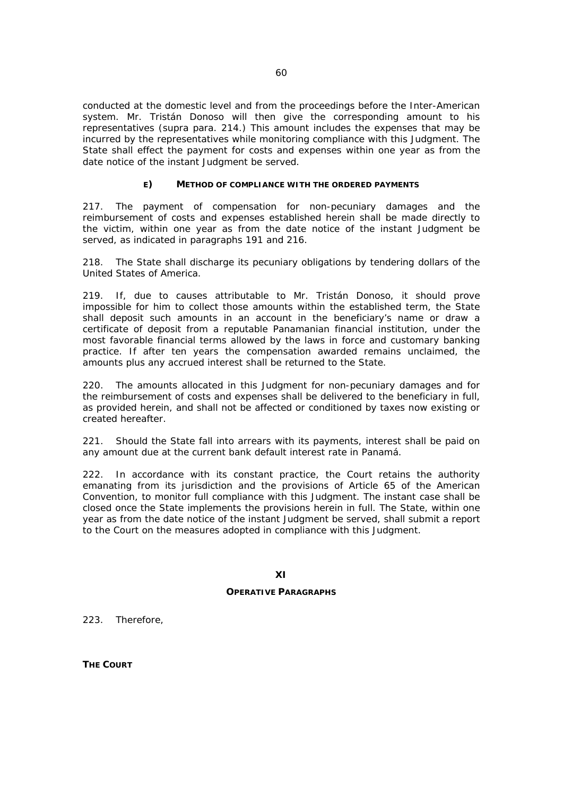conducted at the domestic level and from the proceedings before the Inter-American system. Mr. Tristán Donoso will then give the corresponding amount to his representatives (*supra* para. 214.) This amount includes the expenses that may be incurred by the representatives while monitoring compliance with this Judgment. The State shall effect the payment for costs and expenses within one year as from the date notice of the instant Judgment be served.

### *E) METHOD OF COMPLIANCE WITH THE ORDERED PAYMENTS*

217. The payment of compensation for non-pecuniary damages and the reimbursement of costs and expenses established herein shall be made directly to the victim, within one year as from the date notice of the instant Judgment be served, as indicated in paragraphs 191 and 216.

218. The State shall discharge its pecuniary obligations by tendering dollars of the United States of America.

219. If, due to causes attributable to Mr. Tristán Donoso, it should prove impossible for him to collect those amounts within the established term, the State shall deposit such amounts in an account in the beneficiary's name or draw a certificate of deposit from a reputable Panamanian financial institution, under the most favorable financial terms allowed by the laws in force and customary banking practice. If after ten years the compensation awarded remains unclaimed, the amounts plus any accrued interest shall be returned to the State.

220. The amounts allocated in this Judgment for non-pecuniary damages and for the reimbursement of costs and expenses shall be delivered to the beneficiary in full, as provided herein, and shall not be affected or conditioned by taxes now existing or created hereafter.

221. Should the State fall into arrears with its payments, interest shall be paid on any amount due at the current bank default interest rate in Panamá.

222. In accordance with its constant practice, the Court retains the authority emanating from its jurisdiction and the provisions of Article 65 of the American Convention, to monitor full compliance with this Judgment. The instant case shall be closed once the State implements the provisions herein in full. The State, within one year as from the date notice of the instant Judgment be served, shall submit a report to the Court on the measures adopted in compliance with this Judgment.

# **OPERATIVE PARAGRAPHS**

223. Therefore,

**THE COURT**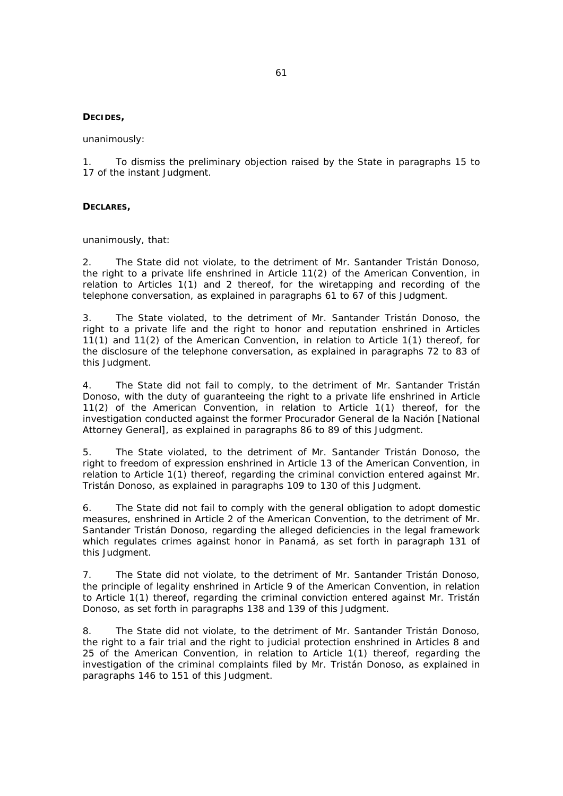### **DECIDES,**

unanimously:

1. To dismiss the preliminary objection raised by the State in paragraphs 15 to 17 of the instant Judgment.

### **DECLARES,**

unanimously, that:

2. The State did not violate, to the detriment of Mr. Santander Tristán Donoso, the right to a private life enshrined in Article 11(2) of the American Convention, in relation to Articles 1(1) and 2 thereof, for the wiretapping and recording of the telephone conversation, as explained in paragraphs 61 to 67 of this Judgment.

3. The State violated, to the detriment of Mr. Santander Tristán Donoso, the right to a private life and the right to honor and reputation enshrined in Articles 11(1) and 11(2) of the American Convention, in relation to Article 1(1) thereof, for the disclosure of the telephone conversation, as explained in paragraphs 72 to 83 of this Judgment.

4. The State did not fail to comply, to the detriment of Mr. Santander Tristán Donoso, with the duty of guaranteeing the right to a private life enshrined in Article 11(2) of the American Convention, in relation to Article 1(1) thereof, for the investigation conducted against the former *Procurador General de la Nación* [National Attorney General], as explained in paragraphs 86 to 89 of this Judgment.

5. The State violated, to the detriment of Mr. Santander Tristán Donoso, the right to freedom of expression enshrined in Article 13 of the American Convention, in relation to Article 1(1) thereof, regarding the criminal conviction entered against Mr. Tristán Donoso, as explained in paragraphs 109 to 130 of this Judgment.

6. The State did not fail to comply with the general obligation to adopt domestic measures, enshrined in Article 2 of the American Convention, to the detriment of Mr. Santander Tristán Donoso, regarding the alleged deficiencies in the legal framework which regulates crimes against honor in Panamá, as set forth in paragraph 131 of this Judgment.

7. The State did not violate, to the detriment of Mr. Santander Tristán Donoso, the principle of legality enshrined in Article 9 of the American Convention, in relation to Article 1(1) thereof, regarding the criminal conviction entered against Mr. Tristán Donoso, as set forth in paragraphs 138 and 139 of this Judgment.

8. The State did not violate, to the detriment of Mr. Santander Tristán Donoso, the right to a fair trial and the right to judicial protection enshrined in Articles 8 and 25 of the American Convention, in relation to Article 1(1) thereof, regarding the investigation of the criminal complaints filed by Mr. Tristán Donoso, as explained in paragraphs 146 to 151 of this Judgment.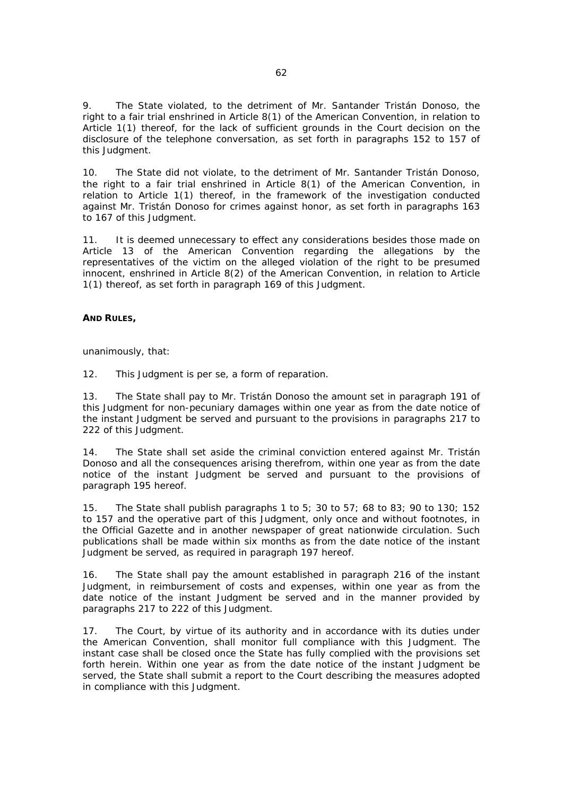9. The State violated, to the detriment of Mr. Santander Tristán Donoso, the right to a fair trial enshrined in Article 8(1) of the American Convention, in relation to Article 1(1) thereof, for the lack of sufficient grounds in the Court decision on the disclosure of the telephone conversation, as set forth in paragraphs 152 to 157 of this Judgment.

10. The State did not violate, to the detriment of Mr. Santander Tristán Donoso, the right to a fair trial enshrined in Article 8(1) of the American Convention, in relation to Article 1(1) thereof, in the framework of the investigation conducted against Mr. Tristán Donoso for crimes against honor, as set forth in paragraphs 163 to 167 of this Judgment.

11. It is deemed unnecessary to effect any considerations besides those made on Article 13 of the American Convention regarding the allegations by the representatives of the victim on the alleged violation of the right to be presumed innocent, enshrined in Article 8(2) of the American Convention, in relation to Article 1(1) thereof, as set forth in paragraph 169 of this Judgment.

### **AND RULES,**

unanimously, that:

12. This Judgment is *per se,* a form of reparation.

13. The State shall pay to Mr. Tristán Donoso the amount set in paragraph 191 of this Judgment for non-pecuniary damages within one year as from the date notice of the instant Judgment be served and pursuant to the provisions in paragraphs 217 to 222 of this Judgment.

14. The State shall set aside the criminal conviction entered against Mr. Tristán Donoso and all the consequences arising therefrom, within one year as from the date notice of the instant Judgment be served and pursuant to the provisions of paragraph 195 hereof.

15. The State shall publish paragraphs 1 to 5; 30 to 57; 68 to 83; 90 to 130; 152 to 157 and the operative part of this Judgment, only once and without footnotes, in the Official Gazette and in another newspaper of great nationwide circulation. Such publications shall be made within six months as from the date notice of the instant Judgment be served, as required in paragraph 197 hereof.

16. The State shall pay the amount established in paragraph 216 of the instant Judgment, in reimbursement of costs and expenses, within one year as from the date notice of the instant Judgment be served and in the manner provided by paragraphs 217 to 222 of this Judgment.

17. The Court, by virtue of its authority and in accordance with its duties under the American Convention, shall monitor full compliance with this Judgment. The instant case shall be closed once the State has fully complied with the provisions set forth herein. Within one year as from the date notice of the instant Judgment be served, the State shall submit a report to the Court describing the measures adopted in compliance with this Judgment.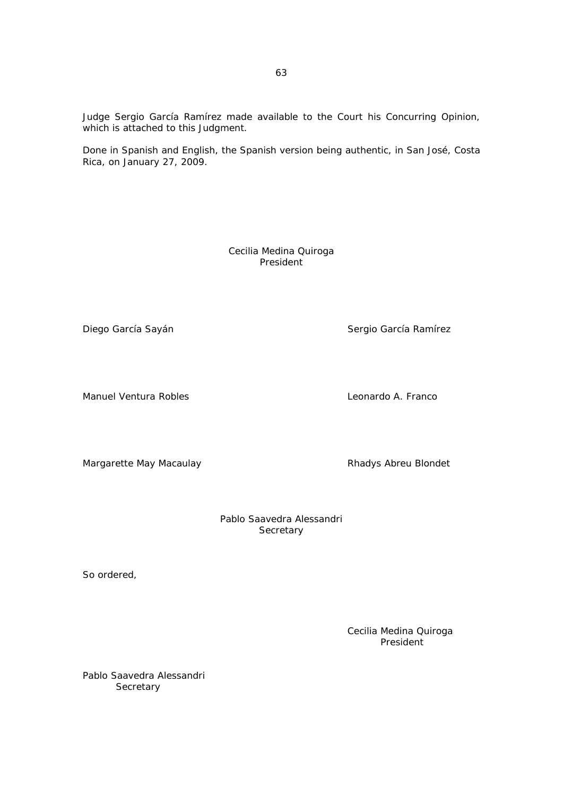Judge Sergio García Ramírez made available to the Court his Concurring Opinion, which is attached to this Judgment.

Done in Spanish and English, the Spanish version being authentic, in San José, Costa Rica, on January 27, 2009.

> Cecilia Medina Quiroga President

Diego García Sayán Santo Sergio García Ramírez

Manuel Ventura Robles Leonardo A. Franco

Margarette May Macaulay **Rhadys Abreu Blondet** 

Pablo Saavedra Alessandri **Secretary** 

So ordered,

Cecilia Medina Quiroga President

Pablo Saavedra Alessandri **Secretary**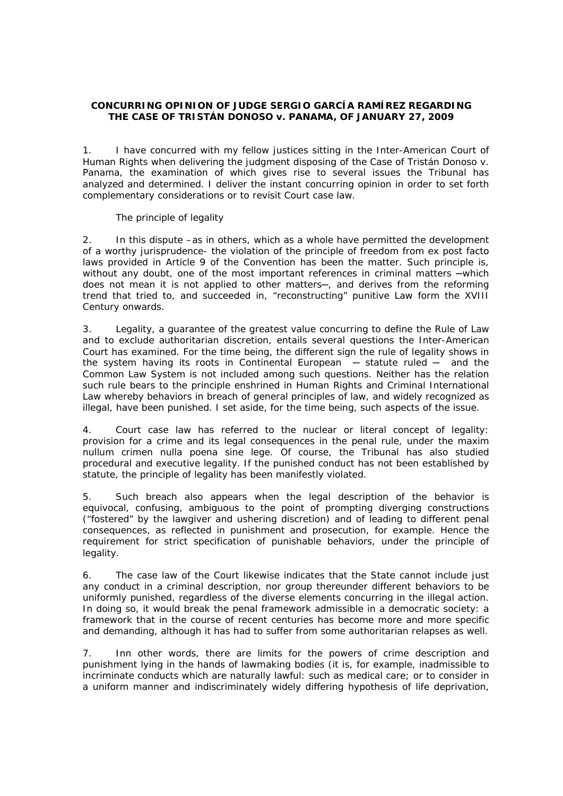# **CONCURRING OPINION OF JUDGE SERGIO GARCÍA RAMÍREZ REGARDING THE** *CASE OF TRISTÁN DONOSO v. PANAMA***, OF JANUARY 27, 2009**

1. I have concurred with my fellow justices sitting in the Inter-American Court of Human Rights when delivering the judgment disposing of the *Case of Tristán Donoso v. Panama*, the examination of which gives rise to several issues the Tribunal has analyzed and determined. I deliver the instant concurring opinion in order to set forth complementary considerations or to revisit Court case law.

## *The principle of legality*

2. In this dispute –as in others, which as a whole have permitted the development of a worthy jurisprudence- the violation of the principle of freedom from *ex post facto* laws provided in Article 9 of the Convention has been the matter. Such principle is, without any doubt, one of the most important references in criminal matters —which does not mean it is not applied to other matters─, and derives from the reforming trend that tried to, and succeeded in, "reconstructing" punitive Law form the XVIII Century onwards.

3. Legality, a guarantee of the greatest value concurring to define the Rule of Law and to exclude authoritarian discretion, entails several questions the Inter-American Court has examined. For the time being, the different sign the rule of legality shows in the system having its roots in Continental European  $-$  statute ruled  $-$  and the Common Law System is not included among such questions*.* Neither has the relation such rule bears to the principle enshrined in Human Rights and Criminal International Law whereby behaviors in breach of general principles of law, and widely recognized as illegal, have been punished. I set aside, for the time being, such aspects of the issue.

4. Court case law has referred to the nuclear or literal concept of legality: provision for a crime and its legal consequences in the penal rule, under the maxim *nullum crimen nulla poena sine lege*. Of course, the Tribunal has also studied procedural and executive legality. If the punished conduct has not been established by statute, the principle of legality has been manifestly violated.

5. Such breach also appears when the legal description of the behavior is equivocal, confusing, ambiguous to the point of prompting diverging constructions ("fostered" by the lawgiver and ushering discretion) and of leading to different penal consequences, as reflected in punishment and prosecution, for example. Hence the requirement for strict specification of punishable behaviors, under the principle of legality.

6. The case law of the Court likewise indicates that the State cannot include just any conduct in a criminal description, nor group thereunder different behaviors to be uniformly punished, regardless of the diverse elements concurring in the illegal action. In doing so, it would break the penal framework admissible in a democratic society: a framework that in the course of recent centuries has become more and more specific and demanding, although it has had to suffer from some authoritarian relapses as well.

7. Inn other words, there are limits for the powers of crime description and punishment lying in the hands of lawmaking bodies (it is, for example, inadmissible to incriminate conducts which are naturally lawful: such as medical care; or to consider in a uniform manner and indiscriminately widely differing hypothesis of life deprivation,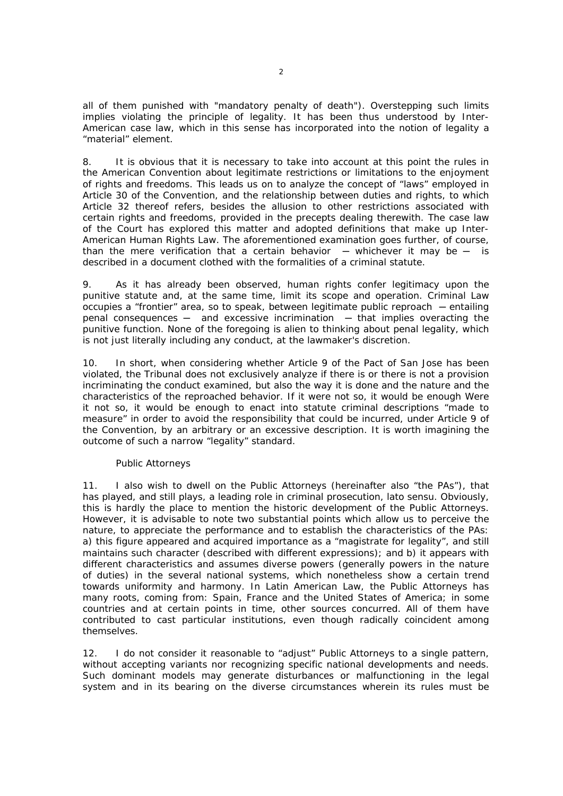all of them punished with "mandatory penalty of death"). Overstepping such limits implies violating the principle of legality. It has been thus understood by Inter-American case law, which in this sense has incorporated into the notion of legality a "material" element.

8. It is obvious that it is necessary to take into account at this point the rules in the American Convention about legitimate restrictions or limitations to the enjoyment of rights and freedoms. This leads us on to analyze the concept of "laws" employed in Article 30 of the Convention, and the relationship between duties and rights, to which Article 32 thereof refers, besides the allusion to other restrictions associated with certain rights and freedoms, provided in the precepts dealing therewith. The case law of the Court has explored this matter and adopted definitions that make up Inter-American Human Rights Law. The aforementioned examination goes further, of course, than the mere verification that a certain behavior  $-$  whichever it may be  $-$  is described in a document clothed with the formalities of a criminal statute.

9. As it has already been observed, human rights confer legitimacy upon the punitive statute and, at the same time, limit its scope and operation. Criminal Law occupies a "frontier" area, so to speak, between legitimate public reproach - entailing  $penal$  consequences  $-$  and excessive incrimination  $-$  that implies overacting the punitive function. None of the foregoing is alien to thinking about penal legality, which is not just literally including any conduct, at the lawmaker's discretion.

10. In short, when considering whether Article 9 of the Pact of San Jose has been violated, the Tribunal does not exclusively analyze if there is or there is not a provision incriminating the conduct examined, but also the way it is done and the nature and the characteristics of the reproached behavior. If it were not so, it would be enough Were it not so, it would be enough to enact into statute criminal descriptions "made to measure" in order to avoid the responsibility that could be incurred, under Article 9 of the Convention, by an arbitrary or an excessive description. It is worth imagining the outcome of such a narrow "legality" standard.

### *Public Attorneys*

11. I also wish to dwell on the Public Attorneys (hereinafter also "the PAs"), that has played, and still plays, a leading role in criminal prosecution, *lato sensu*. Obviously, this is hardly the place to mention the historic development of the Public Attorneys. However, it is advisable to note two substantial points which allow us to perceive the nature, to appreciate the performance and to establish the characteristics of the PAs: a) this figure appeared and acquired importance as a "magistrate for legality", and still maintains such character (described with different expressions); and b) it appears with different characteristics and assumes diverse powers (generally powers in the nature of duties) in the several national systems, which nonetheless show a certain trend towards uniformity and harmony. In Latin American Law, the Public Attorneys has many roots, coming from: Spain, France and the United States of America; in some countries and at certain points in time, other sources concurred. All of them have contributed to cast particular institutions, even though radically coincident among themselves.

12. I do not consider it reasonable to "adjust" Public Attorneys to a single pattern, without accepting variants nor recognizing specific national developments and needs. Such dominant models may generate disturbances or malfunctioning in the legal system and in its bearing on the diverse circumstances wherein its rules must be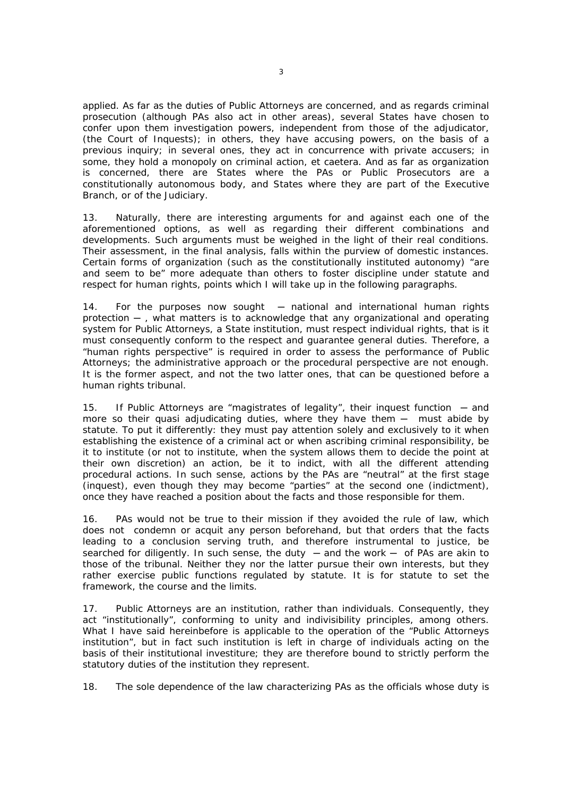applied. As far as the duties of Public Attorneys are concerned, and as regards criminal prosecution (although PAs also act in other areas), several States have chosen to confer upon them investigation powers, independent from those of the adjudicator, (the Court of Inquests); in others, they have accusing powers, on the basis of a previous inquiry; in several ones, they act in concurrence with private accusers; in some, they hold a monopoly on criminal action, *et caetera*. And as far as organization is concerned, there are States where the PAs or Public Prosecutors are a constitutionally autonomous body, and States where they are part of the Executive Branch, or of the Judiciary.

13. Naturally, there are interesting arguments for and against each one of the aforementioned options, as well as regarding their different combinations and developments. Such arguments must be weighed in the light of their real conditions. Their assessment, in the final analysis, falls within the purview of domestic instances. Certain forms of organization (such as the constitutionally instituted autonomy) "are and seem to be" more adequate than others to foster discipline under statute and respect for human rights, points which I will take up in the following paragraphs.

14. For the purposes now sought – national and international human rights protection ─ , what matters is to acknowledge that any organizational and operating system for Public Attorneys, a State institution, must respect individual rights, that is it must consequently conform to the respect and guarantee general duties. Therefore, a "human rights perspective" is required in order to assess the performance of Public Attorneys; the administrative approach or the procedural perspective are not enough. It is the former aspect, and not the two latter ones, that can be questioned before a human rights tribunal.

15. If Public Attorneys are "magistrates of legality", their inquest function — and more so their quasi adjudicating duties, where they have them  $-$  must abide by statute. To put it differently: they must pay attention solely and exclusively to it when establishing the existence of a criminal act or when ascribing criminal responsibility, be it to institute (or not to institute, when the system allows them to decide the point at their own discretion) an action, be it to indict, with all the different attending procedural actions. In such sense, actions by the PAs are "neutral" at the first stage (inquest), even though they may become "parties" at the second one (indictment), once they have reached a position about the facts and those responsible for them.

16. PAs would not be true to their mission if they avoided the rule of law, which does not condemn or acquit any person beforehand, but that orders that the facts leading to a conclusion serving truth, and therefore instrumental to justice, be searched for diligently. In such sense, the duty  $-$  and the work  $-$  of PAs are akin to those of the tribunal. Neither they nor the latter pursue their own interests, but they rather exercise public functions regulated by statute. It is for statute to set the framework, the course and the limits.

17. Public Attorneys are an institution, rather than individuals. Consequently, they act "institutionally", conforming to unity and indivisibility principles, among others. What I have said hereinbefore is applicable to the operation of the "Public Attorneys institution", but in fact such institution is left in charge of individuals acting on the basis of their institutional investiture; they are therefore bound to strictly perform the statutory duties of the institution they represent.

18. The sole dependence of the law characterizing PAs as the officials whose duty is